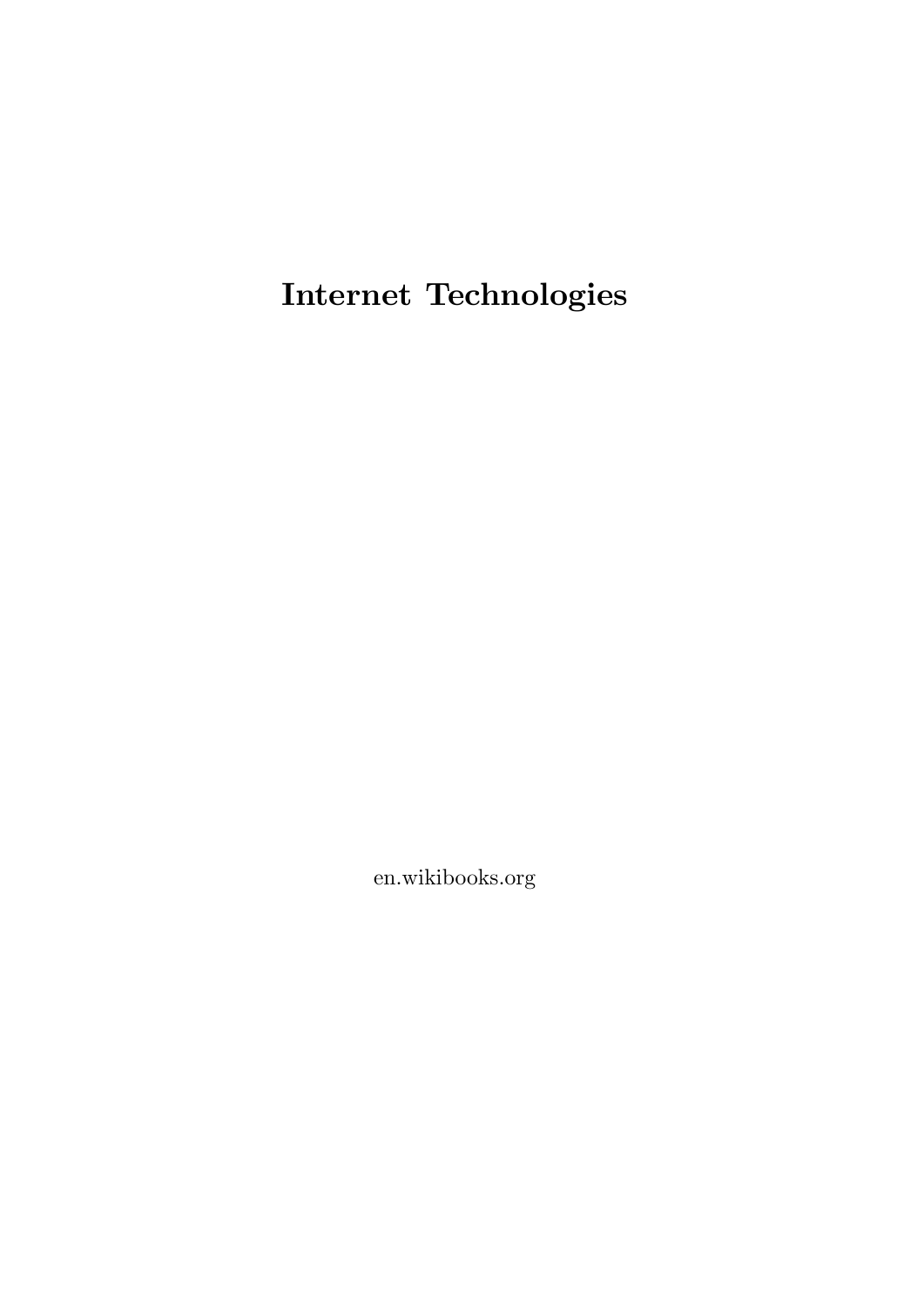**Internet Technologies**

en.wikibooks.org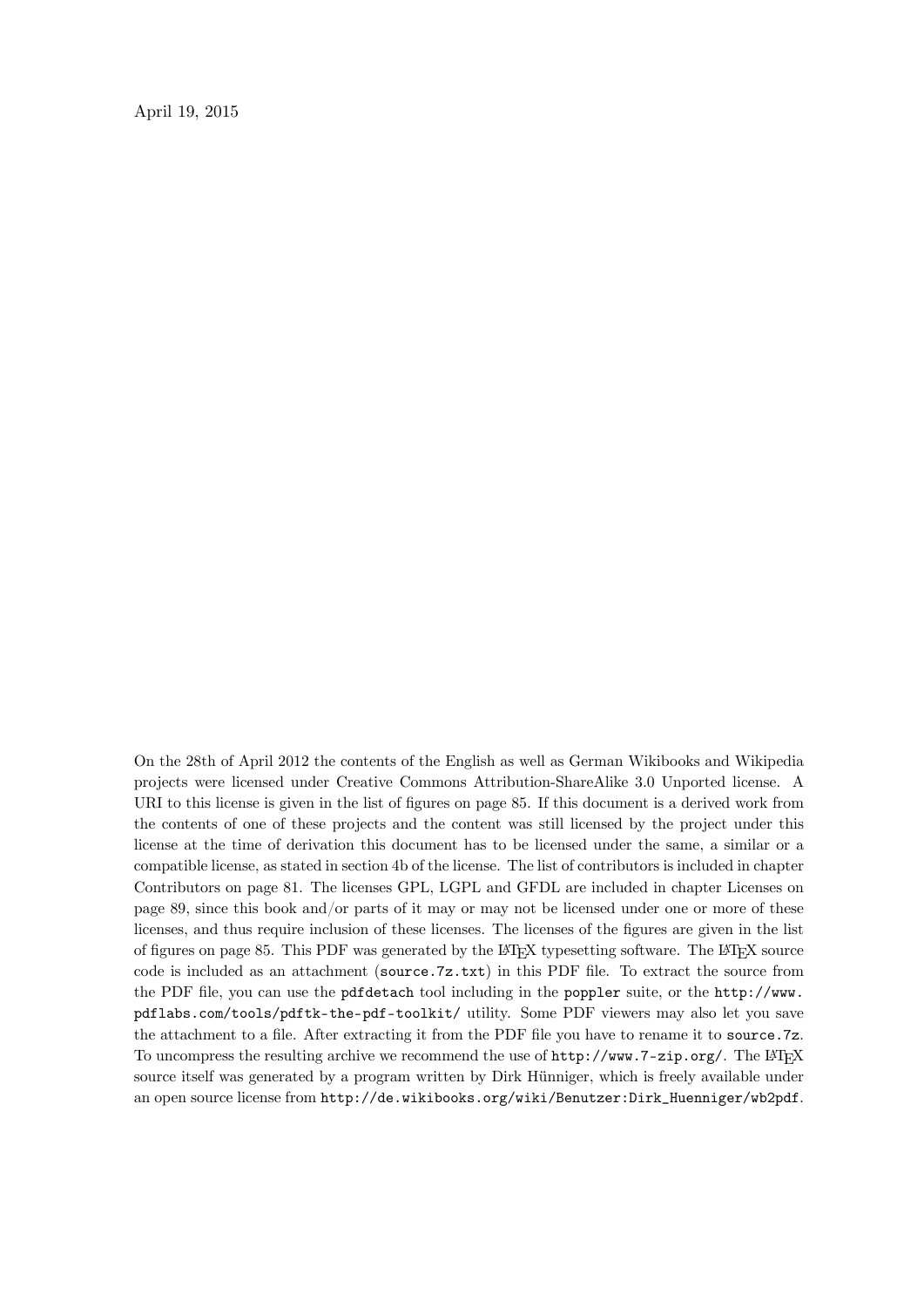April 19, 2015

On the 28th of April 2012 the contents of the English as well as German Wikibooks and Wikipedia projects were licensed under Creative Commons Attribution-ShareAlike 3.0 Unported license. A URI to this license is given in the list of figures on page [85.](#page-88-0) If this document is a derived work from the contents of one of these projects and the content was still licensed by the project under this license at the time of derivation this document has to be licensed under the same, a similar or a compatible license, as stated in section 4b of the license. The list of contributors is included in chapter Contributors on page [81.](#page-84-0) The licenses GPL, LGPL and GFDL are included in chapter Licenses on page [89,](#page-92-0) since this book and/or parts of it may or may not be licensed under one or more of these licenses, and thus require inclusion of these licenses. The licenses of the figures are given in the list of figures on page [85](#page-88-0). This PDF was generated by the LAT<sub>EX</sub> typesetting software. The LAT<sub>EX</sub> source code is included as an attachment (source.7z.txt) in this PDF file. To extract the source from the PDF file, you can use the pdfdetach tool including in the poppler suite, or the [http://www.](http://www.pdflabs.com/tools/pdftk-the-pdf-toolkit/) [pdflabs.com/tools/pdftk-the-pdf-toolkit/](http://www.pdflabs.com/tools/pdftk-the-pdf-toolkit/) utility. Some PDF viewers may also let you save the attachment to a file. After extracting it from the PDF file you have to rename it to source.7z. To uncompress the resulting archive we recommend the use of  $http://www.7-zip.org/$ . The LATEX source itself was generated by a program written by Dirk Hünniger, which is freely available under an open source license from [http://de.wikibooks.org/wiki/Benutzer:Dirk\\_Huenniger/wb2pdf](http://de.wikibooks.org/wiki/Benutzer:Dirk_Huenniger/wb2pdf).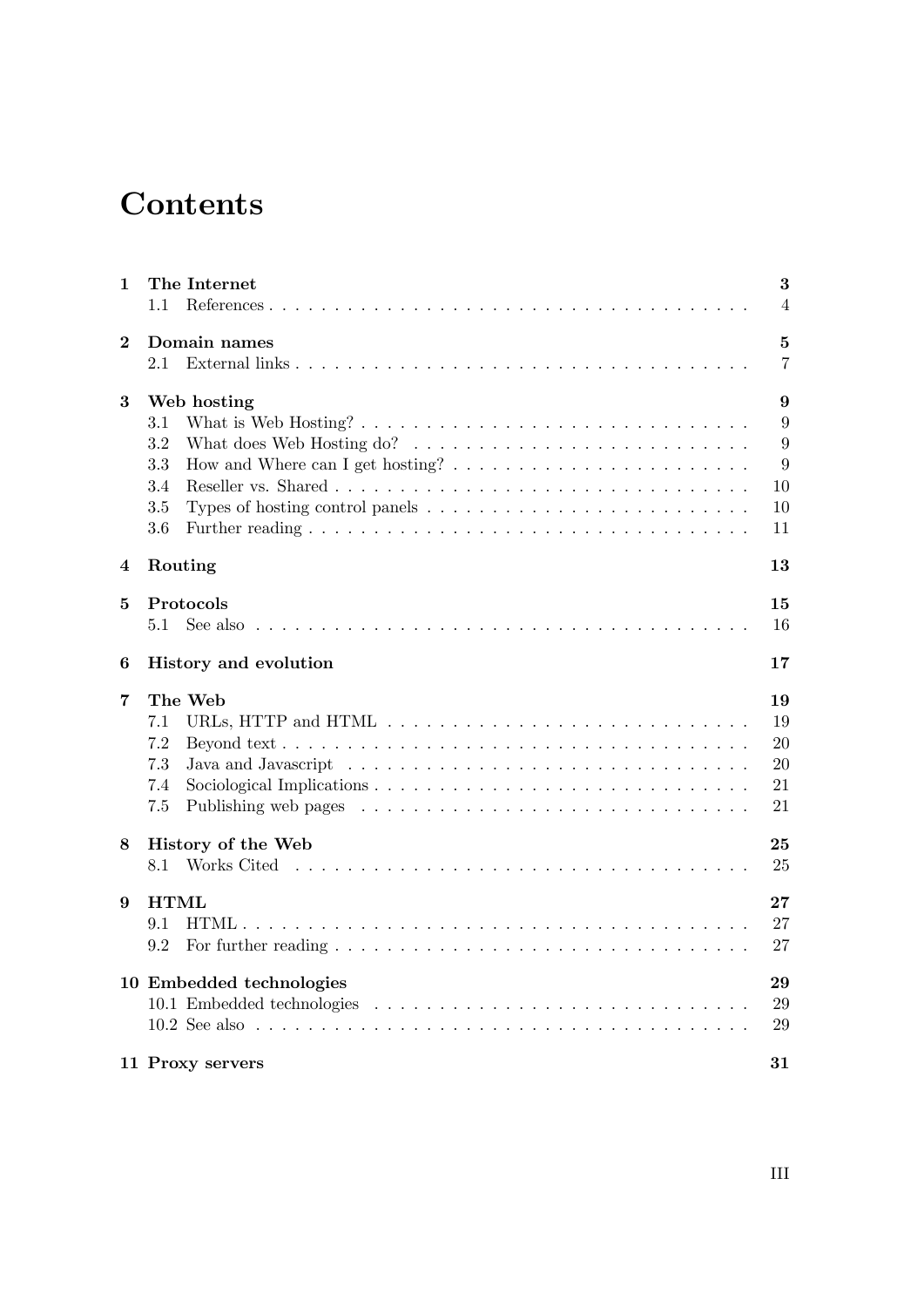# **Contents**

| The Internet |     |                                                                         |  |  |  |  |  |  |  | 3                                                                                                     |
|--------------|-----|-------------------------------------------------------------------------|--|--|--|--|--|--|--|-------------------------------------------------------------------------------------------------------|
| 1.1          |     |                                                                         |  |  |  |  |  |  |  | $\overline{4}$                                                                                        |
| Domain names |     |                                                                         |  |  |  |  |  |  |  | 5                                                                                                     |
| 2.1          |     |                                                                         |  |  |  |  |  |  |  | $\overline{7}$                                                                                        |
| Web hosting  |     |                                                                         |  |  |  |  |  |  |  | 9                                                                                                     |
| 3.1          |     |                                                                         |  |  |  |  |  |  |  | 9                                                                                                     |
| 3.2          |     |                                                                         |  |  |  |  |  |  |  | 9                                                                                                     |
| 3.3          |     |                                                                         |  |  |  |  |  |  |  | 9                                                                                                     |
| 3.4          |     |                                                                         |  |  |  |  |  |  |  | 10                                                                                                    |
| 3.5          |     |                                                                         |  |  |  |  |  |  |  | 10                                                                                                    |
| 3.6          |     |                                                                         |  |  |  |  |  |  |  | 11                                                                                                    |
| Routing      |     |                                                                         |  |  |  |  |  |  |  | 13                                                                                                    |
| Protocols    |     |                                                                         |  |  |  |  |  |  |  | 15                                                                                                    |
| 5.1          |     |                                                                         |  |  |  |  |  |  |  | 16                                                                                                    |
|              |     |                                                                         |  |  |  |  |  |  |  | 17                                                                                                    |
| The Web      |     |                                                                         |  |  |  |  |  |  |  | 19                                                                                                    |
| 7.1          |     |                                                                         |  |  |  |  |  |  |  | 19                                                                                                    |
| 7.2          |     |                                                                         |  |  |  |  |  |  |  | 20                                                                                                    |
| 7.3          |     |                                                                         |  |  |  |  |  |  |  | 20                                                                                                    |
|              |     |                                                                         |  |  |  |  |  |  |  | 21                                                                                                    |
| 7.5          |     |                                                                         |  |  |  |  |  |  |  | 21                                                                                                    |
|              |     |                                                                         |  |  |  |  |  |  |  | 25                                                                                                    |
| 8.1          |     |                                                                         |  |  |  |  |  |  |  | 25                                                                                                    |
| <b>HTML</b>  |     |                                                                         |  |  |  |  |  |  |  | 27                                                                                                    |
| 9.1          |     |                                                                         |  |  |  |  |  |  |  | 27                                                                                                    |
| 9.2          |     |                                                                         |  |  |  |  |  |  |  | 27                                                                                                    |
|              |     |                                                                         |  |  |  |  |  |  |  | 29                                                                                                    |
|              |     |                                                                         |  |  |  |  |  |  |  | 29                                                                                                    |
|              |     |                                                                         |  |  |  |  |  |  |  | 29                                                                                                    |
|              |     |                                                                         |  |  |  |  |  |  |  |                                                                                                       |
|              | 7.4 | History and evolution<br>History of the Web<br>10 Embedded technologies |  |  |  |  |  |  |  | See also $\ldots \ldots \ldots \ldots \ldots \ldots \ldots \ldots \ldots \ldots \ldots \ldots \ldots$ |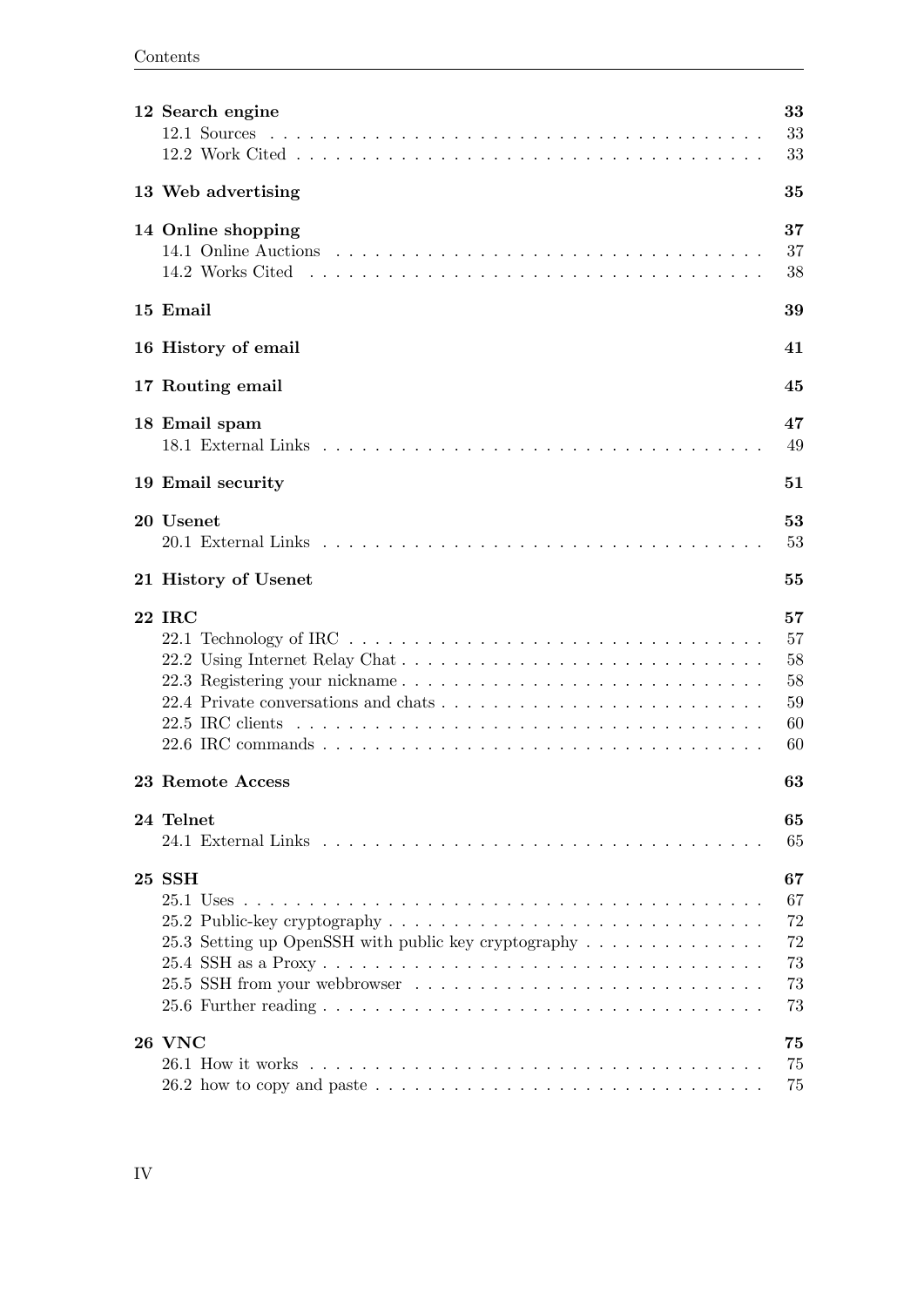| 12 Search engine                                                                                                           | 33<br>33<br>33                         |
|----------------------------------------------------------------------------------------------------------------------------|----------------------------------------|
| 13 Web advertising                                                                                                         | 35                                     |
| 14 Online shopping                                                                                                         | 37<br>37<br>38                         |
| 15 Email                                                                                                                   | 39                                     |
| 16 History of email                                                                                                        | 41                                     |
| 17 Routing email                                                                                                           | 45                                     |
| 18 Email spam                                                                                                              | 47<br>49                               |
| 19 Email security                                                                                                          | 51                                     |
| 20 Usenet                                                                                                                  | 53<br>53                               |
| 21 History of Usenet                                                                                                       | 55                                     |
| 22 IRC                                                                                                                     | 57<br>57<br>58<br>58<br>59<br>60<br>60 |
| 23 Remote Access                                                                                                           | 63                                     |
| 24 Telnet                                                                                                                  | 65<br>65                               |
| 25 SSH<br>25.3 Setting up OpenSSH with public key cryptography                                                             | 67<br>67<br>72<br>72<br>73<br>73<br>73 |
| <b>26 VNC</b><br>26.2 how to copy and paste $\ldots \ldots \ldots \ldots \ldots \ldots \ldots \ldots \ldots \ldots \ldots$ | 75<br>75<br>75                         |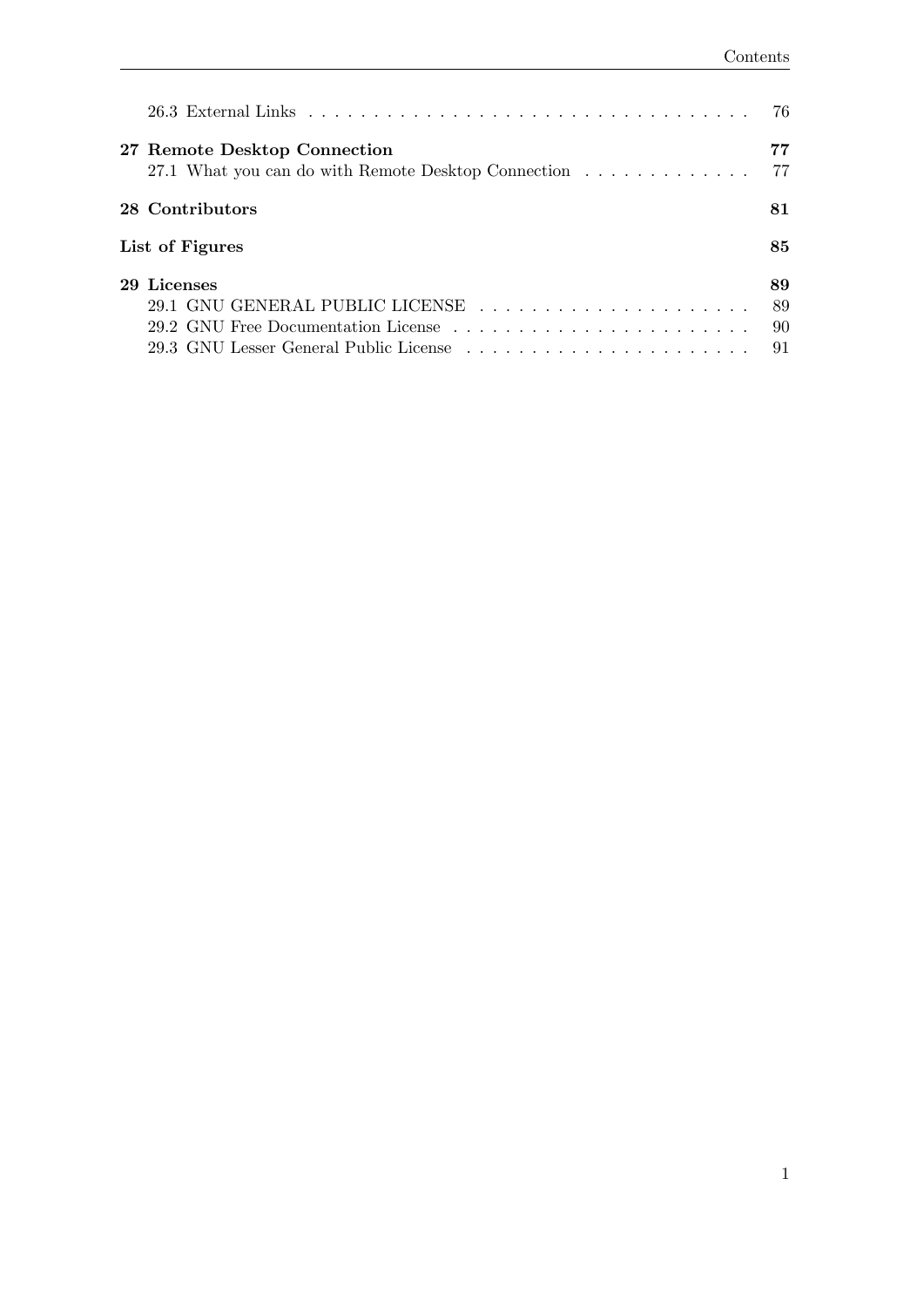|                                                                                                                                 | 76                   |
|---------------------------------------------------------------------------------------------------------------------------------|----------------------|
| 27 Remote Desktop Connection<br>27.1 What you can do with Remote Desktop Connection                                             | 77<br>77             |
| 28 Contributors                                                                                                                 | 81                   |
| List of Figures                                                                                                                 | 85                   |
| 29 Licenses<br>29.1 GNU GENERAL PUBLIC LICENSE<br>29.2 GNU Free Documentation License<br>29.3 GNU Lesser General Public License | 89<br>89<br>90<br>91 |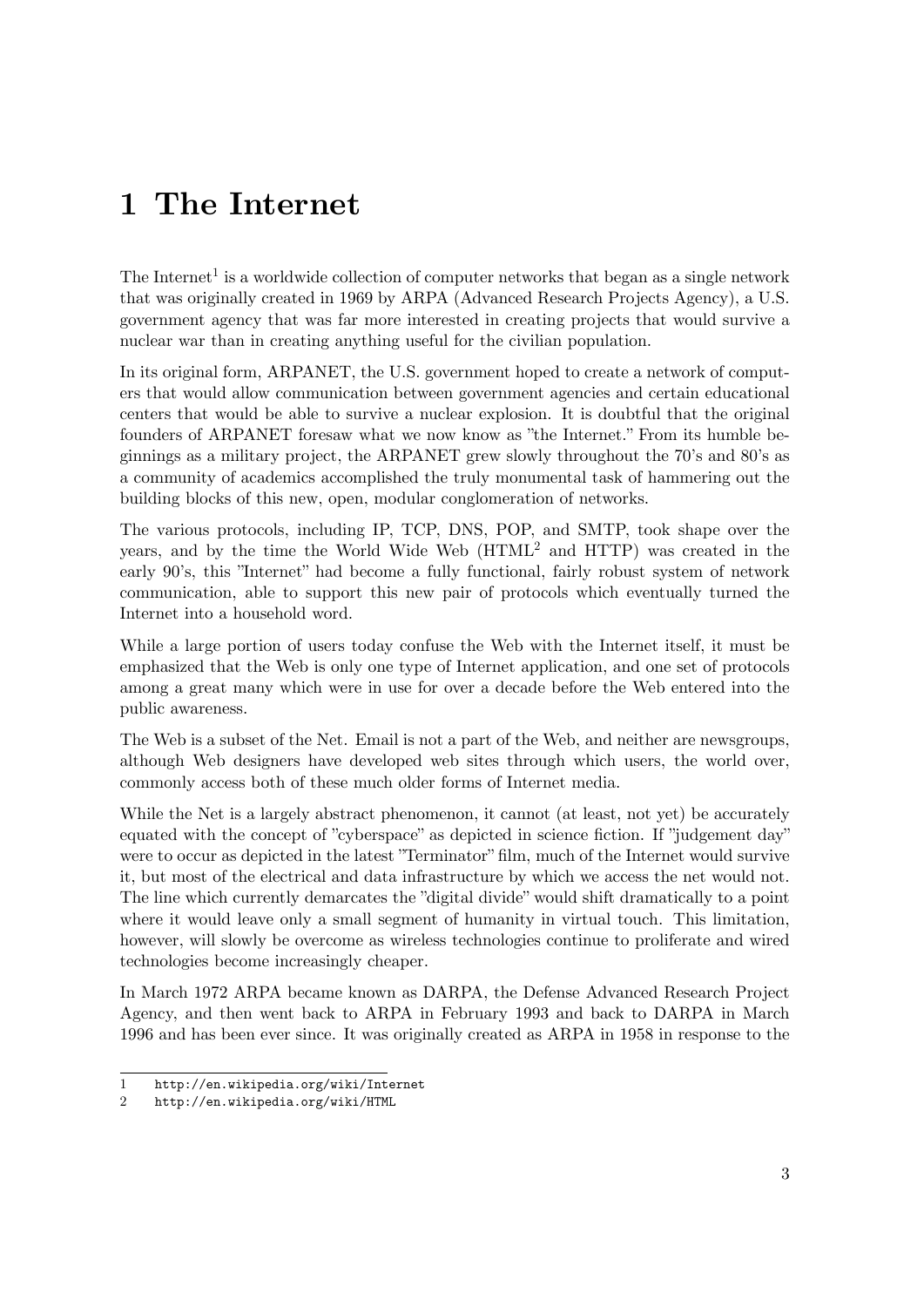# <span id="page-6-0"></span>**1 The Internet**

The Internet<sup>[1](#page-6-1)</sup> is a worldwide collection of computer networks that began as a single network that was originally created in 1969 by ARPA (Advanced Research Projects Agency), a U.S. government agency that was far more interested in creating projects that would survive a nuclear war than in creating anything useful for the civilian population.

In its original form, ARPANET, the U.S. government hoped to create a network of computers that would allow communication between government agencies and certain educational centers that would be able to survive a nuclear explosion. It is doubtful that the original founders of ARPANET foresaw what we now know as "the Internet." From its humble beginnings as a military project, the ARPANET grew slowly throughout the 70's and 80's as a community of academics accomplished the truly monumental task of hammering out the building blocks of this new, open, modular conglomeration of networks.

The various protocols, including IP, TCP, DNS, POP, and SMTP, took shape over the years, and by the time the World Wide Web (HTML[2](#page-6-2) and HTTP) was created in the early 90's, this "Internet" had become a fully functional, fairly robust system of network communication, able to support this new pair of protocols which eventually turned the Internet into a household word.

While a large portion of users today confuse the Web with the Internet itself, it must be emphasized that the Web is only one type of Internet application, and one set of protocols among a great many which were in use for over a decade before the Web entered into the public awareness.

The Web is a subset of the Net. Email is not a part of the Web, and neither are newsgroups, although Web designers have developed web sites through which users, the world over, commonly access both of these much older forms of Internet media.

While the Net is a largely abstract phenomenon, it cannot (at least, not yet) be accurately equated with the concept of "cyberspace" as depicted in science fiction. If "judgement day" were to occur as depicted in the latest "Terminator" film, much of the Internet would survive it, but most of the electrical and data infrastructure by which we access the net would not. The line which currently demarcates the "digital divide" would shift dramatically to a point where it would leave only a small segment of humanity in virtual touch. This limitation, however, will slowly be overcome as wireless technologies continue to proliferate and wired technologies become increasingly cheaper.

In March 1972 ARPA became known as DARPA, the Defense Advanced Research Project Agency, and then went back to ARPA in February 1993 and back to DARPA in March 1996 and has been ever since. It was originally created as ARPA in 1958 in response to the

<span id="page-6-1"></span><sup>1</sup> <http://en.wikipedia.org/wiki/Internet>

<span id="page-6-2"></span><sup>2</sup> <http://en.wikipedia.org/wiki/HTML>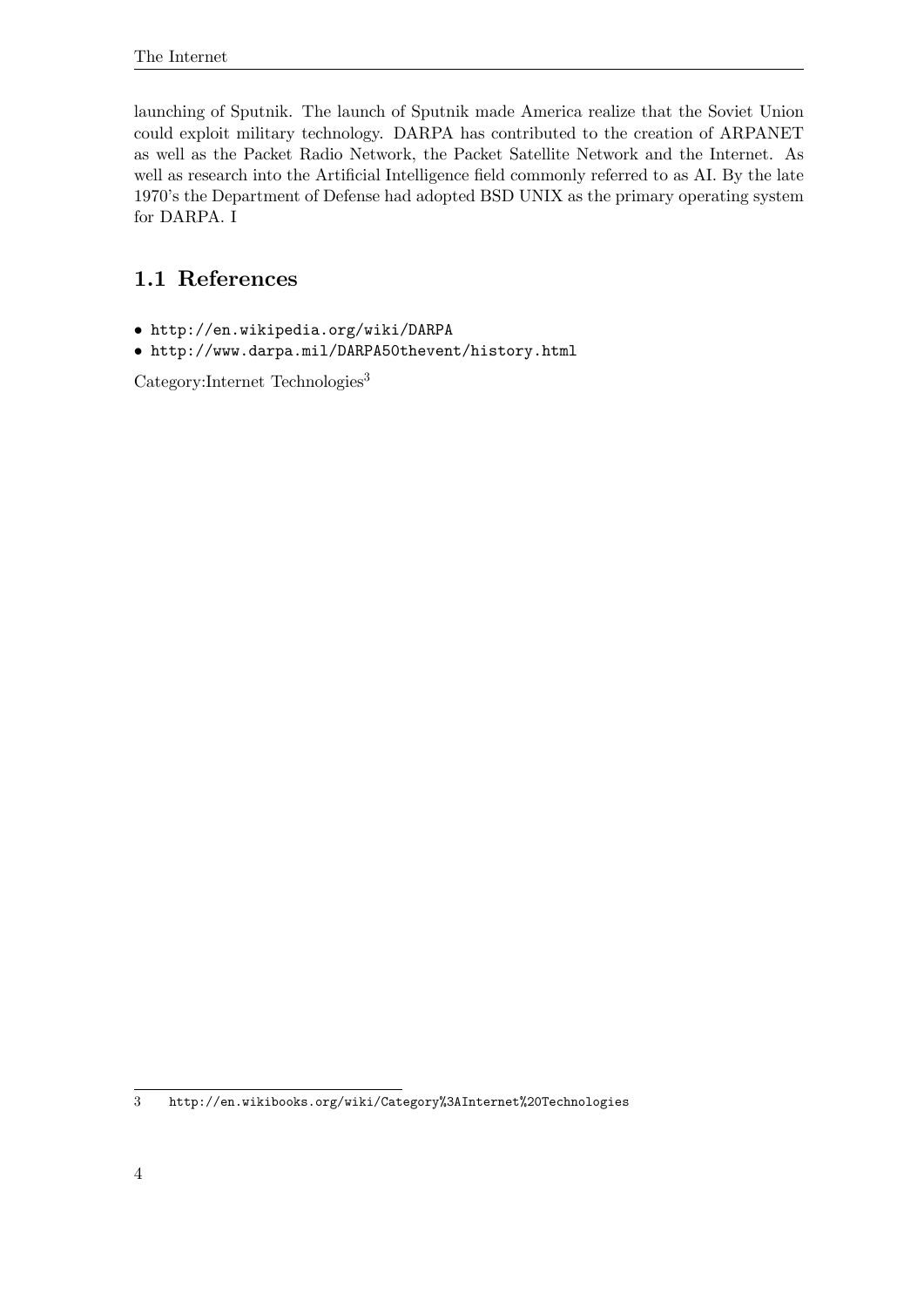launching of Sputnik. The launch of Sputnik made America realize that the Soviet Union could exploit military technology. DARPA has contributed to the creation of ARPANET as well as the Packet Radio Network, the Packet Satellite Network and the Internet. As well as research into the Artificial Intelligence field commonly referred to as AI. By the late 1970's the Department of Defense had adopted BSD UNIX as the primary operating system for DARPA. I

## <span id="page-7-0"></span>**1.1 References**

- <http://en.wikipedia.org/wiki/DARPA>
- <http://www.darpa.mil/DARPA50thevent/history.html>

 $\sf Category{:}Internet\text{ Technologies}^3$  $\sf Category{:}Internet\text{ Technologies}^3$ 

<span id="page-7-1"></span><sup>3</sup> <http://en.wikibooks.org/wiki/Category%3AInternet%20Technologies>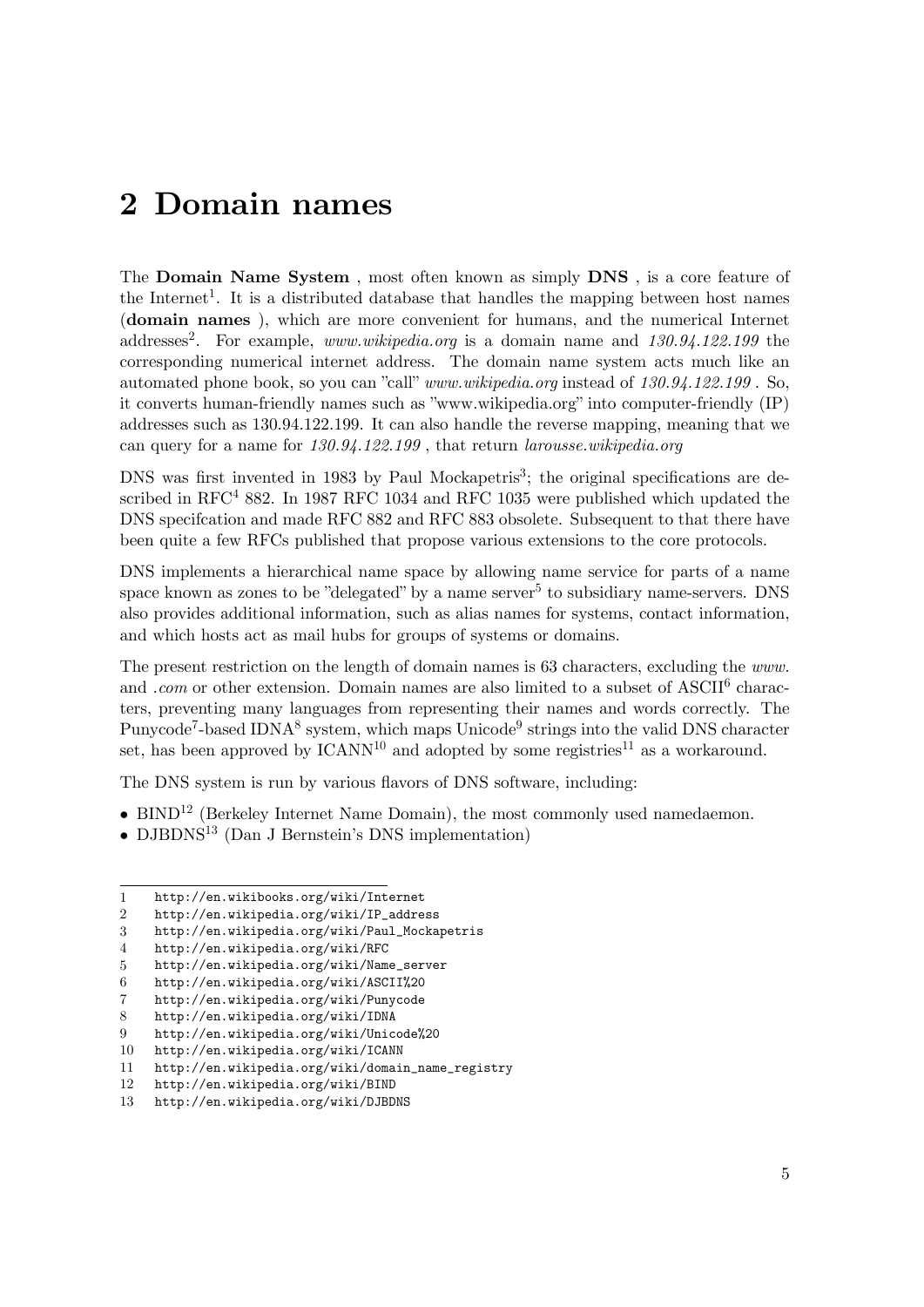## <span id="page-8-0"></span>**2 Domain names**

The **Domain Name System** , most often known as simply **DNS** , is a core feature of the Internet<sup>[1](#page-8-1)</sup>. It is a distributed database that handles the mapping between host names (**domain names** ), which are more convenient for humans, and the numerical Internet addresses<sup>[2](#page-8-2)</sup>. For example, *www.wikipedia.org* is a domain name and 130.94.122.199 the corresponding numerical internet address. The domain name system acts much like an automated phone book, so you can "call" *www.wikipedia.org* instead of *130.94.122.199* . So, it converts human-friendly names such as "www.wikipedia.org" into computer-friendly (IP) addresses such as 130.94.122.199. It can also handle the reverse mapping, meaning that we can query for a name for *130.94.122.199* , that return *larousse.wikipedia.org*

DNS was first invented in 198[3](#page-8-3) by Paul Mockapetris<sup>3</sup>; the original specifications are described in  $RFC<sup>4</sup> 882$  $RFC<sup>4</sup> 882$  $RFC<sup>4</sup> 882$ . In 1987 RFC 1034 and RFC 1035 were published which updated the DNS specifcation and made RFC 882 and RFC 883 obsolete. Subsequent to that there have been quite a few RFCs published that propose various extensions to the core protocols.

DNS implements a hierarchical name space by allowing name service for parts of a name space known as zones to be "delegated" by a name server<sup>[5](#page-8-5)</sup> to subsidiary name-servers. DNS also provides additional information, such as alias names for systems, contact information, and which hosts act as mail hubs for groups of systems or domains.

The present restriction on the length of domain names is 63 characters, excluding the *www.* and *.com* or other extension. Domain names are also limited to a subset of ASCII<sup>[6](#page-8-6)</sup> characters, preventing many languages from representing their names and words correctly. The Punycode<sup>[7](#page-8-7)</sup>-based IDNA<sup>[8](#page-8-8)</sup> system, which maps Unicode<sup>[9](#page-8-9)</sup> strings into the valid DNS character set, has been approved by  $ICANN^{10}$  $ICANN^{10}$  $ICANN^{10}$  and adopted by some registries<sup>[11](#page-8-11)</sup> as a workaround.

The DNS system is run by various flavors of DNS software, including:

- BIND<sup>[12](#page-8-12)</sup> (Berkeley Internet Name Domain), the most commonly used namedaemon.
- DJBDNS<sup>[13](#page-8-13)</sup> (Dan J Bernstein's DNS implementation)

<span id="page-8-1"></span><sup>1</sup> <http://en.wikibooks.org/wiki/Internet>

<span id="page-8-2"></span><sup>2</sup> [http://en.wikipedia.org/wiki/IP\\_address](http://en.wikipedia.org/wiki/IP_address)

<span id="page-8-3"></span><sup>3</sup> [http://en.wikipedia.org/wiki/Paul\\_Mockapetris](http://en.wikipedia.org/wiki/Paul_Mockapetris)

<span id="page-8-5"></span><span id="page-8-4"></span><sup>4</sup> <http://en.wikipedia.org/wiki/RFC>

<sup>5</sup> [http://en.wikipedia.org/wiki/Name\\_server](http://en.wikipedia.org/wiki/Name_server)

<span id="page-8-6"></span><sup>6</sup> <http://en.wikipedia.org/wiki/ASCII%20>

<span id="page-8-7"></span><sup>7</sup> <http://en.wikipedia.org/wiki/Punycode>

<span id="page-8-8"></span><sup>8</sup> <http://en.wikipedia.org/wiki/IDNA>

<span id="page-8-9"></span><sup>9</sup> <http://en.wikipedia.org/wiki/Unicode%20>

<span id="page-8-10"></span><sup>10</sup> <http://en.wikipedia.org/wiki/ICANN>

<span id="page-8-11"></span><sup>11</sup> [http://en.wikipedia.org/wiki/domain\\_name\\_registry](http://en.wikipedia.org/wiki/domain_name_registry)

<span id="page-8-12"></span><sup>12</sup> <http://en.wikipedia.org/wiki/BIND>

<span id="page-8-13"></span><sup>13</sup> <http://en.wikipedia.org/wiki/DJBDNS>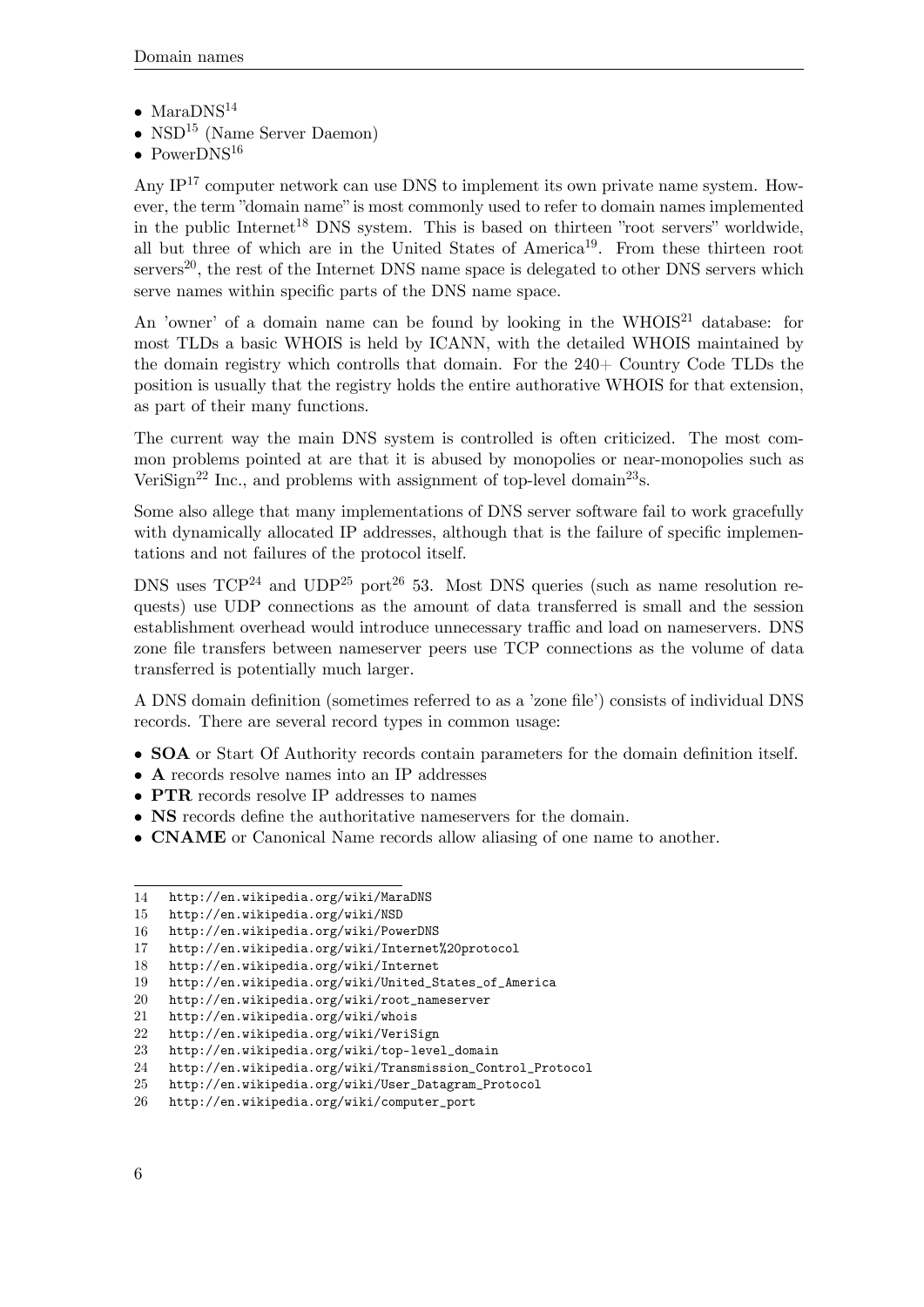- Mara $DNS^{14}$  $DNS^{14}$  $DNS^{14}$
- $NSD<sup>15</sup>$  $NSD<sup>15</sup>$  $NSD<sup>15</sup>$  (Name Server Daemon)
- PowerDNS<sup>[16](#page-9-2)</sup>

Any  $IP<sup>17</sup>$  $IP<sup>17</sup>$  $IP<sup>17</sup>$  computer network can use DNS to implement its own private name system. However, the term "domain name" is most commonly used to refer to domain names implemented in the public Internet<sup>[18](#page-9-4)</sup> DNS system. This is based on thirteen "root servers" worldwide, all but three of which are in the United States of America<sup>[19](#page-9-5)</sup>. From these thirteen root servers<sup>[20](#page-9-6)</sup>, the rest of the Internet DNS name space is delegated to other DNS servers which serve names within specific parts of the DNS name space.

An 'owner' of a domain name can be found by looking in the WHOIS<sup>[21](#page-9-7)</sup> database: for most TLDs a basic WHOIS is held by ICANN, with the detailed WHOIS maintained by the domain registry which controlls that domain. For the 240+ Country Code TLDs the position is usually that the registry holds the entire authorative WHOIS for that extension, as part of their many functions.

The current way the main DNS system is controlled is often criticized. The most common problems pointed at are that it is abused by monopolies or near-monopolies such as VeriSign<sup>[22](#page-9-8)</sup> Inc., and problems with assignment of top-level domain<sup>[23](#page-9-9)</sup>s.

Some also allege that many implementations of DNS server software fail to work gracefully with dynamically allocated IP addresses, although that is the failure of specific implementations and not failures of the protocol itself.

DNS uses  $TCP^{24}$  $TCP^{24}$  $TCP^{24}$  and  $UDP^{25}$  $UDP^{25}$  $UDP^{25}$  port<sup>[26](#page-9-12)</sup> 53. Most DNS queries (such as name resolution requests) use UDP connections as the amount of data transferred is small and the session establishment overhead would introduce unnecessary traffic and load on nameservers. DNS zone file transfers between nameserver peers use TCP connections as the volume of data transferred is potentially much larger.

A DNS domain definition (sometimes referred to as a 'zone file') consists of individual DNS records. There are several record types in common usage:

- **SOA** or Start Of Authority records contain parameters for the domain definition itself.
- **A** records resolve names into an IP addresses
- **PTR** records resolve IP addresses to names
- **NS** records define the authoritative nameservers for the domain.
- **CNAME** or Canonical Name records allow aliasing of one name to another.

<span id="page-9-0"></span><sup>14</sup> <http://en.wikipedia.org/wiki/MaraDNS>

<span id="page-9-1"></span><sup>15</sup> <http://en.wikipedia.org/wiki/NSD>

<span id="page-9-2"></span><sup>16</sup> <http://en.wikipedia.org/wiki/PowerDNS>

<span id="page-9-3"></span><sup>17</sup> <http://en.wikipedia.org/wiki/Internet%20protocol><br>18 http://en.wikipedia.org/wiki/Internet

<span id="page-9-4"></span><http://en.wikipedia.org/wiki/Internet>

<span id="page-9-5"></span><sup>19</sup> [http://en.wikipedia.org/wiki/United\\_States\\_of\\_America](http://en.wikipedia.org/wiki/United_States_of_America)

<span id="page-9-6"></span><sup>20</sup> [http://en.wikipedia.org/wiki/root\\_nameserver](http://en.wikipedia.org/wiki/root_nameserver)

<span id="page-9-7"></span><sup>21</sup> <http://en.wikipedia.org/wiki/whois>

<span id="page-9-8"></span><sup>22</sup> <http://en.wikipedia.org/wiki/VeriSign>

<span id="page-9-9"></span><sup>23</sup> [http://en.wikipedia.org/wiki/top-level\\_domain](http://en.wikipedia.org/wiki/top-level_domain)

<span id="page-9-10"></span><sup>24</sup> [http://en.wikipedia.org/wiki/Transmission\\_Control\\_Protocol](http://en.wikipedia.org/wiki/Transmission_Control_Protocol)

<span id="page-9-11"></span><sup>25</sup> [http://en.wikipedia.org/wiki/User\\_Datagram\\_Protocol](http://en.wikipedia.org/wiki/User_Datagram_Protocol)

<span id="page-9-12"></span><sup>26</sup> [http://en.wikipedia.org/wiki/computer\\_port](http://en.wikipedia.org/wiki/computer_port)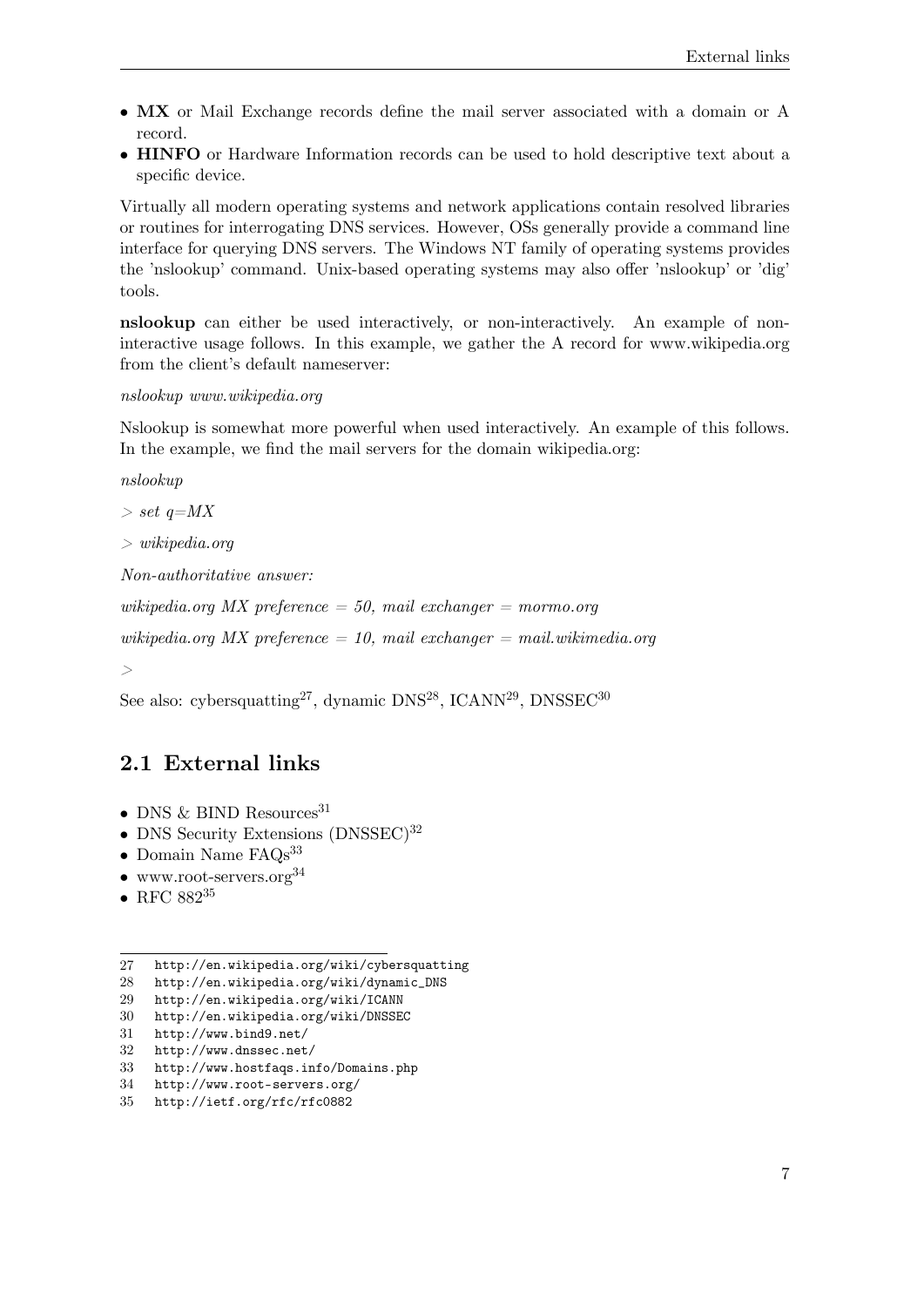- **MX** or Mail Exchange records define the mail server associated with a domain or A record.
- **HINFO** or Hardware Information records can be used to hold descriptive text about a specific device.

Virtually all modern operating systems and network applications contain resolved libraries or routines for interrogating DNS services. However, OSs generally provide a command line interface for querying DNS servers. The Windows NT family of operating systems provides the 'nslookup' command. Unix-based operating systems may also offer 'nslookup' or 'dig' tools.

**nslookup** can either be used interactively, or non-interactively. An example of noninteractive usage follows. In this example, we gather the A record for www.wikipedia.org from the client's default nameserver:

*nslookup www.wikipedia.org*

Nslookup is somewhat more powerful when used interactively. An example of this follows. In the example, we find the mail servers for the domain wikipedia.org:

*nslookup*

*> set q=MX*

*> wikipedia.org*

*Non-authoritative answer:*

*wikipedia.org MX preference = 50, mail exchanger = mormo.org*

*wikipedia.org MX preference = 10, mail exchanger = mail.wikimedia.org*

*>*

See also: cybersquatting<sup>[27](#page-10-1)</sup>, dynamic DNS<sup>[28](#page-10-2)</sup>, ICANN<sup>[29](#page-10-3)</sup>, DNSSEC<sup>[30](#page-10-4)</sup>

#### <span id="page-10-0"></span>**2.1 External links**

- DNS & BIND Resources<sup>[31](#page-10-5)</sup>
- DNS Security Extensions (DNSSEC)<sup>[32](#page-10-6)</sup>
- Domain Name FAQs<sup>[33](#page-10-7)</sup>
- www.root-servers.org $34$
- RFC  $882^{35}$  $882^{35}$  $882^{35}$

- <span id="page-10-4"></span>30 <http://en.wikipedia.org/wiki/DNSSEC>
- <span id="page-10-5"></span>31 <http://www.bind9.net/>
- <span id="page-10-6"></span>32 <http://www.dnssec.net/>
- <span id="page-10-7"></span>33 <http://www.hostfaqs.info/Domains.php>
- <span id="page-10-9"></span><span id="page-10-8"></span>34 <http://www.root-servers.org/> 35 <http://ietf.org/rfc/rfc0882>

<span id="page-10-1"></span><sup>27</sup> <http://en.wikipedia.org/wiki/cybersquatting>

<span id="page-10-2"></span><sup>28</sup> [http://en.wikipedia.org/wiki/dynamic\\_DNS](http://en.wikipedia.org/wiki/dynamic_DNS)

<span id="page-10-3"></span><sup>29</sup> <http://en.wikipedia.org/wiki/ICANN>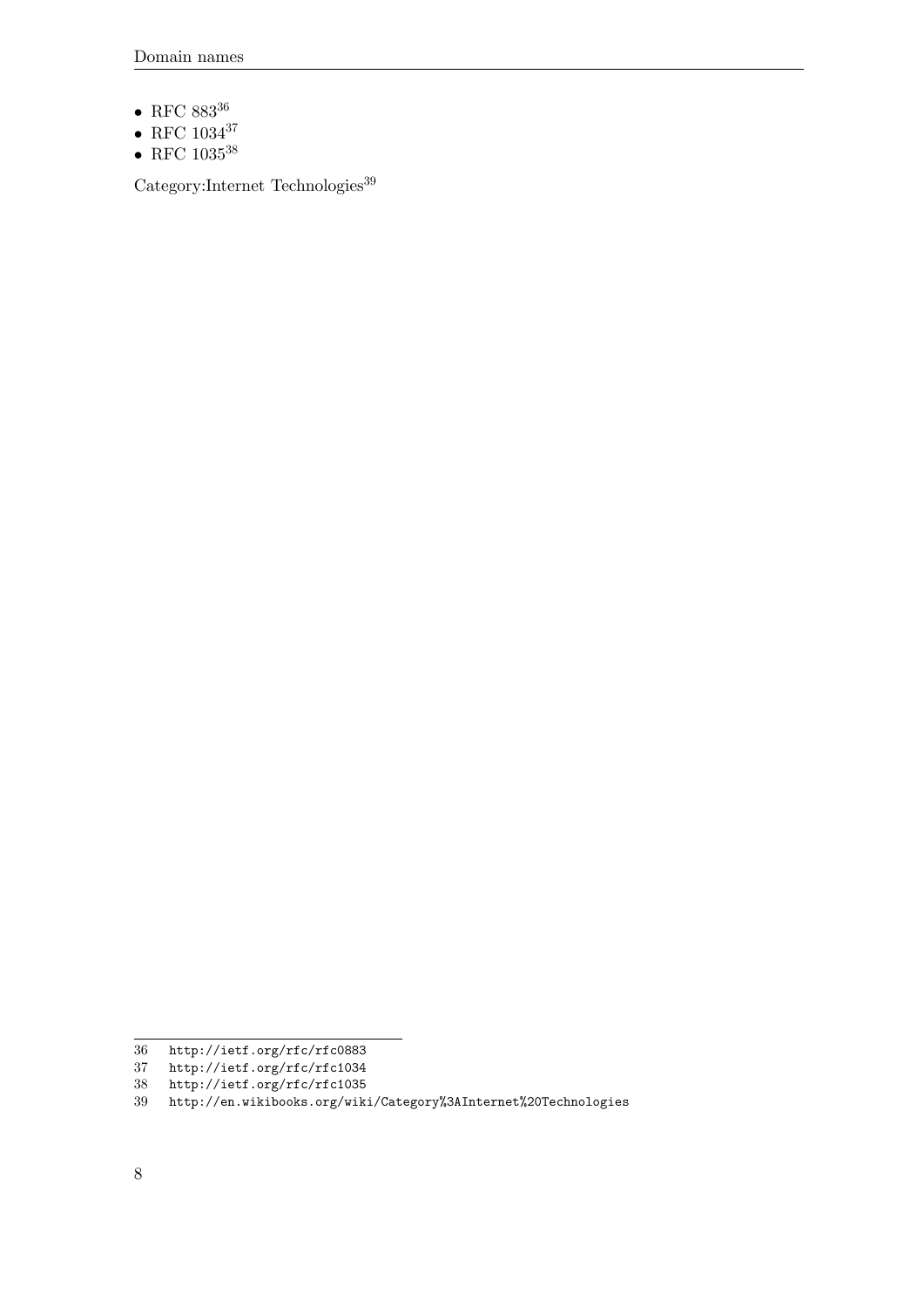- $\bullet$  RFC 883 $^{36}$  $^{36}$  $^{36}$
- RFC  $1034^{37}$  $1034^{37}$  $1034^{37}$
- RFC  $1035^{38}$  $1035^{38}$  $1035^{38}$

 $\rm Category: Internet$   $\rm Technologies^{39}$  $\rm Technologies^{39}$  $\rm Technologies^{39}$ 

<span id="page-11-0"></span><sup>36</sup> <http://ietf.org/rfc/rfc0883>

<span id="page-11-1"></span><sup>37</sup> <http://ietf.org/rfc/rfc1034>

<span id="page-11-3"></span><span id="page-11-2"></span><sup>38</sup> <http://ietf.org/rfc/rfc1035>

<sup>39</sup> <http://en.wikibooks.org/wiki/Category%3AInternet%20Technologies>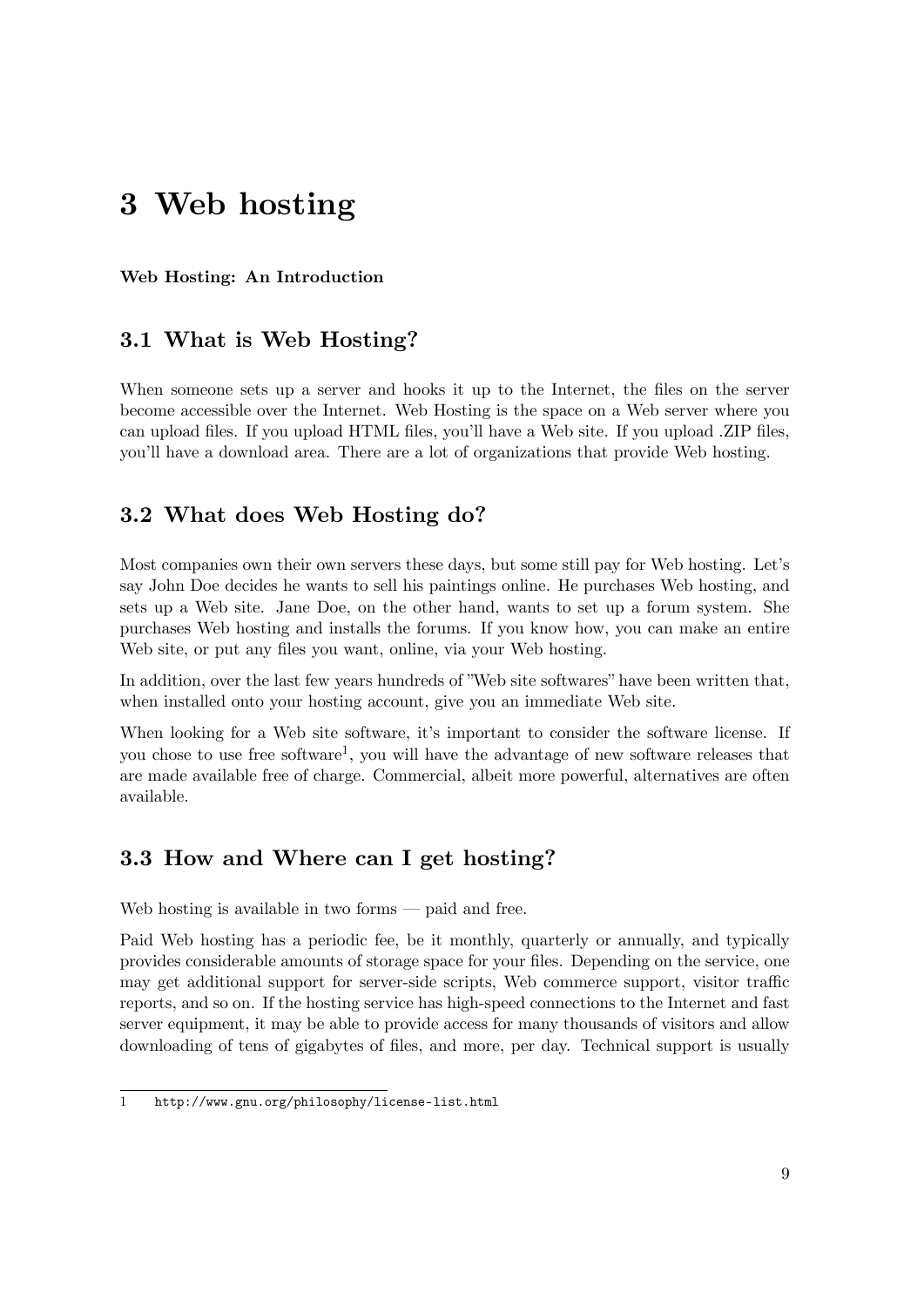## <span id="page-12-0"></span>**3 Web hosting**

#### **Web Hosting: An Introduction**

#### <span id="page-12-1"></span>**3.1 What is Web Hosting?**

When someone sets up a server and hooks it up to the Internet, the files on the server become accessible over the Internet. Web Hosting is the space on a Web server where you can upload files. If you upload HTML files, you'll have a Web site. If you upload .ZIP files, you'll have a download area. There are a lot of organizations that provide Web hosting.

#### <span id="page-12-2"></span>**3.2 What does Web Hosting do?**

Most companies own their own servers these days, but some still pay for Web hosting. Let's say John Doe decides he wants to sell his paintings online. He purchases Web hosting, and sets up a Web site. Jane Doe, on the other hand, wants to set up a forum system. She purchases Web hosting and installs the forums. If you know how, you can make an entire Web site, or put any files you want, online, via your Web hosting.

In addition, over the last few years hundreds of "Web site softwares" have been written that, when installed onto your hosting account, give you an immediate Web site.

When looking for a Web site software, it's important to consider the software license. If you chose to use free software<sup>[1](#page-12-4)</sup>, you will have the advantage of new software releases that are made available free of charge. Commercial, albeit more powerful, alternatives are often available.

#### <span id="page-12-3"></span>**3.3 How and Where can I get hosting?**

Web hosting is available in two forms — paid and free.

Paid Web hosting has a periodic fee, be it monthly, quarterly or annually, and typically provides considerable amounts of storage space for your files. Depending on the service, one may get additional support for server-side scripts, Web commerce support, visitor traffic reports, and so on. If the hosting service has high-speed connections to the Internet and fast server equipment, it may be able to provide access for many thousands of visitors and allow downloading of tens of gigabytes of files, and more, per day. Technical support is usually

<span id="page-12-4"></span><sup>1</sup> <http://www.gnu.org/philosophy/license-list.html>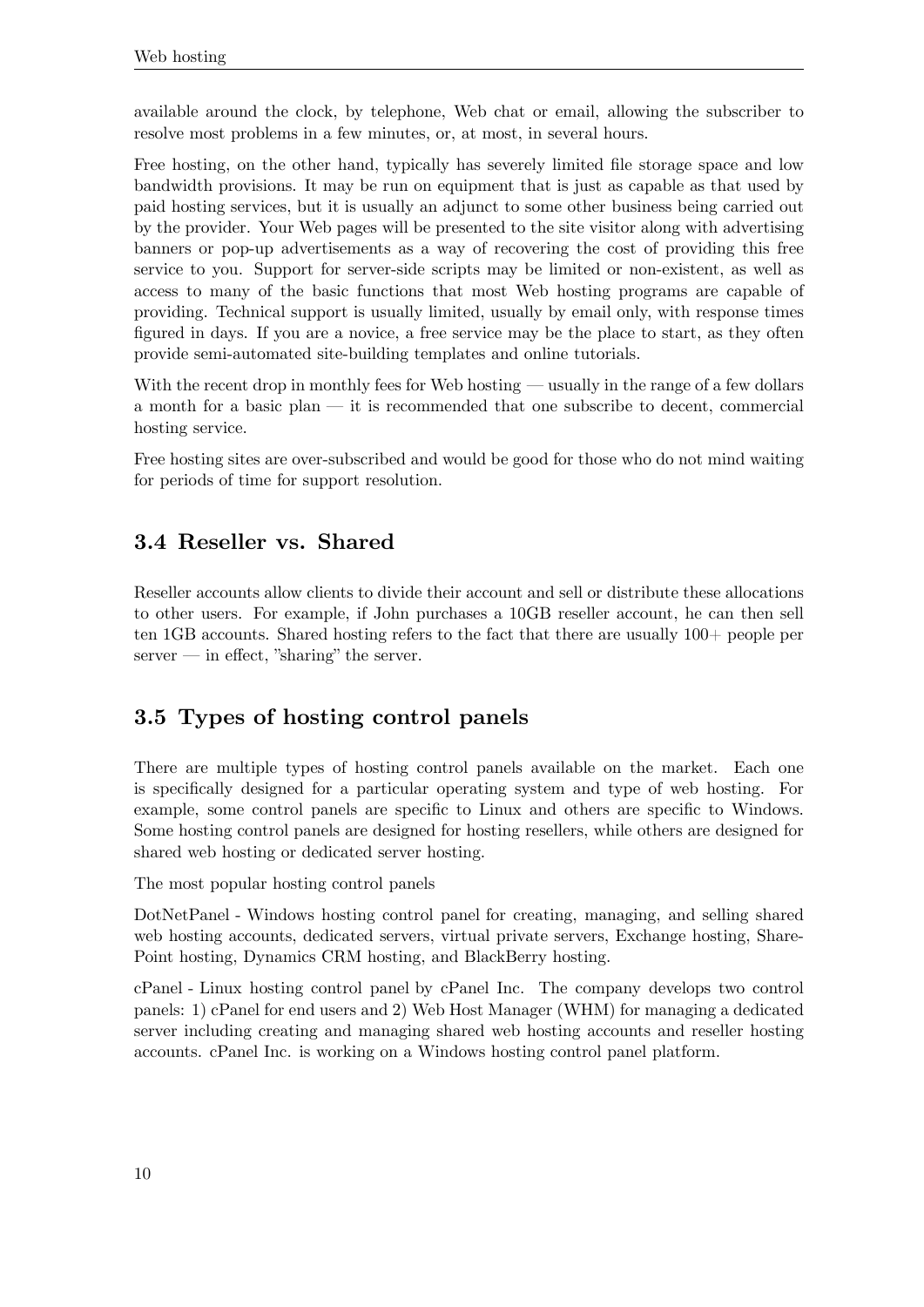available around the clock, by telephone, Web chat or email, allowing the subscriber to resolve most problems in a few minutes, or, at most, in several hours.

Free hosting, on the other hand, typically has severely limited file storage space and low bandwidth provisions. It may be run on equipment that is just as capable as that used by paid hosting services, but it is usually an adjunct to some other business being carried out by the provider. Your Web pages will be presented to the site visitor along with advertising banners or pop-up advertisements as a way of recovering the cost of providing this free service to you. Support for server-side scripts may be limited or non-existent, as well as access to many of the basic functions that most Web hosting programs are capable of providing. Technical support is usually limited, usually by email only, with response times figured in days. If you are a novice, a free service may be the place to start, as they often provide semi-automated site-building templates and online tutorials.

With the recent drop in monthly fees for Web hosting — usually in the range of a few dollars a month for a basic plan — it is recommended that one subscribe to decent, commercial hosting service.

Free hosting sites are over-subscribed and would be good for those who do not mind waiting for periods of time for support resolution.

#### <span id="page-13-0"></span>**3.4 Reseller vs. Shared**

Reseller accounts allow clients to divide their account and sell or distribute these allocations to other users. For example, if John purchases a 10GB reseller account, he can then sell ten 1GB accounts. Shared hosting refers to the fact that there are usually 100+ people per  $s$ erver — in effect, "sharing" the server.

### <span id="page-13-1"></span>**3.5 Types of hosting control panels**

There are multiple types of hosting control panels available on the market. Each one is specifically designed for a particular operating system and type of web hosting. For example, some control panels are specific to Linux and others are specific to Windows. Some hosting control panels are designed for hosting resellers, while others are designed for shared web hosting or dedicated server hosting.

The most popular hosting control panels

DotNetPanel - Windows hosting control panel for creating, managing, and selling shared web hosting accounts, dedicated servers, virtual private servers, Exchange hosting, Share-Point hosting, Dynamics CRM hosting, and BlackBerry hosting.

cPanel - Linux hosting control panel by cPanel Inc. The company develops two control panels: 1) cPanel for end users and 2) Web Host Manager (WHM) for managing a dedicated server including creating and managing shared web hosting accounts and reseller hosting accounts. cPanel Inc. is working on a Windows hosting control panel platform.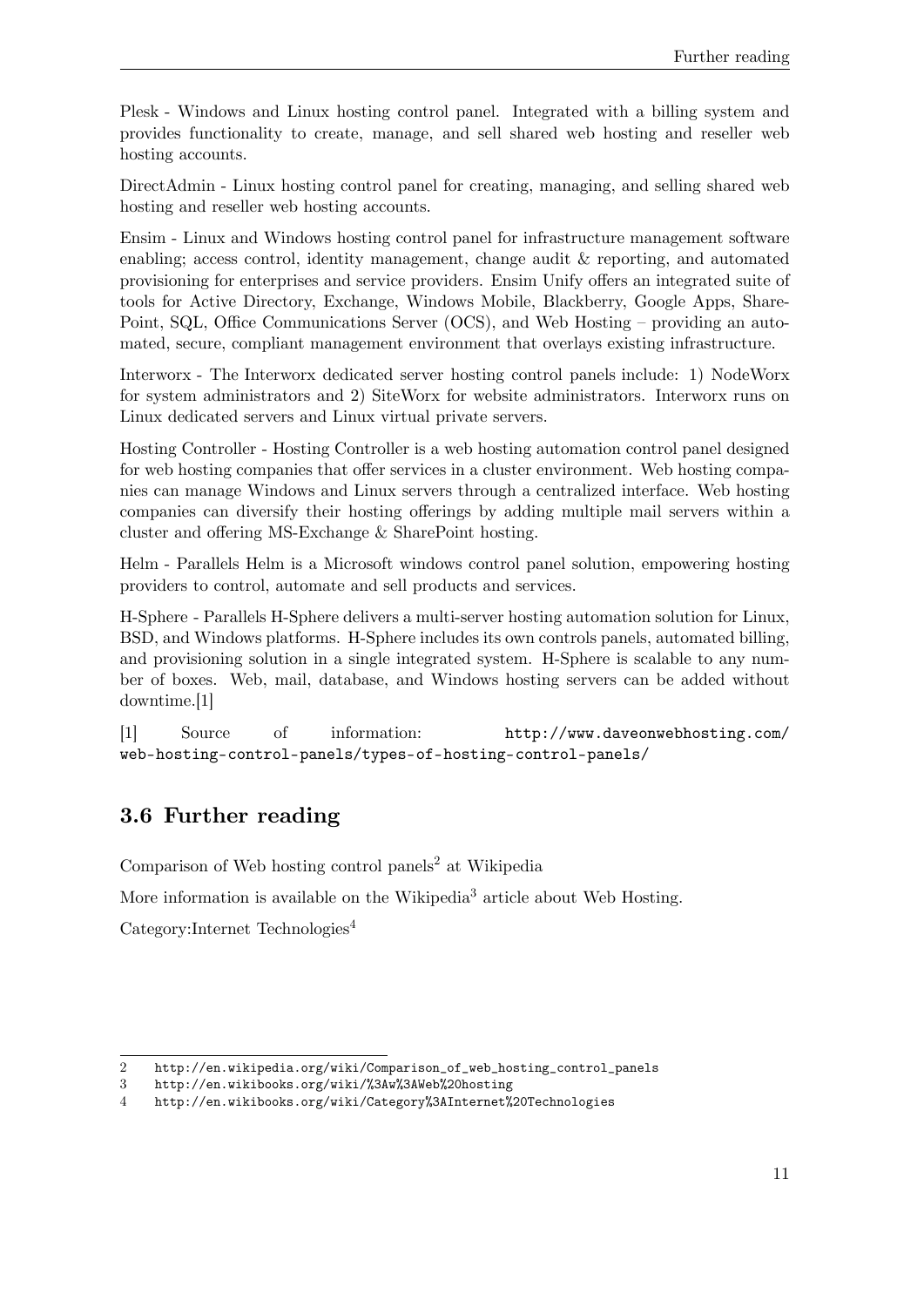Plesk - Windows and Linux hosting control panel. Integrated with a billing system and provides functionality to create, manage, and sell shared web hosting and reseller web hosting accounts.

DirectAdmin - Linux hosting control panel for creating, managing, and selling shared web hosting and reseller web hosting accounts.

Ensim - Linux and Windows hosting control panel for infrastructure management software enabling; access control, identity management, change audit & reporting, and automated provisioning for enterprises and service providers. Ensim Unify offers an integrated suite of tools for Active Directory, Exchange, Windows Mobile, Blackberry, Google Apps, Share-Point, SQL, Office Communications Server (OCS), and Web Hosting – providing an automated, secure, compliant management environment that overlays existing infrastructure.

Interworx - The Interworx dedicated server hosting control panels include: 1) NodeWorx for system administrators and 2) SiteWorx for website administrators. Interworx runs on Linux dedicated servers and Linux virtual private servers.

Hosting Controller - Hosting Controller is a web hosting automation control panel designed for web hosting companies that offer services in a cluster environment. Web hosting companies can manage Windows and Linux servers through a centralized interface. Web hosting companies can diversify their hosting offerings by adding multiple mail servers within a cluster and offering MS-Exchange & SharePoint hosting.

Helm - Parallels Helm is a Microsoft windows control panel solution, empowering hosting providers to control, automate and sell products and services.

H-Sphere - Parallels H-Sphere delivers a multi-server hosting automation solution for Linux, BSD, and Windows platforms. H-Sphere includes its own controls panels, automated billing, and provisioning solution in a single integrated system. H-Sphere is scalable to any number of boxes. Web, mail, database, and Windows hosting servers can be added without downtime.[1]

[1] Source of information: [http://www.daveonwebhosting.com/](http://www.daveonwebhosting.com/web-hosting-control-panels/types-of-hosting-control-panels/) [web-hosting-control-panels/types-of-hosting-control-panels/](http://www.daveonwebhosting.com/web-hosting-control-panels/types-of-hosting-control-panels/)

### <span id="page-14-0"></span>**3.6 Further reading**

Comparison of Web hosting control panels<sup>[2](#page-14-1)</sup> at Wikipedia

More information is available on the Wikipedia<sup>[3](#page-14-2)</sup> article about Web Hosting.

Category:Internet Technologies<sup>[4](#page-14-3)</sup>

<span id="page-14-1"></span><sup>2</sup> [http://en.wikipedia.org/wiki/Comparison\\_of\\_web\\_hosting\\_control\\_panels](http://en.wikipedia.org/wiki/Comparison_of_web_hosting_control_panels)

<span id="page-14-2"></span><sup>3</sup> <http://en.wikibooks.org/wiki/%3Aw%3AWeb%20hosting>

<span id="page-14-3"></span><sup>4</sup> <http://en.wikibooks.org/wiki/Category%3AInternet%20Technologies>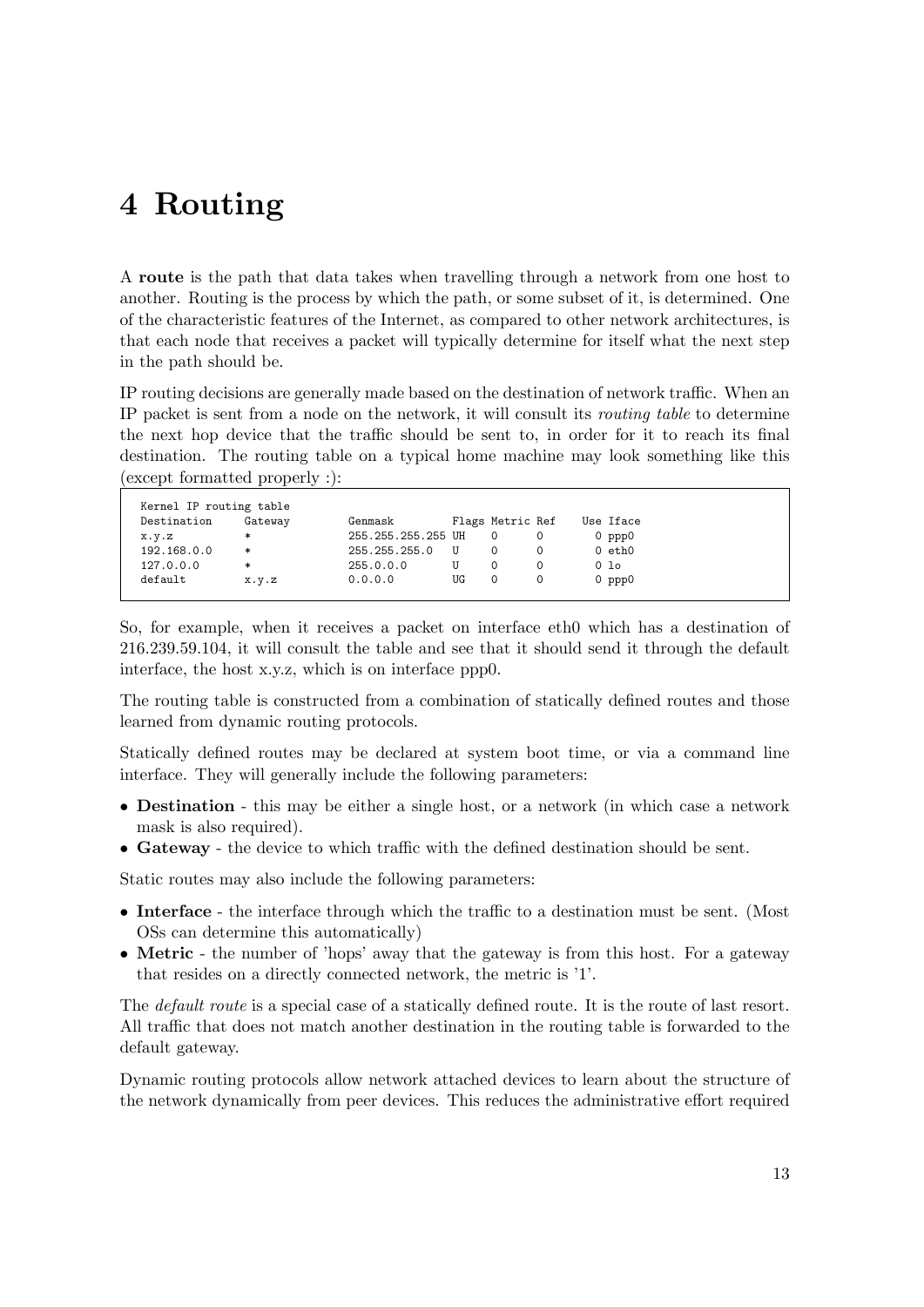## <span id="page-16-0"></span>**4 Routing**

A **route** is the path that data takes when travelling through a network from one host to another. Routing is the process by which the path, or some subset of it, is determined. One of the characteristic features of the Internet, as compared to other network architectures, is that each node that receives a packet will typically determine for itself what the next step in the path should be.

IP routing decisions are generally made based on the destination of network traffic. When an IP packet is sent from a node on the network, it will consult its *routing table* to determine the next hop device that the traffic should be sent to, in order for it to reach its final destination. The routing table on a typical home machine may look something like this (except formatted properly :):

| Destination | Gateway             | Genmask            |    | Flags Metric Ref |  | Use Iface   |
|-------------|---------------------|--------------------|----|------------------|--|-------------|
| x.y.z       | $\ast$              | 255.255.255.255 UH |    |                  |  | $0$ ppp $0$ |
| 192.168.0.0 | ∗                   | 255.255.255.0      |    |                  |  | $0$ eth $0$ |
| 127.0.0.0   | $\ast$              | 255.0.0.0          | U  |                  |  | 0 lo        |
| default     | $X \cdot V \cdot Z$ | 0.0.0.0            | UG |                  |  | $0$ ppp $0$ |

So, for example, when it receives a packet on interface eth0 which has a destination of 216.239.59.104, it will consult the table and see that it should send it through the default interface, the host x.y.z, which is on interface ppp0.

The routing table is constructed from a combination of statically defined routes and those learned from dynamic routing protocols.

Statically defined routes may be declared at system boot time, or via a command line interface. They will generally include the following parameters:

- **Destination** this may be either a single host, or a network (in which case a network mask is also required).
- **Gateway** the device to which traffic with the defined destination should be sent.

Static routes may also include the following parameters:

- **Interface** the interface through which the traffic to a destination must be sent. (Most OSs can determine this automatically)
- **Metric** the number of 'hops' away that the gateway is from this host. For a gateway that resides on a directly connected network, the metric is '1'.

The *default route* is a special case of a statically defined route. It is the route of last resort. All traffic that does not match another destination in the routing table is forwarded to the default gateway.

Dynamic routing protocols allow network attached devices to learn about the structure of the network dynamically from peer devices. This reduces the administrative effort required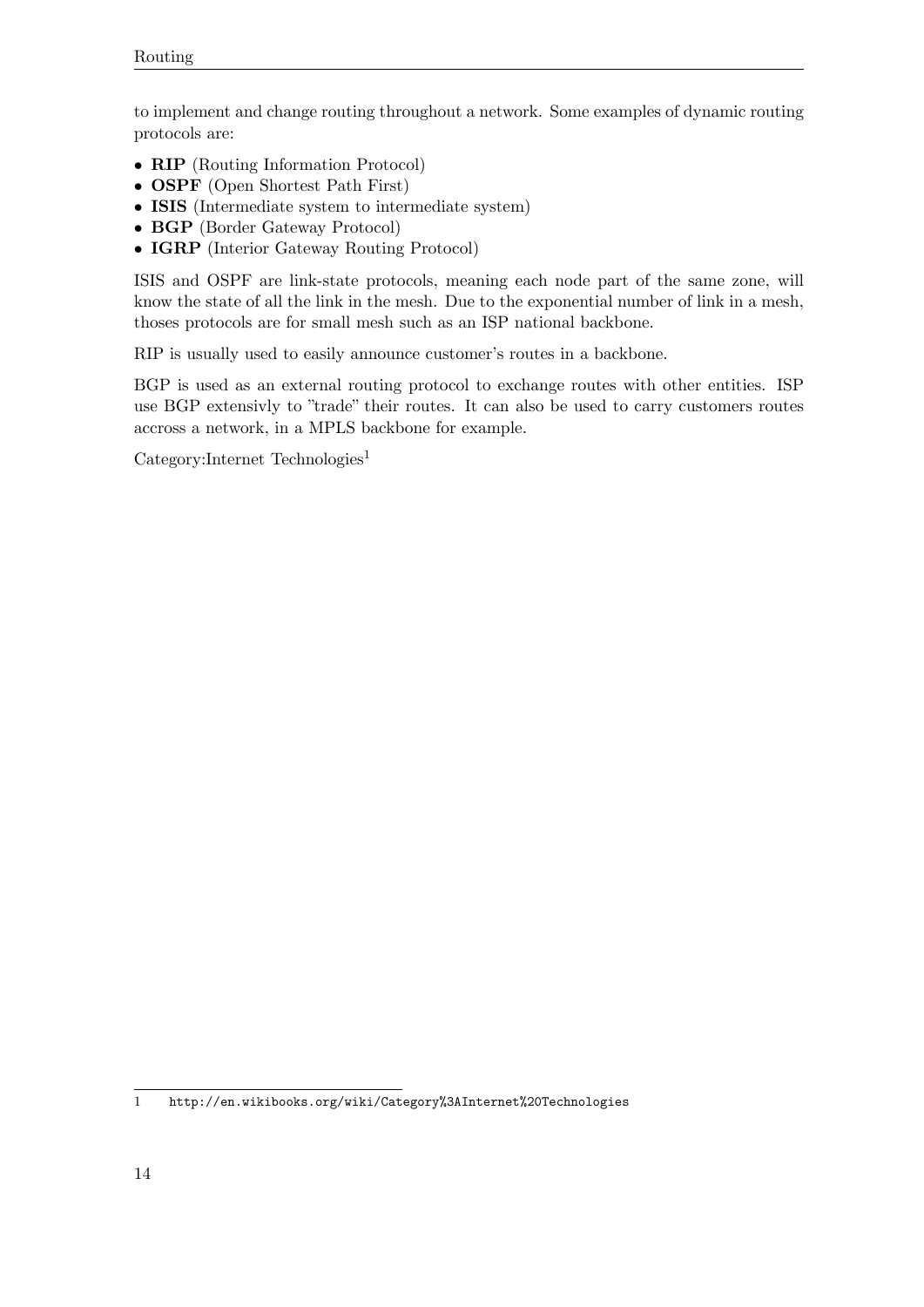to implement and change routing throughout a network. Some examples of dynamic routing protocols are:

- **RIP** (Routing Information Protocol)
- **OSPF** (Open Shortest Path First)
- **ISIS** (Intermediate system to intermediate system)
- **BGP** (Border Gateway Protocol)
- **IGRP** (Interior Gateway Routing Protocol)

ISIS and OSPF are link-state protocols, meaning each node part of the same zone, will know the state of all the link in the mesh. Due to the exponential number of link in a mesh, thoses protocols are for small mesh such as an ISP national backbone.

RIP is usually used to easily announce customer's routes in a backbone.

BGP is used as an external routing protocol to exchange routes with other entities. ISP use BGP extensivly to "trade" their routes. It can also be used to carry customers routes accross a network, in a MPLS backbone for example.

 $Categorical$ :Internet Technologies<sup>[1](#page-17-0)</sup>

<span id="page-17-0"></span><sup>1</sup> <http://en.wikibooks.org/wiki/Category%3AInternet%20Technologies>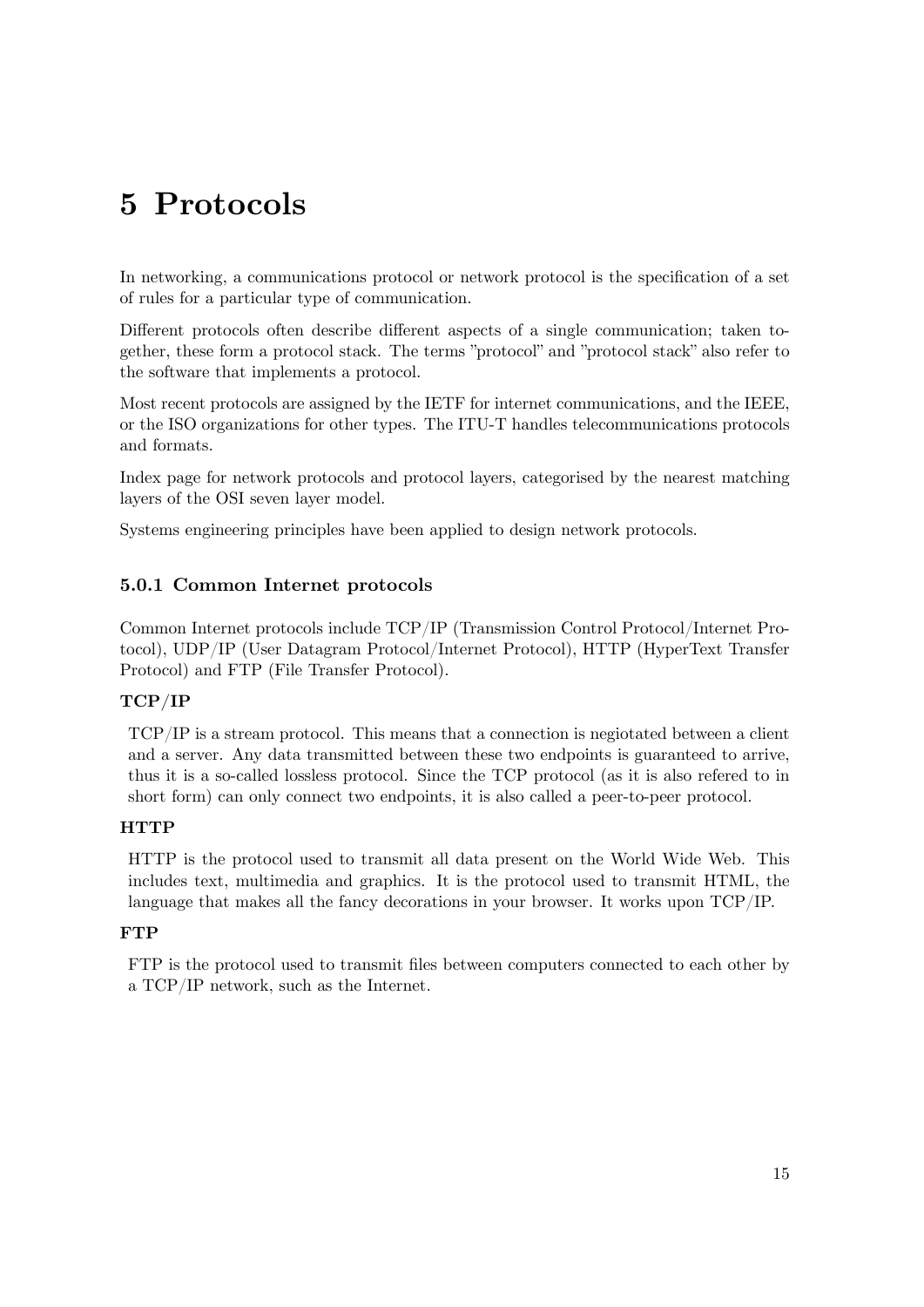# <span id="page-18-0"></span>**5 Protocols**

In networking, a communications protocol or network protocol is the specification of a set of rules for a particular type of communication.

Different protocols often describe different aspects of a single communication; taken together, these form a protocol stack. The terms "protocol" and "protocol stack" also refer to the software that implements a protocol.

Most recent protocols are assigned by the IETF for internet communications, and the IEEE, or the ISO organizations for other types. The ITU-T handles telecommunications protocols and formats.

Index page for network protocols and protocol layers, categorised by the nearest matching layers of the OSI seven layer model.

Systems engineering principles have been applied to design network protocols.

#### **5.0.1 Common Internet protocols**

Common Internet protocols include TCP/IP (Transmission Control Protocol/Internet Protocol), UDP/IP (User Datagram Protocol/Internet Protocol), HTTP (HyperText Transfer Protocol) and FTP (File Transfer Protocol).

#### **TCP/IP**

TCP/IP is a stream protocol. This means that a connection is negiotated between a client and a server. Any data transmitted between these two endpoints is guaranteed to arrive, thus it is a so-called lossless protocol. Since the TCP protocol (as it is also refered to in short form) can only connect two endpoints, it is also called a peer-to-peer protocol.

#### **HTTP**

HTTP is the protocol used to transmit all data present on the World Wide Web. This includes text, multimedia and graphics. It is the protocol used to transmit HTML, the language that makes all the fancy decorations in your browser. It works upon TCP/IP.

#### **FTP**

FTP is the protocol used to transmit files between computers connected to each other by a TCP/IP network, such as the Internet.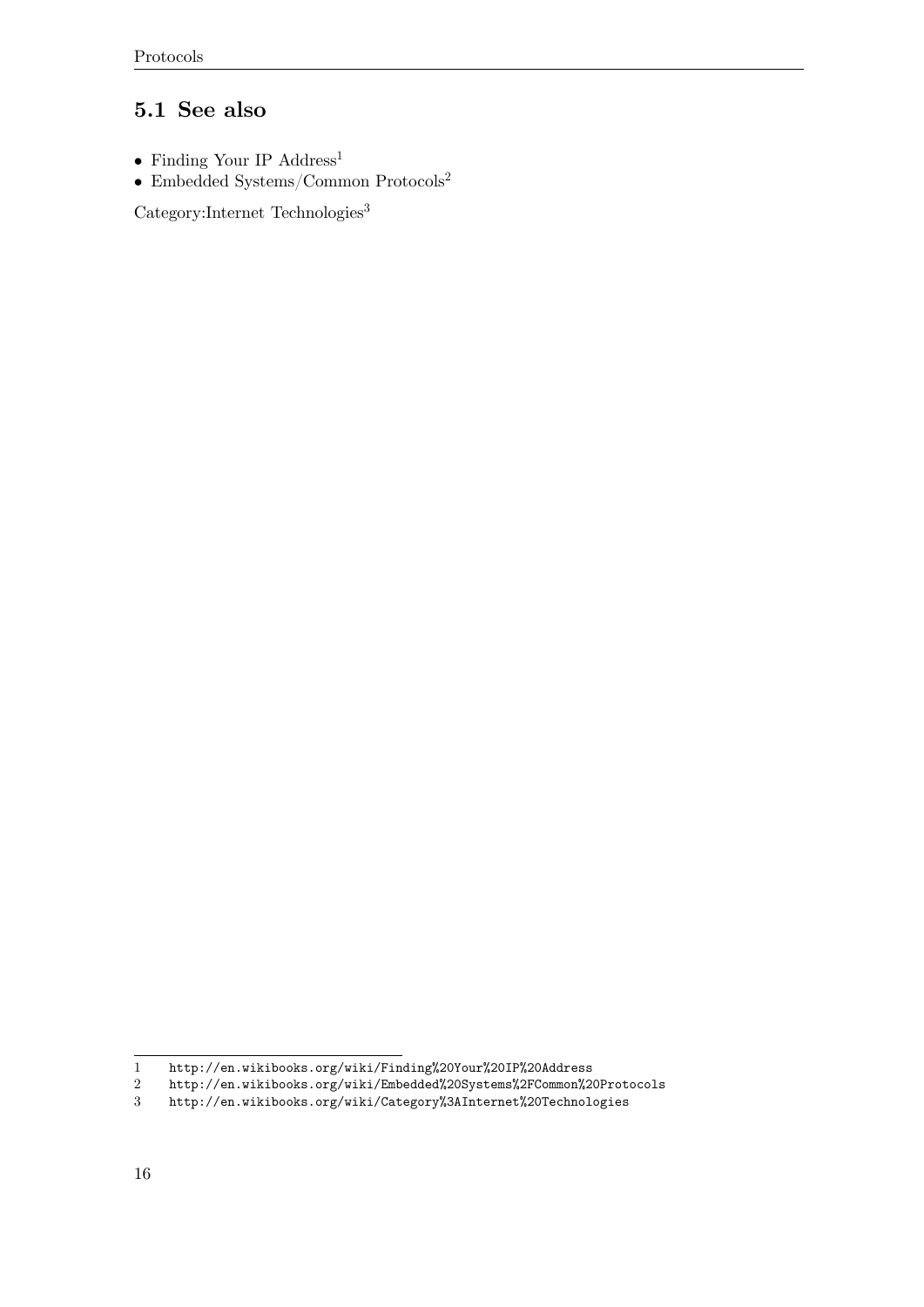#### <span id="page-19-0"></span>**5.1 See also**

- $\bullet\,$  Finding Your IP  $\rm{Address^1}$  $\rm{Address^1}$  $\rm{Address^1}$
- $\bullet~$ Embedded Systems/Common Protocols $^2$  $^2$

 $\rm Category{:}Internet$   $\rm Technologies^3$  $\rm Technologies^3$ 

<span id="page-19-1"></span><sup>1</sup> <http://en.wikibooks.org/wiki/Finding%20Your%20IP%20Address>

<span id="page-19-2"></span><sup>2</sup> <http://en.wikibooks.org/wiki/Embedded%20Systems%2FCommon%20Protocols><br>3 http://en.wikibooks.org/wiki/Category%3AInternet%20Technologies

<span id="page-19-3"></span><sup>3</sup> <http://en.wikibooks.org/wiki/Category%3AInternet%20Technologies>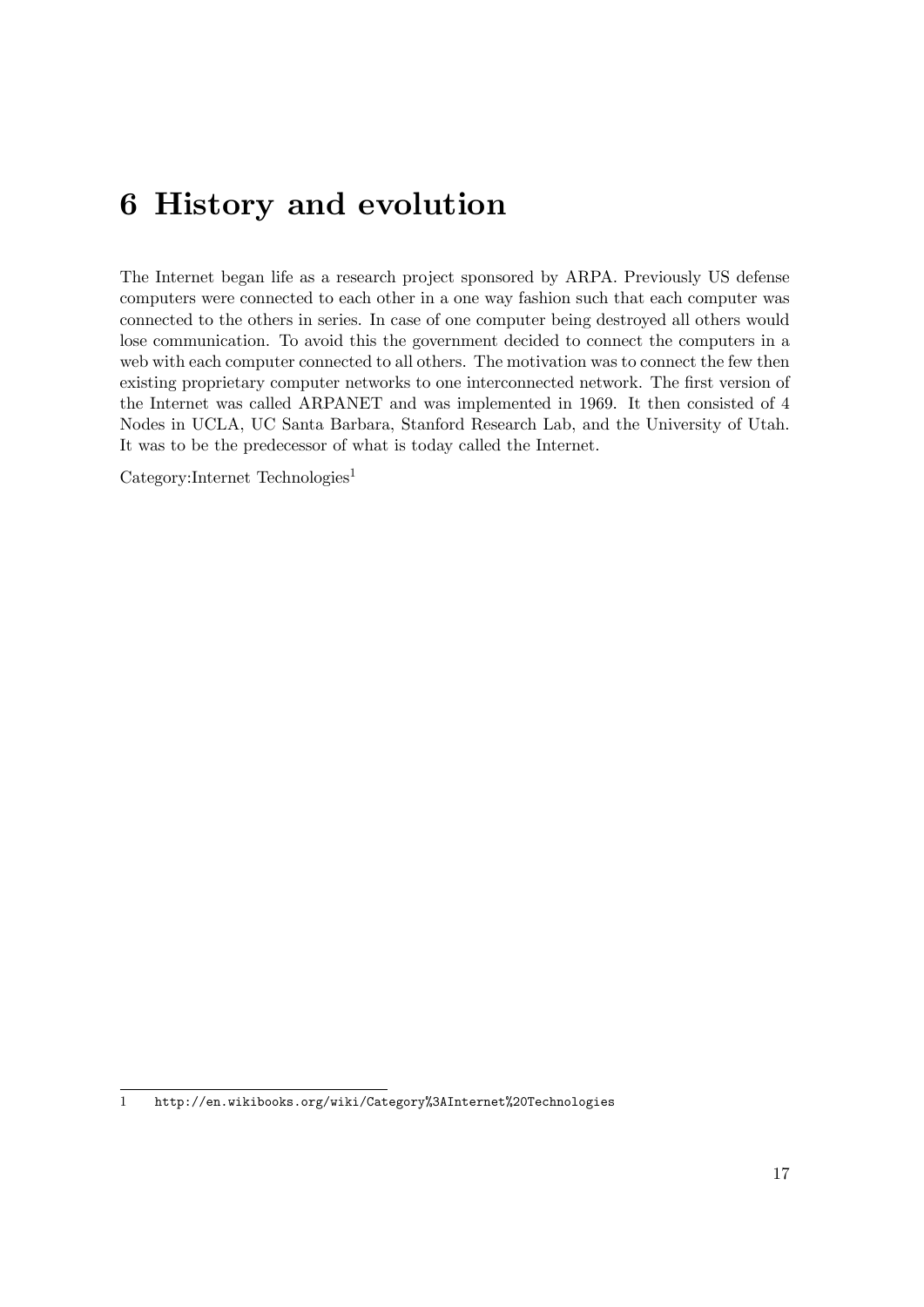## <span id="page-20-0"></span>**6 History and evolution**

The Internet began life as a research project sponsored by ARPA. Previously US defense computers were connected to each other in a one way fashion such that each computer was connected to the others in series. In case of one computer being destroyed all others would lose communication. To avoid this the government decided to connect the computers in a web with each computer connected to all others. The motivation was to connect the few then existing proprietary computer networks to one interconnected network. The first version of the Internet was called ARPANET and was implemented in 1969. It then consisted of 4 Nodes in UCLA, UC Santa Barbara, Stanford Research Lab, and the University of Utah. It was to be the predecessor of what is today called the Internet.

Category:Internet Technologies<sup>[1](#page-20-1)</sup>

<span id="page-20-1"></span><sup>1</sup> <http://en.wikibooks.org/wiki/Category%3AInternet%20Technologies>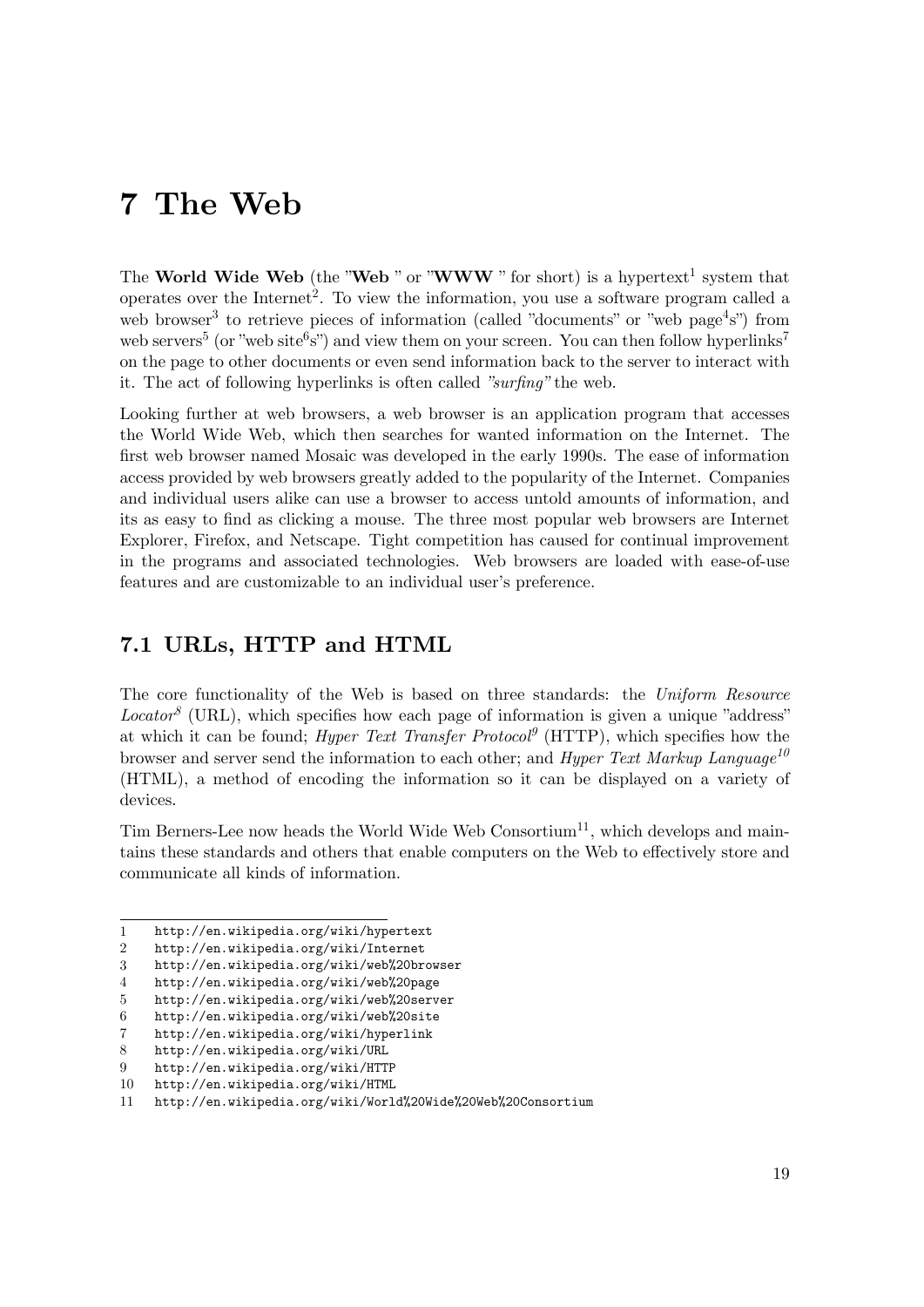## <span id="page-22-0"></span>**7 The Web**

The **World Wide Web** (the "Web" or "WWW" for short) is a hypertext<sup>[1](#page-22-2)</sup> system that operates over the Internet<sup>[2](#page-22-3)</sup>. To view the information, you use a software program called a web browser<sup>[3](#page-22-4)</sup> to retrieve pieces of information (called "documents" or "web page<sup>[4](#page-22-5)</sup>s") from web servers<sup>[5](#page-22-6)</sup> (or "web site<sup>[6](#page-22-7)</sup>s") and view them on your screen. You can then follow hyperlinks<sup>[7](#page-22-8)</sup> on the page to other documents or even send information back to the server to interact with it. The act of following hyperlinks is often called *"surfing"* the web.

Looking further at web browsers, a web browser is an application program that accesses the World Wide Web, which then searches for wanted information on the Internet. The first web browser named Mosaic was developed in the early 1990s. The ease of information access provided by web browsers greatly added to the popularity of the Internet. Companies and individual users alike can use a browser to access untold amounts of information, and its as easy to find as clicking a mouse. The three most popular web browsers are Internet Explorer, Firefox, and Netscape. Tight competition has caused for continual improvement in the programs and associated technologies. Web browsers are loaded with ease-of-use features and are customizable to an individual user's preference.

### <span id="page-22-1"></span>**7.1 URLs, HTTP and HTML**

The core functionality of the Web is based on three standards: the *Uniform Resource*  $Location<sup>8</sup>$  $Location<sup>8</sup>$  $Location<sup>8</sup>$  (URL), which specifies how each page of information is given a unique "address" at which it can be found; *Hyper Text Transfer Protocol*<sup> $9$ </sup> (HTTP), which specifies how the browser and server send the information to each other; and *Hyper Text Markup Language[10](#page-22-11)* (HTML), a method of encoding the information so it can be displayed on a variety of devices.

Tim Berners-Lee now heads the World Wide Web Consortium<sup>[11](#page-22-12)</sup>, which develops and maintains these standards and others that enable computers on the Web to effectively store and communicate all kinds of information.

<span id="page-22-2"></span><sup>1</sup> <http://en.wikipedia.org/wiki/hypertext>

<span id="page-22-3"></span><sup>2</sup> <http://en.wikipedia.org/wiki/Internet>

<span id="page-22-4"></span><sup>3</sup> <http://en.wikipedia.org/wiki/web%20browser>

<span id="page-22-5"></span><sup>4</sup> <http://en.wikipedia.org/wiki/web%20page>

<span id="page-22-6"></span><sup>5</sup> <http://en.wikipedia.org/wiki/web%20server>

<span id="page-22-7"></span><sup>6</sup> <http://en.wikipedia.org/wiki/web%20site>

<span id="page-22-8"></span><sup>7</sup> <http://en.wikipedia.org/wiki/hyperlink>

<span id="page-22-9"></span><sup>8</sup> <http://en.wikipedia.org/wiki/URL>

<span id="page-22-10"></span><sup>9</sup> <http://en.wikipedia.org/wiki/HTTP>

<span id="page-22-11"></span><sup>10</sup> <http://en.wikipedia.org/wiki/HTML>

<span id="page-22-12"></span><sup>11</sup> <http://en.wikipedia.org/wiki/World%20Wide%20Web%20Consortium>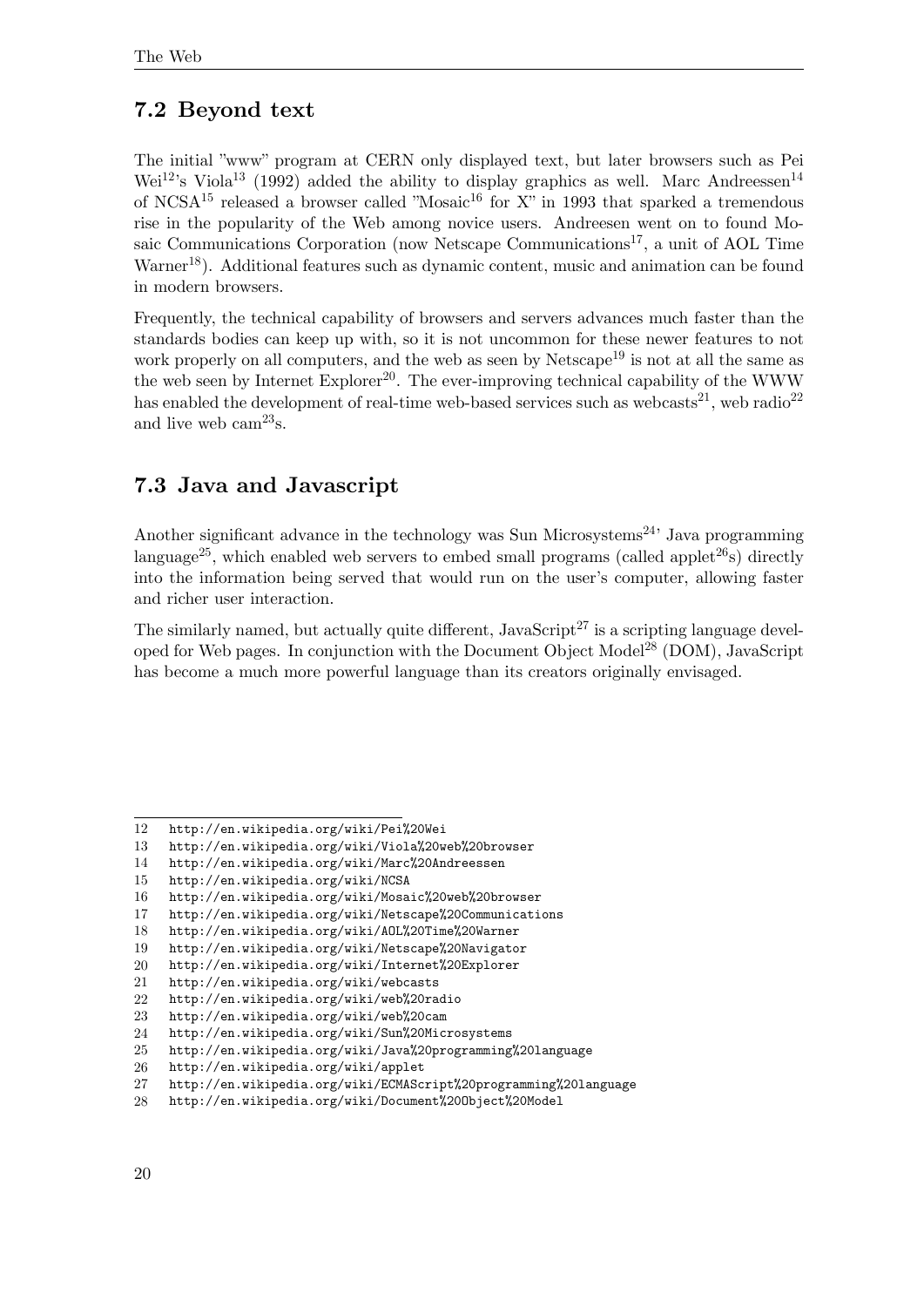### <span id="page-23-0"></span>**7.2 Beyond text**

The initial "www" program at CERN only displayed text, but later browsers such as Pei Wei<sup>[12](#page-23-2)</sup>'s Viola<sup>[13](#page-23-3)</sup> (1992) added the ability to display graphics as well. Marc Andreessen<sup>[14](#page-23-4)</sup> of NCSA<sup>[15](#page-23-5)</sup> released a browser called "Mosaic<sup>[16](#page-23-6)</sup> for X" in 1993 that sparked a tremendous rise in the popularity of the Web among novice users. Andreesen went on to found Mo-saic Communications Corporation (now Netscape Communications<sup>[17](#page-23-7)</sup>, a unit of AOL Time Warner<sup>[18](#page-23-8)</sup>). Additional features such as dynamic content, music and animation can be found in modern browsers.

Frequently, the technical capability of browsers and servers advances much faster than the standards bodies can keep up with, so it is not uncommon for these newer features to not work properly on all computers, and the web as seen by Netscape<sup>[19](#page-23-9)</sup> is not at all the same as the web seen by Internet Explorer<sup>[20](#page-23-10)</sup>. The ever-improving technical capability of the WWW has enabled the development of real-time web-based services such as webcasts<sup>[21](#page-23-11)</sup>, web radio<sup>[22](#page-23-12)</sup> and live web  $cam^{23}$  $cam^{23}$  $cam^{23}$ s.

## <span id="page-23-1"></span>**7.3 Java and Javascript**

Another significant advance in the technology was Sun Microsystems<sup>[24](#page-23-14)</sup>' Java programming language<sup>[25](#page-23-15)</sup>, which enabled web servers to embed small programs (called applet<sup>[26](#page-23-16)</sup>s) directly into the information being served that would run on the user's computer, allowing faster and richer user interaction.

The similarly named, but actually quite different,  $JavaScript^{27}$  $JavaScript^{27}$  $JavaScript^{27}$  is a scripting language devel-oped for Web pages. In conjunction with the Document Object Model<sup>[28](#page-23-18)</sup> (DOM), JavaScript has become a much more powerful language than its creators originally envisaged.

<span id="page-23-2"></span><sup>12</sup> <http://en.wikipedia.org/wiki/Pei%20Wei>

<span id="page-23-3"></span><sup>13</sup> <http://en.wikipedia.org/wiki/Viola%20web%20browser>

<span id="page-23-4"></span><sup>14</sup> <http://en.wikipedia.org/wiki/Marc%20Andreessen>

<span id="page-23-5"></span><sup>15</sup> <http://en.wikipedia.org/wiki/NCSA>

<span id="page-23-6"></span><sup>16</sup> <http://en.wikipedia.org/wiki/Mosaic%20web%20browser>

<span id="page-23-7"></span><sup>17</sup> <http://en.wikipedia.org/wiki/Netscape%20Communications>

<span id="page-23-8"></span><sup>18</sup> <http://en.wikipedia.org/wiki/AOL%20Time%20Warner>

<span id="page-23-9"></span><sup>19</sup> <http://en.wikipedia.org/wiki/Netscape%20Navigator>

<span id="page-23-10"></span><sup>20</sup> <http://en.wikipedia.org/wiki/Internet%20Explorer>

<span id="page-23-11"></span><sup>21</sup> <http://en.wikipedia.org/wiki/webcasts>

<span id="page-23-12"></span><sup>22</sup> <http://en.wikipedia.org/wiki/web%20radio>

<span id="page-23-13"></span><sup>23</sup> <http://en.wikipedia.org/wiki/web%20cam>

<span id="page-23-14"></span><sup>24</sup> <http://en.wikipedia.org/wiki/Sun%20Microsystems>

<span id="page-23-15"></span><sup>25</sup> <http://en.wikipedia.org/wiki/Java%20programming%20language>

<span id="page-23-16"></span><sup>26</sup> <http://en.wikipedia.org/wiki/applet>

<span id="page-23-17"></span><sup>27</sup> <http://en.wikipedia.org/wiki/ECMAScript%20programming%20language>

<span id="page-23-18"></span><sup>28</sup> <http://en.wikipedia.org/wiki/Document%20Object%20Model>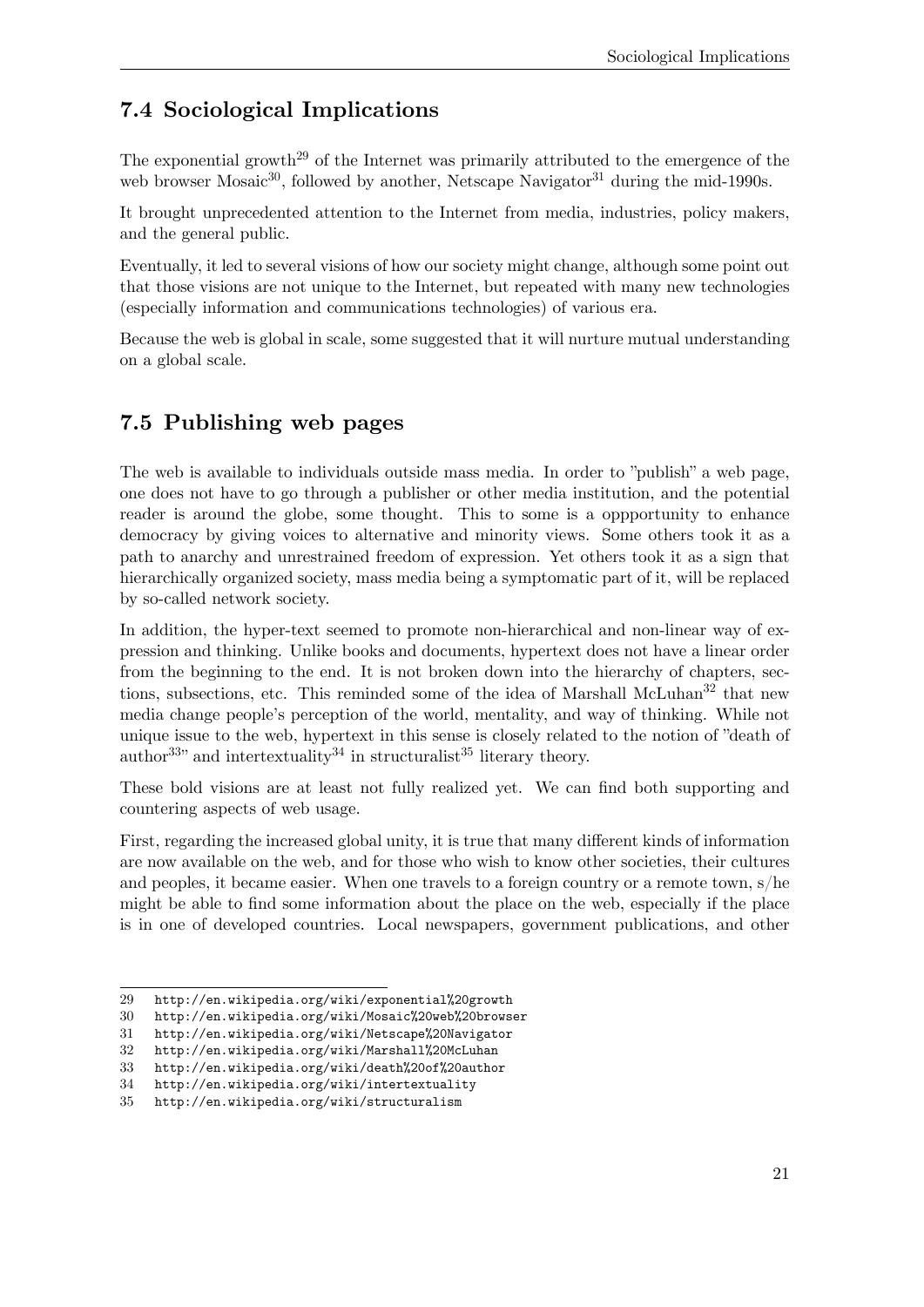## <span id="page-24-0"></span>**7.4 Sociological Implications**

The exponential growth<sup>[29](#page-24-2)</sup> of the Internet was primarily attributed to the emergence of the web browser Mosaic<sup>[30](#page-24-3)</sup>, followed by another, Netscape Navigator<sup>[31](#page-24-4)</sup> during the mid-1990s.

It brought unprecedented attention to the Internet from media, industries, policy makers, and the general public.

Eventually, it led to several visions of how our society might change, although some point out that those visions are not unique to the Internet, but repeated with many new technologies (especially information and communications technologies) of various era.

Because the web is global in scale, some suggested that it will nurture mutual understanding on a global scale.

## <span id="page-24-1"></span>**7.5 Publishing web pages**

The web is available to individuals outside mass media. In order to "publish" a web page, one does not have to go through a publisher or other media institution, and the potential reader is around the globe, some thought. This to some is a oppportunity to enhance democracy by giving voices to alternative and minority views. Some others took it as a path to anarchy and unrestrained freedom of expression. Yet others took it as a sign that hierarchically organized society, mass media being a symptomatic part of it, will be replaced by so-called network society.

In addition, the hyper-text seemed to promote non-hierarchical and non-linear way of expression and thinking. Unlike books and documents, hypertext does not have a linear order from the beginning to the end. It is not broken down into the hierarchy of chapters, sec-tions, subsections, etc. This reminded some of the idea of Marshall McLuhan<sup>[32](#page-24-5)</sup> that new media change people's perception of the world, mentality, and way of thinking. While not unique issue to the web, hypertext in this sense is closely related to the notion of "death of author<sup>[33](#page-24-6)</sup> and intertextuality<sup>[34](#page-24-7)</sup> in structuralist<sup>[35](#page-24-8)</sup> literary theory.

These bold visions are at least not fully realized yet. We can find both supporting and countering aspects of web usage.

First, regarding the increased global unity, it is true that many different kinds of information are now available on the web, and for those who wish to know other societies, their cultures and peoples, it became easier. When one travels to a foreign country or a remote town, s/he might be able to find some information about the place on the web, especially if the place is in one of developed countries. Local newspapers, government publications, and other

<span id="page-24-2"></span><sup>29</sup> <http://en.wikipedia.org/wiki/exponential%20growth>

<span id="page-24-3"></span><sup>30</sup> <http://en.wikipedia.org/wiki/Mosaic%20web%20browser>

<span id="page-24-4"></span><sup>31</sup> <http://en.wikipedia.org/wiki/Netscape%20Navigator>

<span id="page-24-5"></span><sup>32</sup> <http://en.wikipedia.org/wiki/Marshall%20McLuhan>

<span id="page-24-6"></span><sup>33</sup> <http://en.wikipedia.org/wiki/death%20of%20author>

<span id="page-24-7"></span><sup>34</sup> <http://en.wikipedia.org/wiki/intertextuality>

<span id="page-24-8"></span><sup>35</sup> <http://en.wikipedia.org/wiki/structuralism>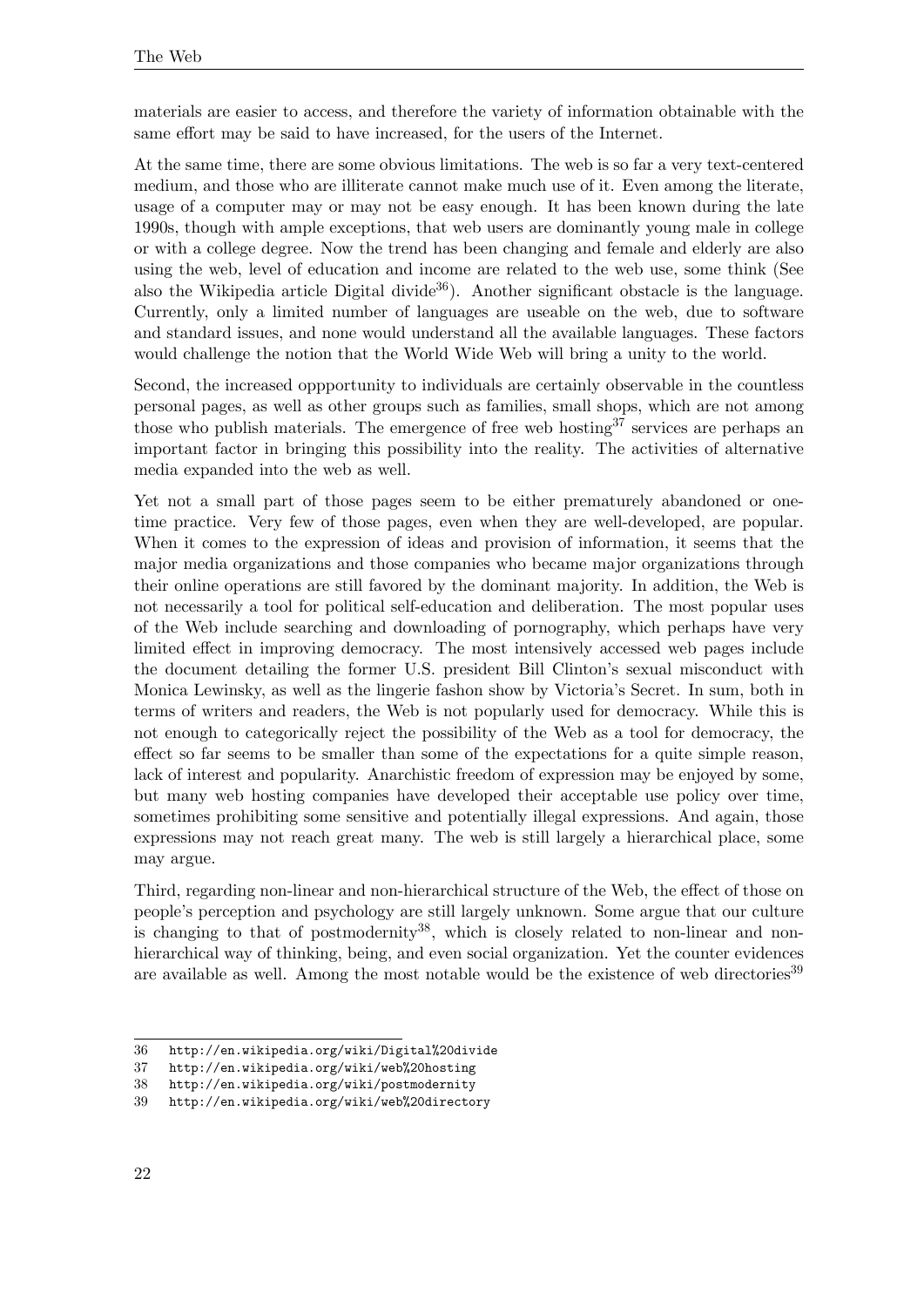materials are easier to access, and therefore the variety of information obtainable with the same effort may be said to have increased, for the users of the Internet.

At the same time, there are some obvious limitations. The web is so far a very text-centered medium, and those who are illiterate cannot make much use of it. Even among the literate, usage of a computer may or may not be easy enough. It has been known during the late 1990s, though with ample exceptions, that web users are dominantly young male in college or with a college degree. Now the trend has been changing and female and elderly are also using the web, level of education and income are related to the web use, some think (See also the Wikipedia article Digital divide<sup>[36](#page-25-0)</sup>). Another significant obstacle is the language. Currently, only a limited number of languages are useable on the web, due to software and standard issues, and none would understand all the available languages. These factors would challenge the notion that the World Wide Web will bring a unity to the world.

Second, the increased oppportunity to individuals are certainly observable in the countless personal pages, as well as other groups such as families, small shops, which are not among those who publish materials. The emergence of free web hosting<sup>[37](#page-25-1)</sup> services are perhaps an important factor in bringing this possibility into the reality. The activities of alternative media expanded into the web as well.

Yet not a small part of those pages seem to be either prematurely abandoned or onetime practice. Very few of those pages, even when they are well-developed, are popular. When it comes to the expression of ideas and provision of information, it seems that the major media organizations and those companies who became major organizations through their online operations are still favored by the dominant majority. In addition, the Web is not necessarily a tool for political self-education and deliberation. The most popular uses of the Web include searching and downloading of pornography, which perhaps have very limited effect in improving democracy. The most intensively accessed web pages include the document detailing the former U.S. president Bill Clinton's sexual misconduct with Monica Lewinsky, as well as the lingerie fashon show by Victoria's Secret. In sum, both in terms of writers and readers, the Web is not popularly used for democracy. While this is not enough to categorically reject the possibility of the Web as a tool for democracy, the effect so far seems to be smaller than some of the expectations for a quite simple reason, lack of interest and popularity. Anarchistic freedom of expression may be enjoyed by some, but many web hosting companies have developed their acceptable use policy over time, sometimes prohibiting some sensitive and potentially illegal expressions. And again, those expressions may not reach great many. The web is still largely a hierarchical place, some may argue.

Third, regarding non-linear and non-hierarchical structure of the Web, the effect of those on people's perception and psychology are still largely unknown. Some argue that our culture is changing to that of postmodernity<sup>[38](#page-25-2)</sup>, which is closely related to non-linear and nonhierarchical way of thinking, being, and even social organization. Yet the counter evidences are available as well. Among the most notable would be the existence of web directories<sup>[39](#page-25-3)</sup>

<span id="page-25-0"></span><sup>36</sup> <http://en.wikipedia.org/wiki/Digital%20divide>

<span id="page-25-1"></span><sup>37</sup> <http://en.wikipedia.org/wiki/web%20hosting>

<span id="page-25-2"></span><sup>38</sup> <http://en.wikipedia.org/wiki/postmodernity>

<span id="page-25-3"></span><sup>39</sup> <http://en.wikipedia.org/wiki/web%20directory>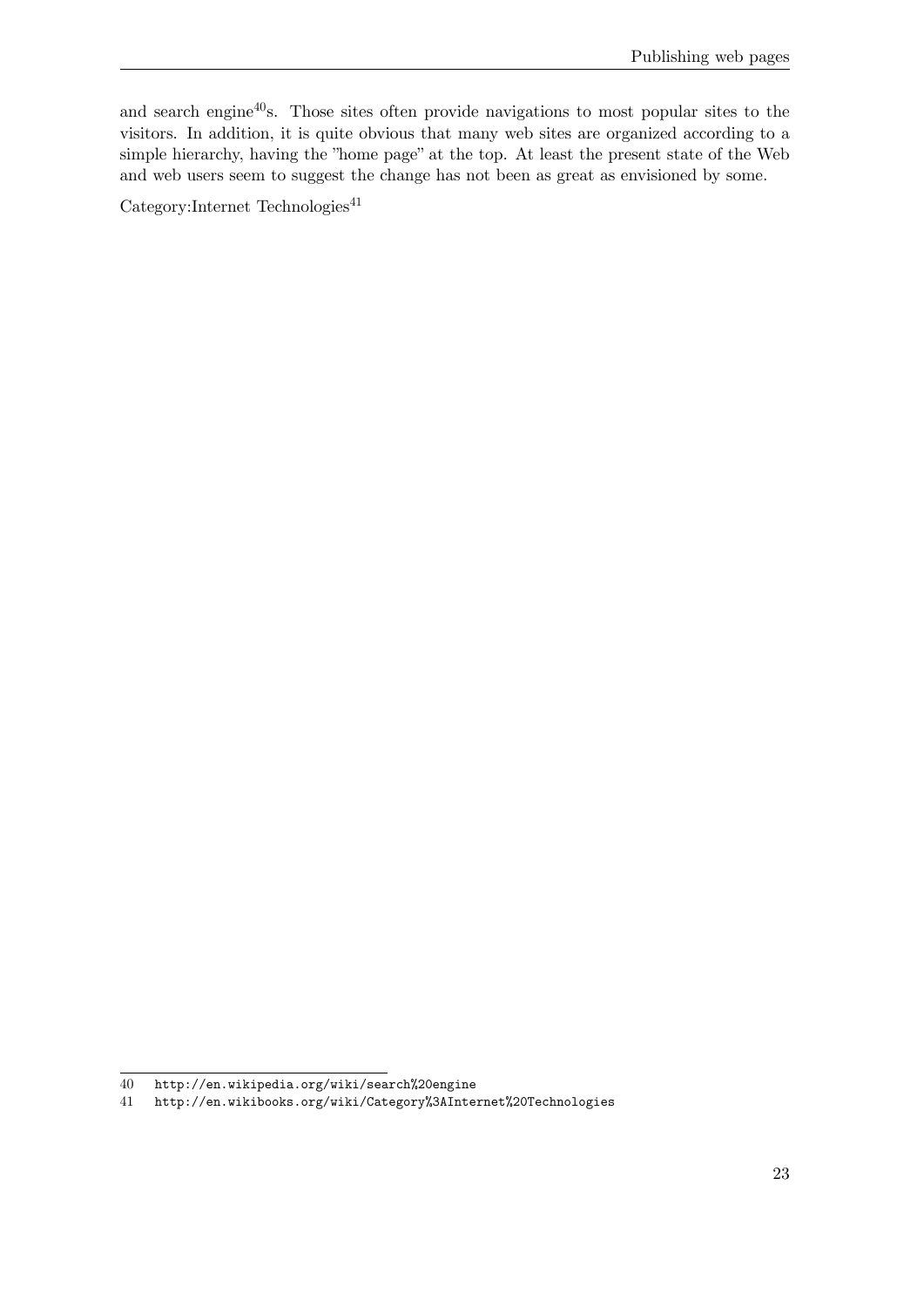and search engine<sup>[40](#page-26-0)</sup>s. Those sites often provide navigations to most popular sites to the visitors. In addition, it is quite obvious that many web sites are organized according to a simple hierarchy, having the "home page" at the top. At least the present state of the Web and web users seem to suggest the change has not been as great as envisioned by some.

 $\text{Category:Internet Technologies}^{41}$  $\text{Category:Internet Technologies}^{41}$  $\text{Category:Internet Technologies}^{41}$ 

<span id="page-26-0"></span><sup>40</sup> <http://en.wikipedia.org/wiki/search%20engine>

<span id="page-26-1"></span><sup>41</sup> <http://en.wikibooks.org/wiki/Category%3AInternet%20Technologies>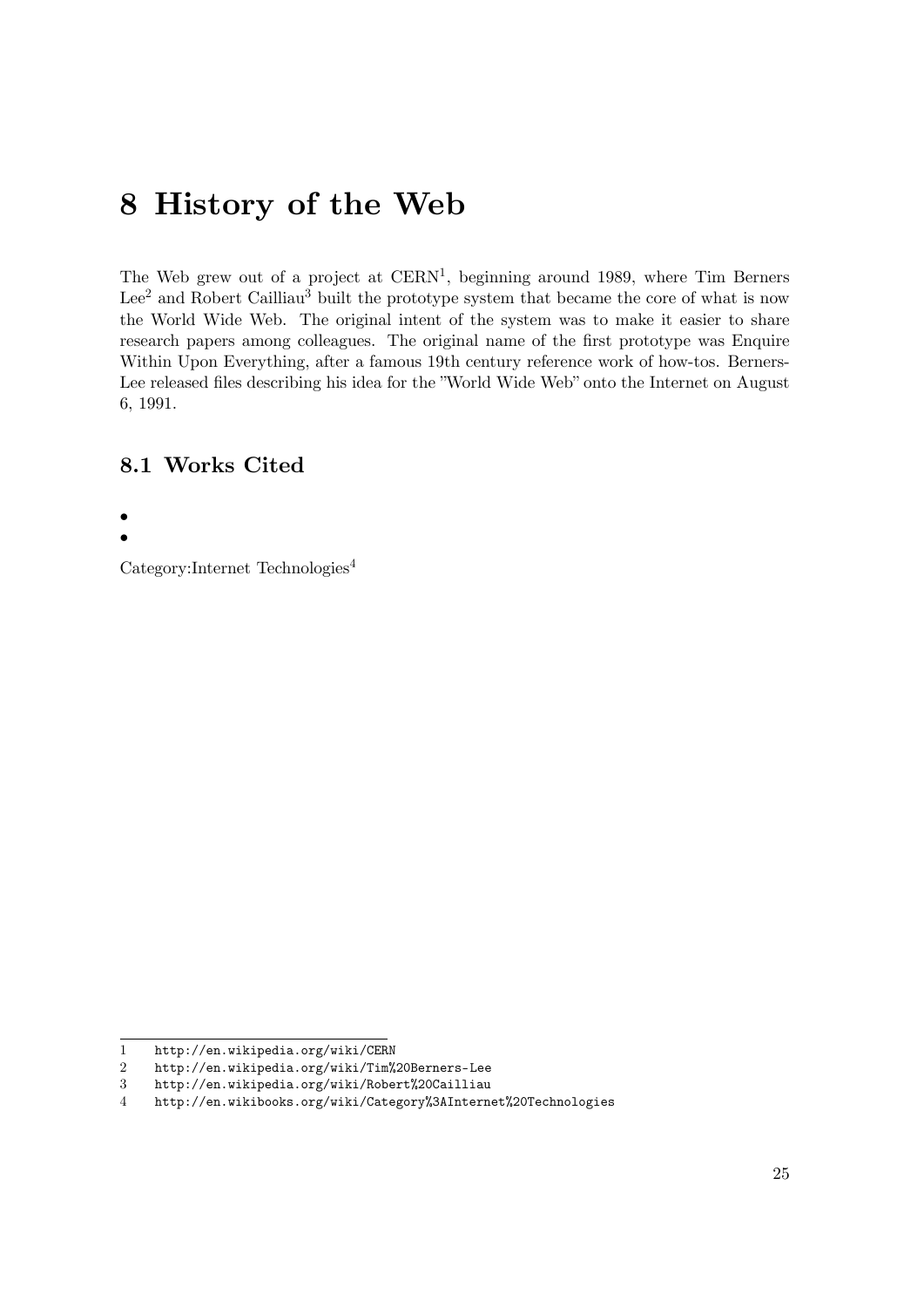## <span id="page-28-0"></span>**8 History of the Web**

The Web grew out of a project at  $CERN<sup>1</sup>$  $CERN<sup>1</sup>$  $CERN<sup>1</sup>$ , beginning around 1989, where Tim Berners Lee<sup>[2](#page-28-3)</sup> and Robert Cailliau<sup>[3](#page-28-4)</sup> built the prototype system that became the core of what is now the World Wide Web. The original intent of the system was to make it easier to share research papers among colleagues. The original name of the first prototype was Enquire Within Upon Everything, after a famous 19th century reference work of how-tos. Berners-Lee released files describing his idea for the "World Wide Web" onto the Internet on August 6, 1991.

#### <span id="page-28-1"></span>**8.1 Works Cited**

•

•

Category:Internet Technologies[4](#page-28-5)

<span id="page-28-2"></span><sup>1</sup> <http://en.wikipedia.org/wiki/CERN>

<span id="page-28-3"></span><sup>2</sup> <http://en.wikipedia.org/wiki/Tim%20Berners-Lee>

<span id="page-28-4"></span><sup>3</sup> <http://en.wikipedia.org/wiki/Robert%20Cailliau>

<span id="page-28-5"></span><sup>4</sup> <http://en.wikibooks.org/wiki/Category%3AInternet%20Technologies>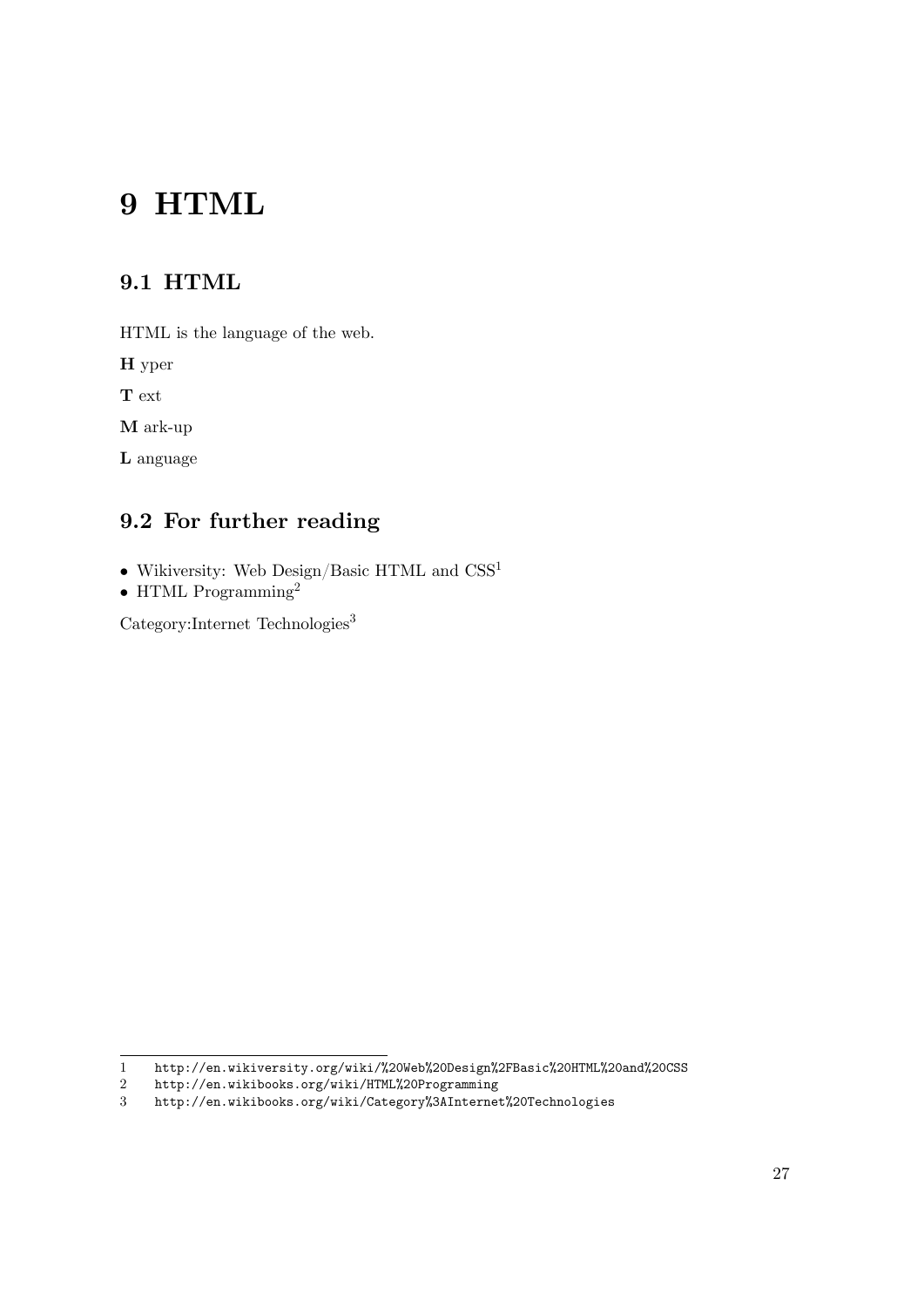# <span id="page-30-0"></span>**9 HTML**

### <span id="page-30-1"></span>**9.1 HTML**

HTML is the language of the web.

**H** yper

**T** ext

**M** ark-up

**L** anguage

### <span id="page-30-2"></span>**9.2 For further reading**

- Wikiversity: Web Design/Basic HTML and  $\mathrm{CSS}^1$  $\mathrm{CSS}^1$
- HTML Programming<sup>[2](#page-30-4)</sup>

Category:Internet Technologies[3](#page-30-5)

<span id="page-30-3"></span><sup>1</sup> <http://en.wikiversity.org/wiki/%20Web%20Design%2FBasic%20HTML%20and%20CSS>

<span id="page-30-4"></span><sup>2</sup> <http://en.wikibooks.org/wiki/HTML%20Programming><br>3 http://en.wikibooks.org/wiki/Category%3AInternet

<span id="page-30-5"></span><http://en.wikibooks.org/wiki/Category%3AInternet%20Technologies>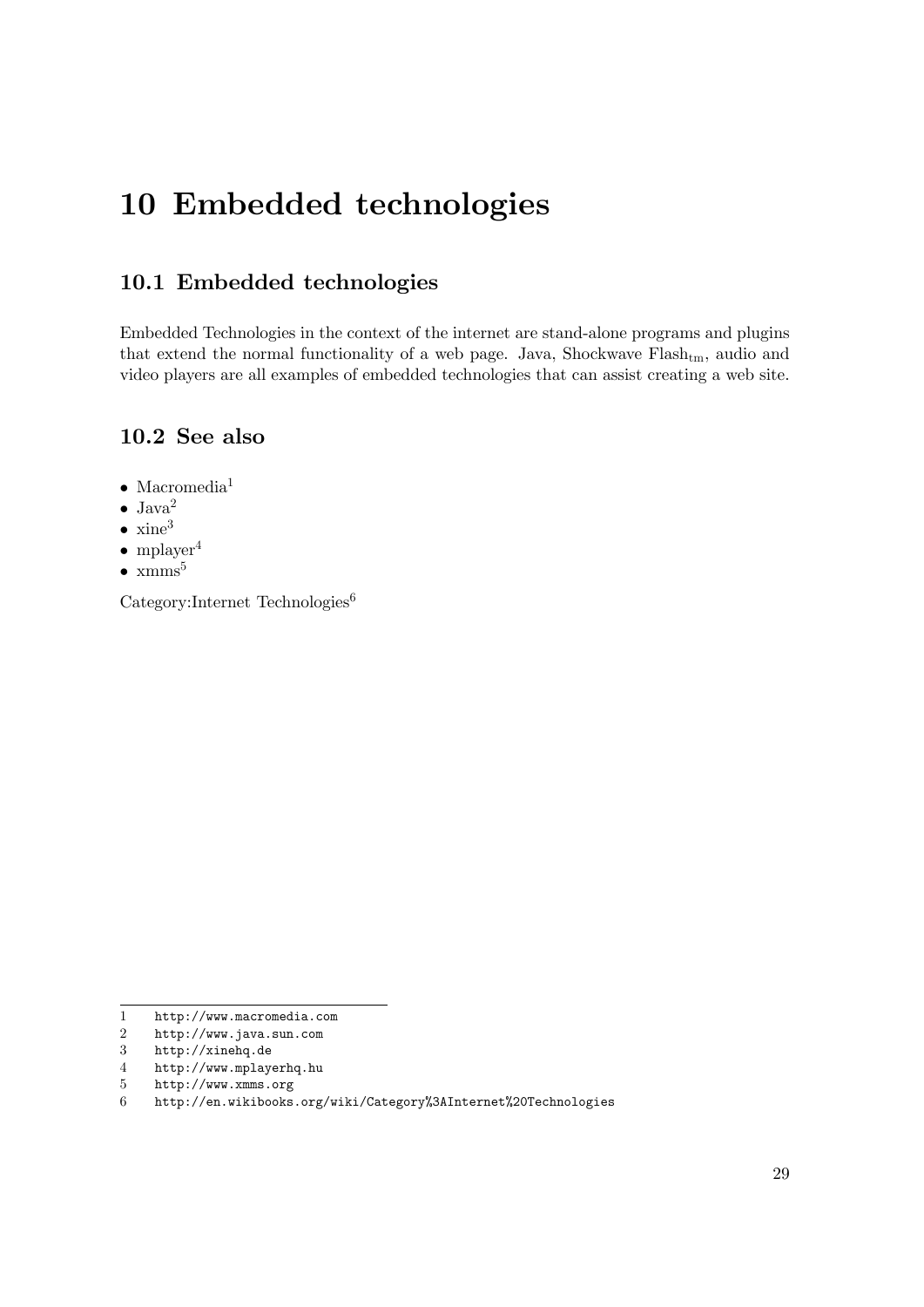## <span id="page-32-0"></span>**10 Embedded technologies**

### <span id="page-32-1"></span>**10.1 Embedded technologies**

Embedded Technologies in the context of the internet are stand-alone programs and plugins that extend the normal functionality of a web page. Java, Shockwave Flash<sub>tm</sub>, audio and video players are all examples of embedded technologies that can assist creating a web site.

#### <span id="page-32-2"></span>**10.2 See also**

- Macromedia<sup>[1](#page-32-3)</sup>
- $\bullet$  Java<sup>[2](#page-32-4)</sup>
- $\bullet$  xine<sup>[3](#page-32-5)</sup>
- mplayer<sup>[4](#page-32-6)</sup>
- $\bullet$  xmms<sup>[5](#page-32-7)</sup>

Category:Internet Technologies<sup>[6](#page-32-8)</sup>

- <span id="page-32-6"></span>4 <http://www.mplayerhq.hu>
- <span id="page-32-7"></span>5 <http://www.xmms.org>

<span id="page-32-3"></span><sup>1</sup> <http://www.macromedia.com>

<span id="page-32-4"></span><sup>2</sup> <http://www.java.sun.com>

<span id="page-32-5"></span><sup>3</sup> <http://xinehq.de>

<span id="page-32-8"></span><sup>6</sup> <http://en.wikibooks.org/wiki/Category%3AInternet%20Technologies>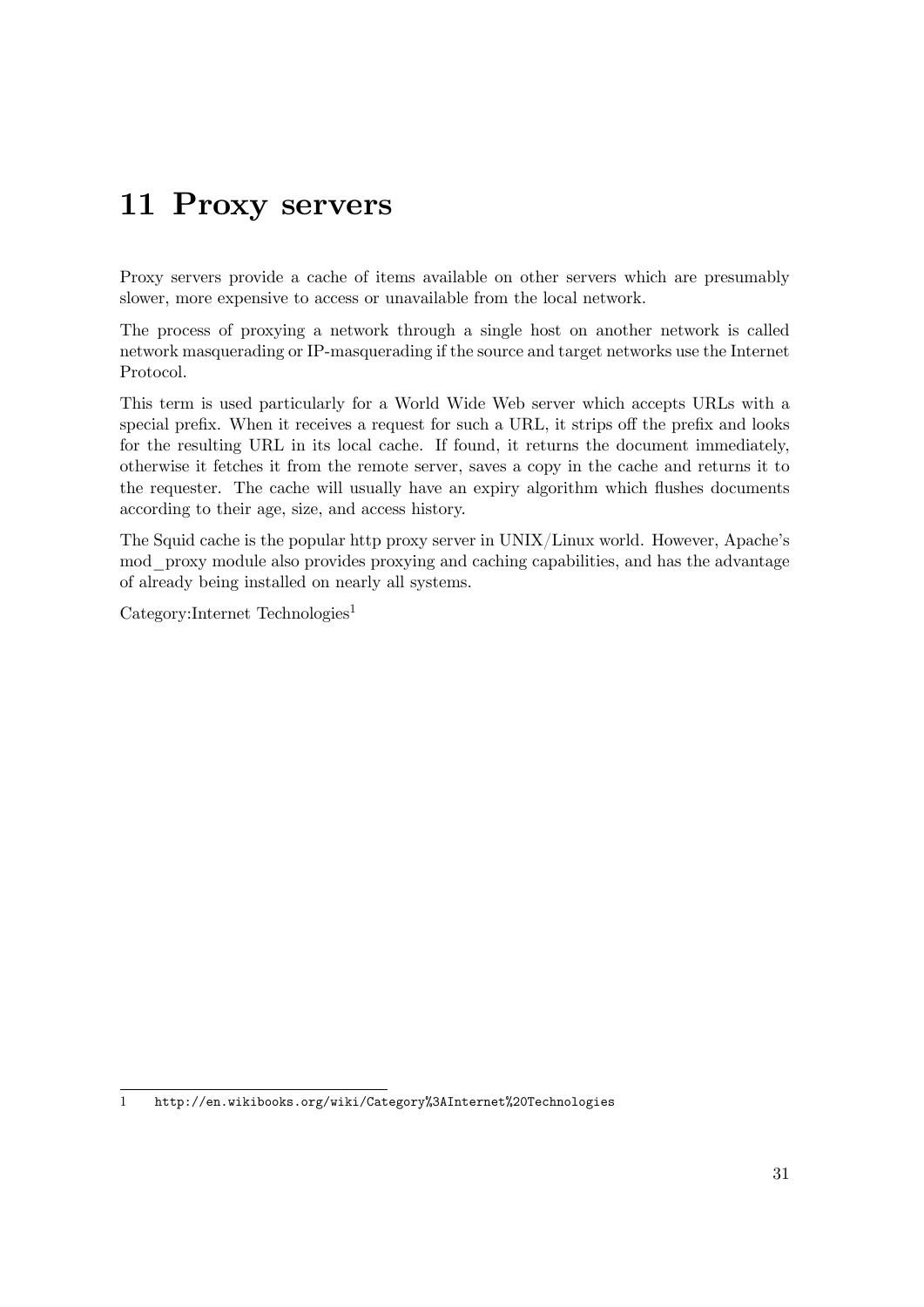## <span id="page-34-0"></span>**11 Proxy servers**

Proxy servers provide a cache of items available on other servers which are presumably slower, more expensive to access or unavailable from the local network.

The process of proxying a network through a single host on another network is called network masquerading or IP-masquerading if the source and target networks use the Internet Protocol.

This term is used particularly for a World Wide Web server which accepts URLs with a special prefix. When it receives a request for such a URL, it strips off the prefix and looks for the resulting URL in its local cache. If found, it returns the document immediately, otherwise it fetches it from the remote server, saves a copy in the cache and returns it to the requester. The cache will usually have an expiry algorithm which flushes documents according to their age, size, and access history.

The Squid cache is the popular http proxy server in UNIX/Linux world. However, Apache's mod\_proxy module also provides proxying and caching capabilities, and has the advantage of already being installed on nearly all systems.

 $Categorical$ :Internet Technologies<sup>[1](#page-34-1)</sup>

<span id="page-34-1"></span><sup>1</sup> <http://en.wikibooks.org/wiki/Category%3AInternet%20Technologies>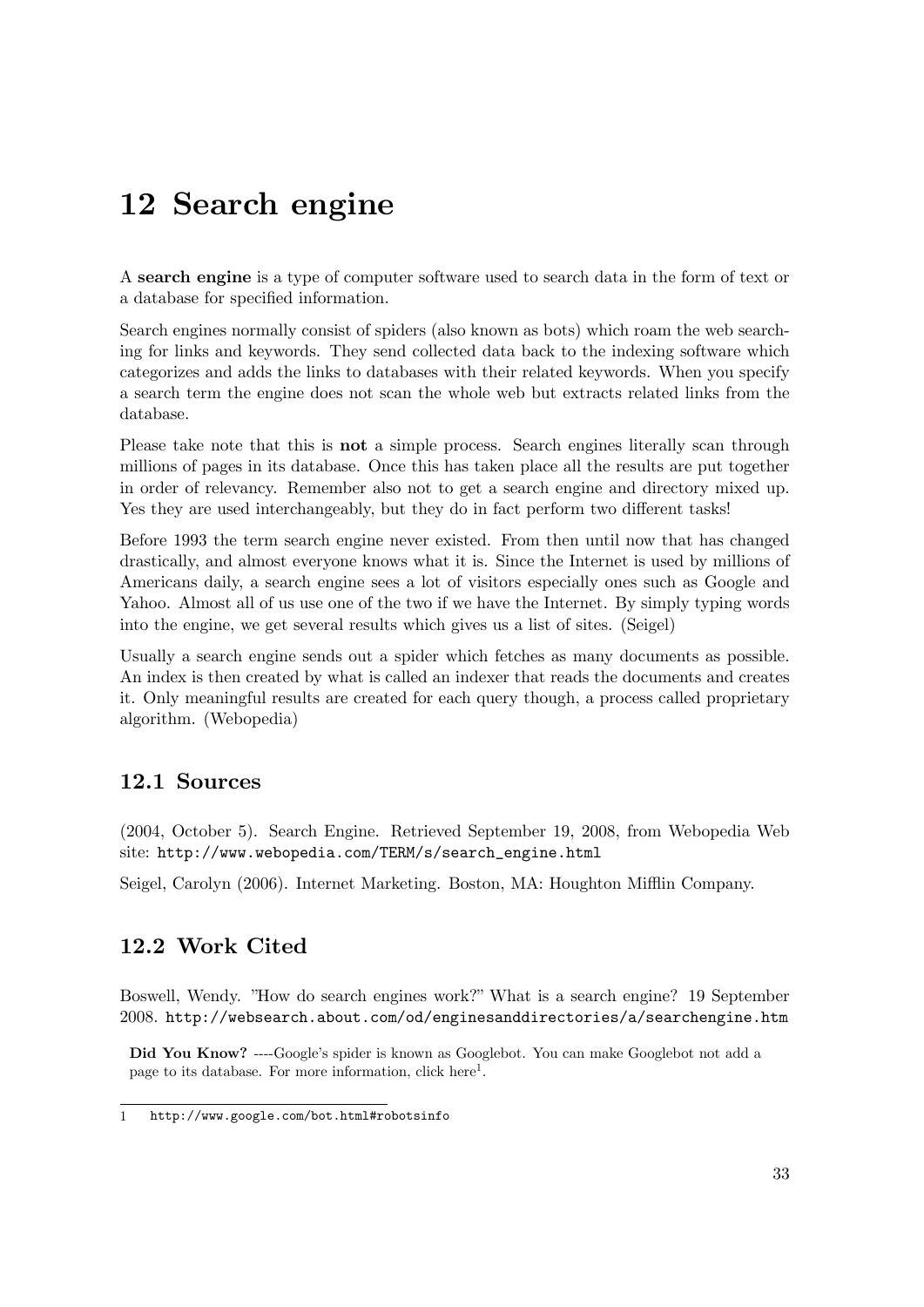## **12 Search engine**

A **search engine** is a type of computer software used to search data in the form of text or a database for specified information.

Search engines normally consist of spiders (also known as bots) which roam the web searching for links and keywords. They send collected data back to the indexing software which categorizes and adds the links to databases with their related keywords. When you specify a search term the engine does not scan the whole web but extracts related links from the database.

Please take note that this is **not** a simple process. Search engines literally scan through millions of pages in its database. Once this has taken place all the results are put together in order of relevancy. Remember also not to get a search engine and directory mixed up. Yes they are used interchangeably, but they do in fact perform two different tasks!

Before 1993 the term search engine never existed. From then until now that has changed drastically, and almost everyone knows what it is. Since the Internet is used by millions of Americans daily, a search engine sees a lot of visitors especially ones such as Google and Yahoo. Almost all of us use one of the two if we have the Internet. By simply typing words into the engine, we get several results which gives us a list of sites. (Seigel)

Usually a search engine sends out a spider which fetches as many documents as possible. An index is then created by what is called an indexer that reads the documents and creates it. Only meaningful results are created for each query though, a process called proprietary algorithm. (Webopedia)

### **12.1 Sources**

(2004, October 5). Search Engine. Retrieved September 19, 2008, from Webopedia Web site: [http://www.webopedia.com/TERM/s/search\\_engine.html](http://www.webopedia.com/TERM/s/search_engine.html)

Seigel, Carolyn (2006). Internet Marketing. Boston, MA: Houghton Mifflin Company.

### **12.2 Work Cited**

Boswell, Wendy. "How do search engines work?" What is a search engine? 19 September 2008. <http://websearch.about.com/od/enginesanddirectories/a/searchengine.htm>

**Did You Know?** ----Google's spider is known as Googlebot. You can make Googlebot not add a page to its database. For more information, click here<sup>1</sup>.

<sup>1</sup> <http://www.google.com/bot.html#robotsinfo>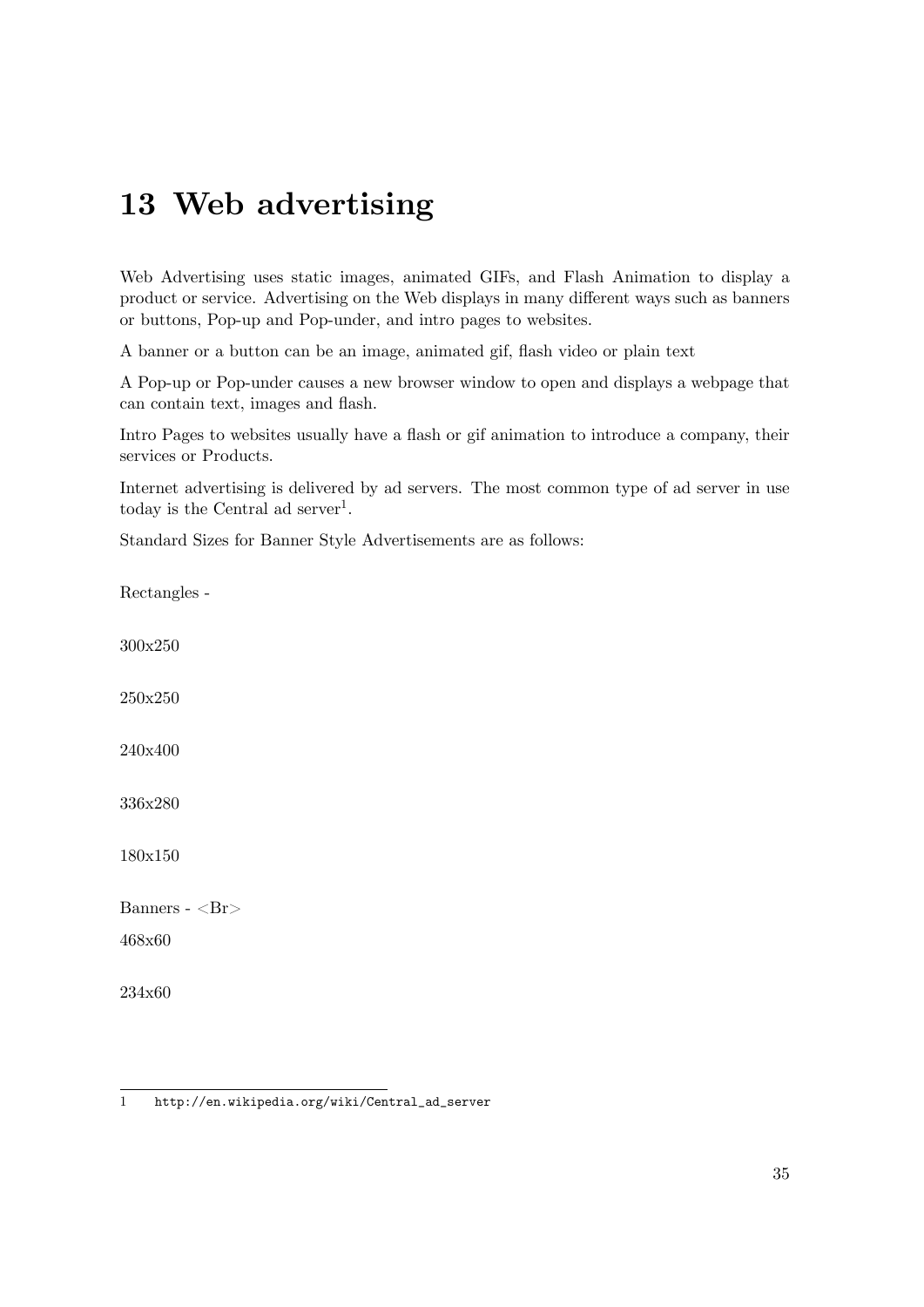# **13 Web advertising**

Web Advertising uses static images, animated GIFs, and Flash Animation to display a product or service. Advertising on the Web displays in many different ways such as banners or buttons, Pop-up and Pop-under, and intro pages to websites.

A banner or a button can be an image, animated gif, flash video or plain text

A Pop-up or Pop-under causes a new browser window to open and displays a webpage that can contain text, images and flash.

Intro Pages to websites usually have a flash or gif animation to introduce a company, their services or Products.

Internet advertising is delivered by ad servers. The most common type of ad server in use today is the Central ad server<sup>[1](#page-38-0)</sup>.

Standard Sizes for Banner Style Advertisements are as follows:

Rectangles -

300x250

250x250

240x400

336x280

180x150

Banners - <Br>

468x60

234x60

<span id="page-38-0"></span><sup>1</sup> [http://en.wikipedia.org/wiki/Central\\_ad\\_server](http://en.wikipedia.org/wiki/Central_ad_server)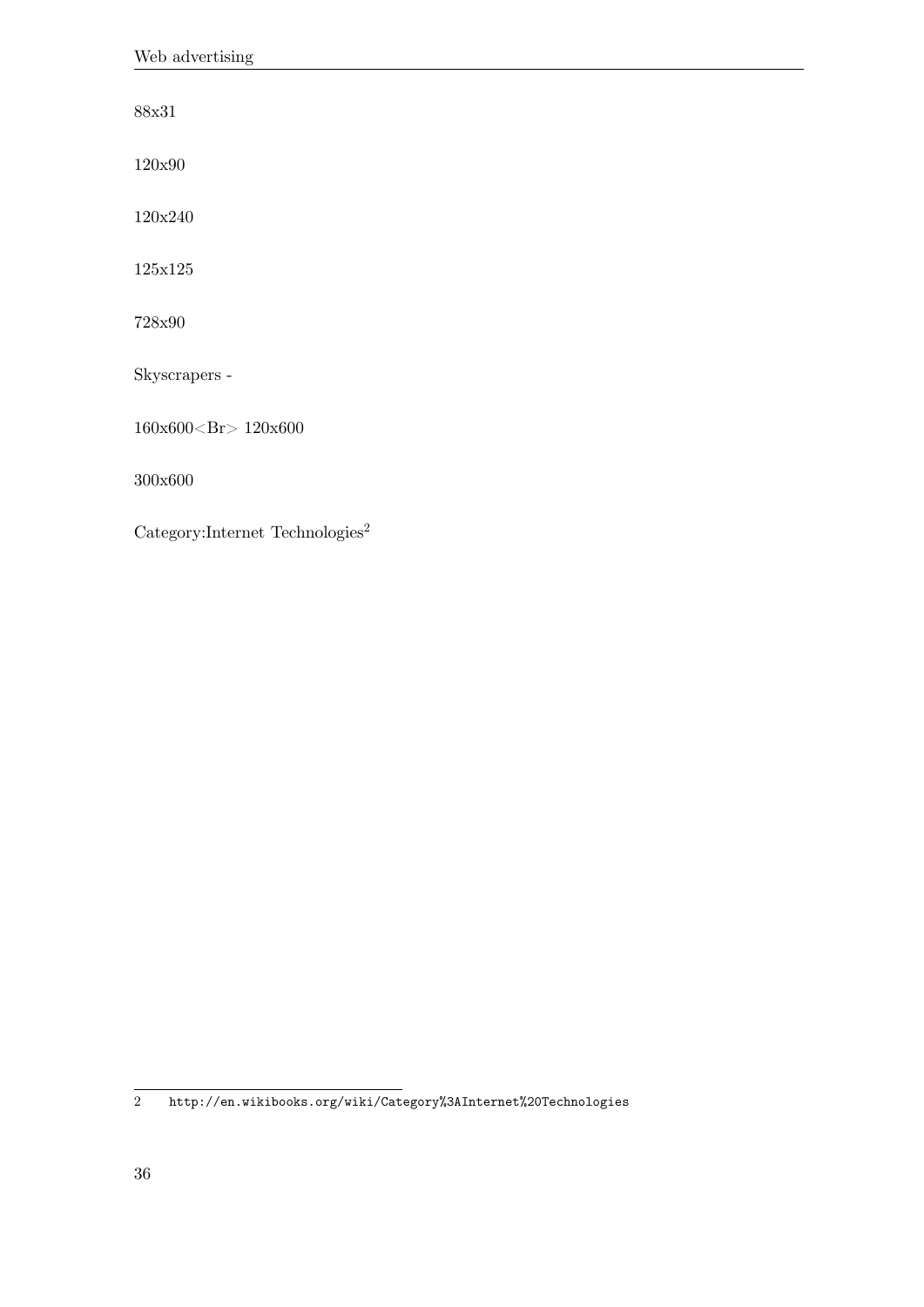88x31

120x90

120x240

 $125\mathrm{x}125$ 

728x90

Skyscrapers -

160x600<Br> 120x600

300x600

 $\text{Category:}$ Internet Technologies<sup>[2](#page-39-0)</sup>

<span id="page-39-0"></span>2 <http://en.wikibooks.org/wiki/Category%3AInternet%20Technologies>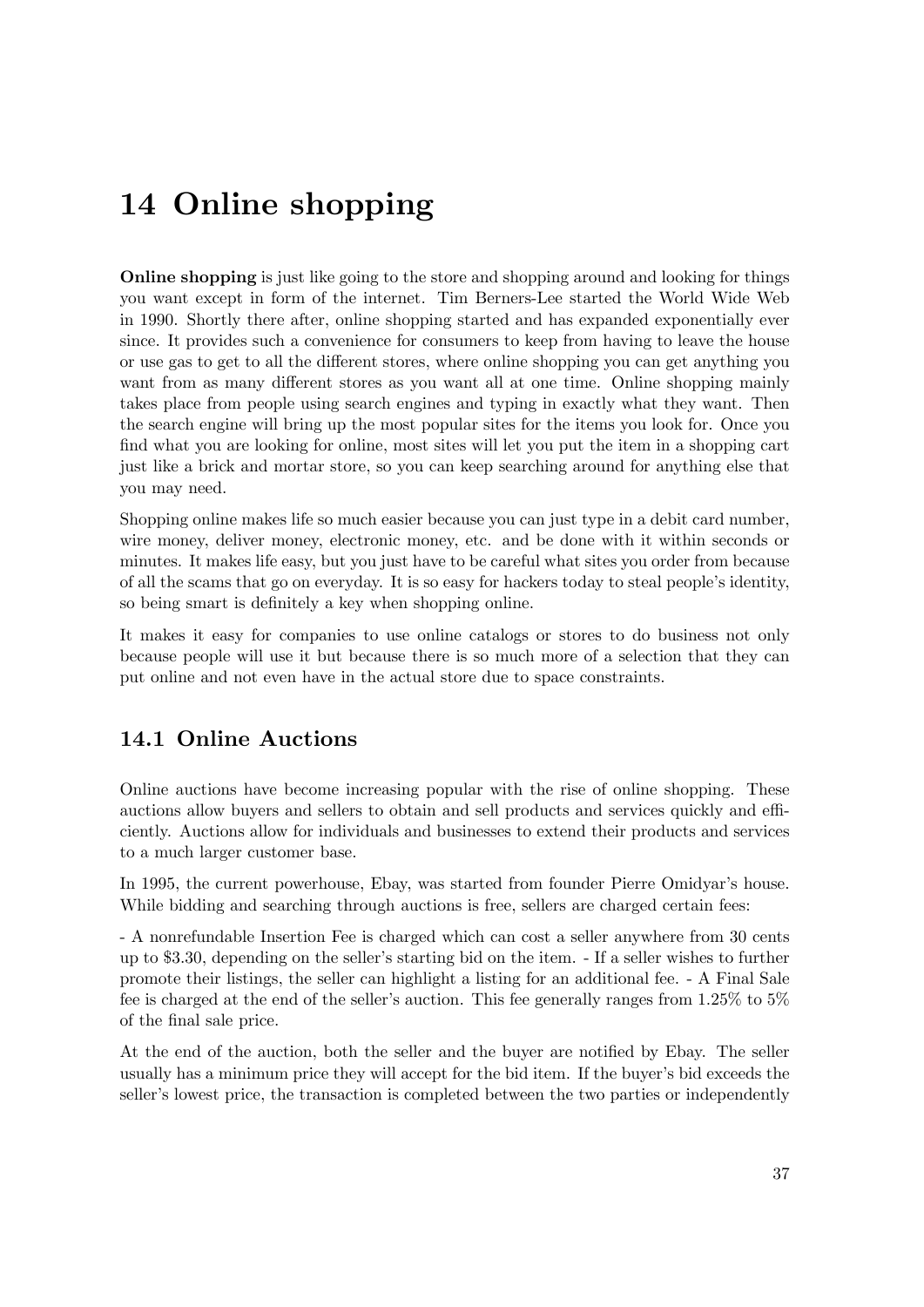# **14 Online shopping**

**Online shopping** is just like going to the store and shopping around and looking for things you want except in form of the internet. Tim Berners-Lee started the World Wide Web in 1990. Shortly there after, online shopping started and has expanded exponentially ever since. It provides such a convenience for consumers to keep from having to leave the house or use gas to get to all the different stores, where online shopping you can get anything you want from as many different stores as you want all at one time. Online shopping mainly takes place from people using search engines and typing in exactly what they want. Then the search engine will bring up the most popular sites for the items you look for. Once you find what you are looking for online, most sites will let you put the item in a shopping cart just like a brick and mortar store, so you can keep searching around for anything else that you may need.

Shopping online makes life so much easier because you can just type in a debit card number, wire money, deliver money, electronic money, etc. and be done with it within seconds or minutes. It makes life easy, but you just have to be careful what sites you order from because of all the scams that go on everyday. It is so easy for hackers today to steal people's identity, so being smart is definitely a key when shopping online.

It makes it easy for companies to use online catalogs or stores to do business not only because people will use it but because there is so much more of a selection that they can put online and not even have in the actual store due to space constraints.

### **14.1 Online Auctions**

Online auctions have become increasing popular with the rise of online shopping. These auctions allow buyers and sellers to obtain and sell products and services quickly and efficiently. Auctions allow for individuals and businesses to extend their products and services to a much larger customer base.

In 1995, the current powerhouse, Ebay, was started from founder Pierre Omidyar's house. While bidding and searching through auctions is free, sellers are charged certain fees:

- A nonrefundable Insertion Fee is charged which can cost a seller anywhere from 30 cents up to \$3.30, depending on the seller's starting bid on the item. - If a seller wishes to further promote their listings, the seller can highlight a listing for an additional fee. - A Final Sale fee is charged at the end of the seller's auction. This fee generally ranges from 1.25% to 5% of the final sale price.

At the end of the auction, both the seller and the buyer are notified by Ebay. The seller usually has a minimum price they will accept for the bid item. If the buyer's bid exceeds the seller's lowest price, the transaction is completed between the two parties or independently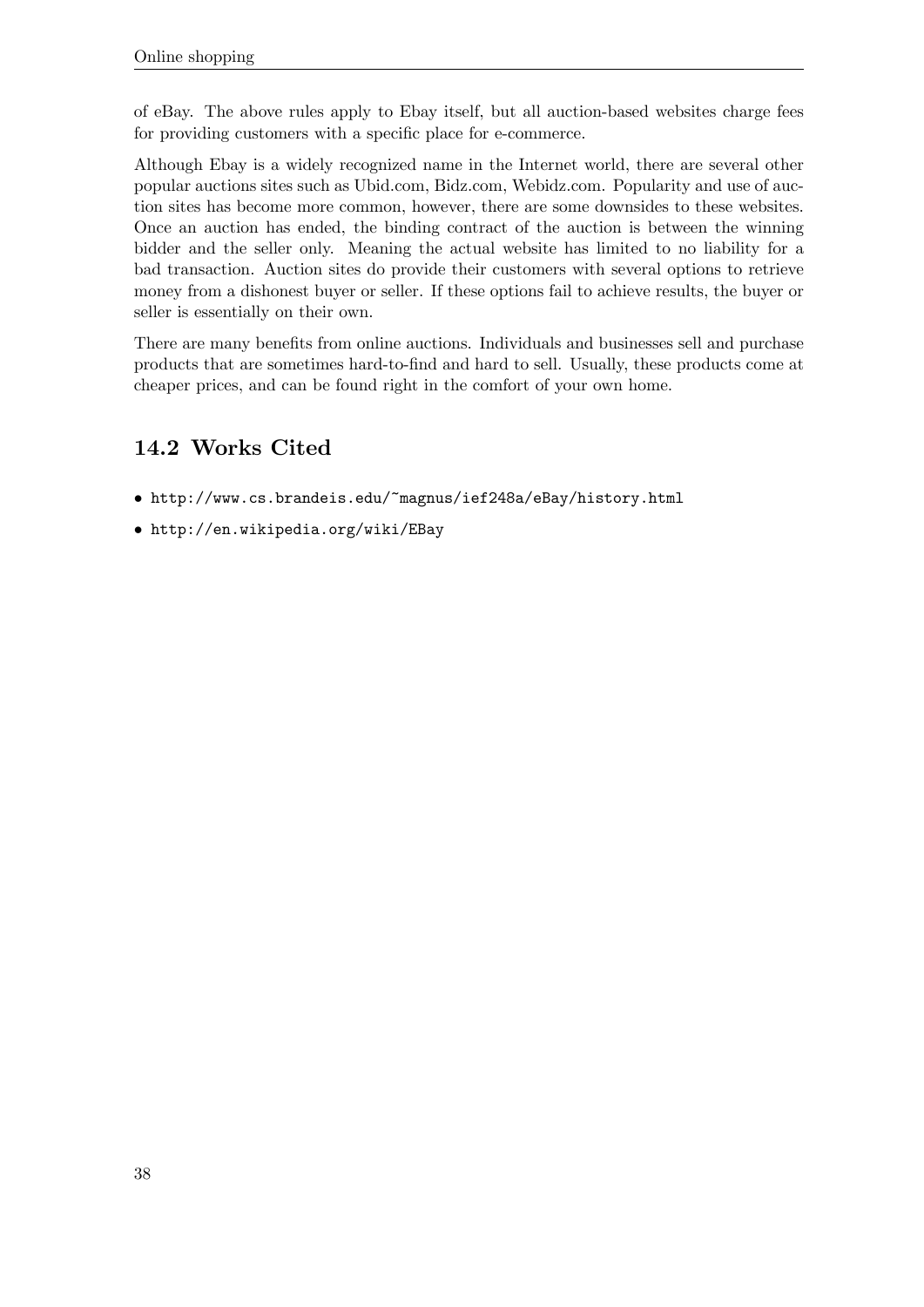of eBay. The above rules apply to Ebay itself, but all auction-based websites charge fees for providing customers with a specific place for e-commerce.

Although Ebay is a widely recognized name in the Internet world, there are several other popular auctions sites such as Ubid.com, Bidz.com, Webidz.com. Popularity and use of auction sites has become more common, however, there are some downsides to these websites. Once an auction has ended, the binding contract of the auction is between the winning bidder and the seller only. Meaning the actual website has limited to no liability for a bad transaction. Auction sites do provide their customers with several options to retrieve money from a dishonest buyer or seller. If these options fail to achieve results, the buyer or seller is essentially on their own.

There are many benefits from online auctions. Individuals and businesses sell and purchase products that are sometimes hard-to-find and hard to sell. Usually, these products come at cheaper prices, and can be found right in the comfort of your own home.

## **14.2 Works Cited**

- <http://www.cs.brandeis.edu/~magnus/ief248a/eBay/history.html>
- <http://en.wikipedia.org/wiki/EBay>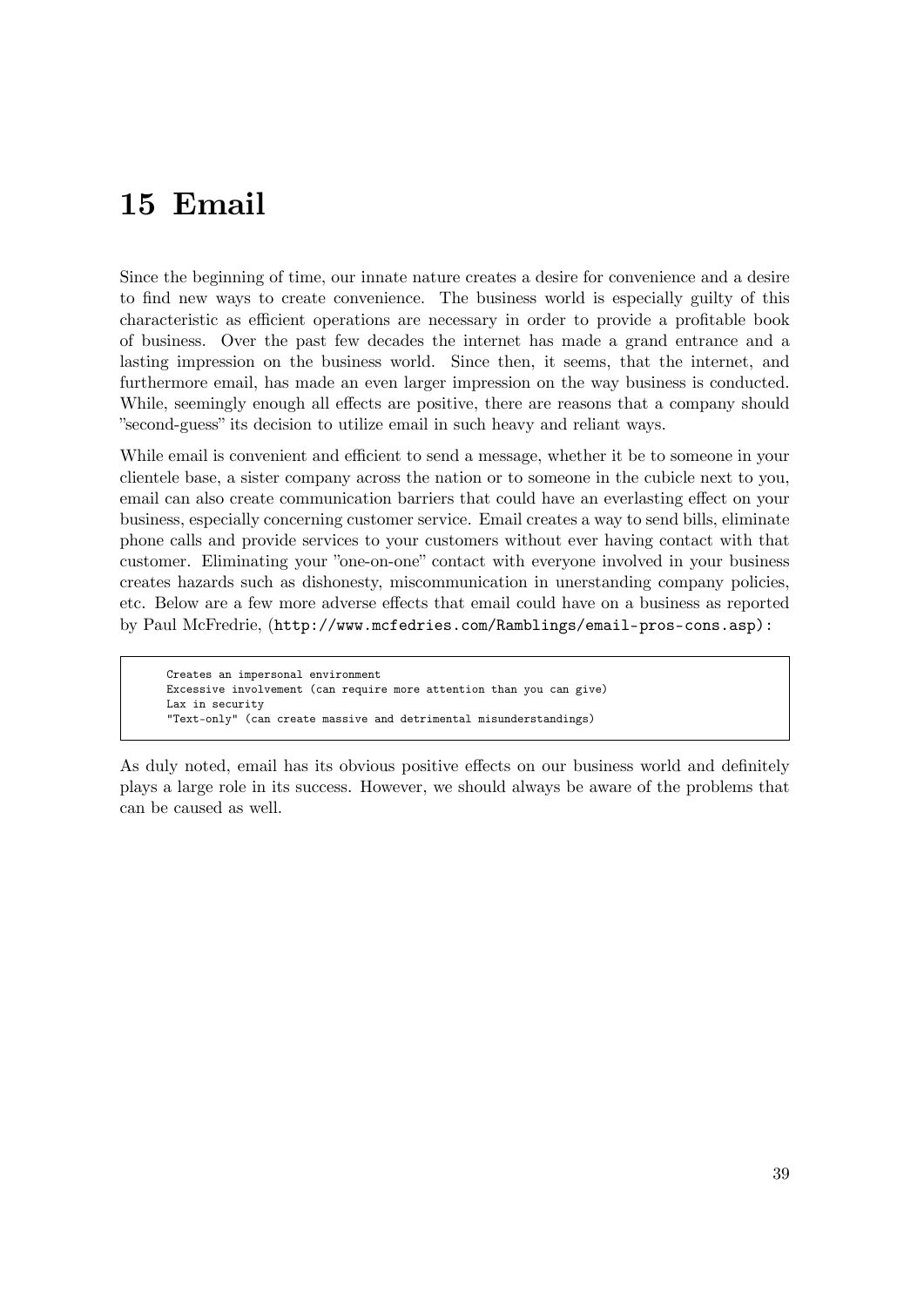# **15 Email**

Since the beginning of time, our innate nature creates a desire for convenience and a desire to find new ways to create convenience. The business world is especially guilty of this characteristic as efficient operations are necessary in order to provide a profitable book of business. Over the past few decades the internet has made a grand entrance and a lasting impression on the business world. Since then, it seems, that the internet, and furthermore email, has made an even larger impression on the way business is conducted. While, seemingly enough all effects are positive, there are reasons that a company should "second-guess" its decision to utilize email in such heavy and reliant ways.

While email is convenient and efficient to send a message, whether it be to someone in your clientele base, a sister company across the nation or to someone in the cubicle next to you, email can also create communication barriers that could have an everlasting effect on your business, especially concerning customer service. Email creates a way to send bills, eliminate phone calls and provide services to your customers without ever having contact with that customer. Eliminating your "one-on-one" contact with everyone involved in your business creates hazards such as dishonesty, miscommunication in unerstanding company policies, etc. Below are a few more adverse effects that email could have on a business as reported by Paul McFredrie, ([http://www.mcfedries.com/Ramblings/email-pros-cons.asp\):](http://www.mcfedries.com/Ramblings/email-pros-cons.asp):)

```
Creates an impersonal environment
Excessive involvement (can require more attention than you can give)
Lax in security
"Text-only" (can create massive and detrimental misunderstandings)
```
As duly noted, email has its obvious positive effects on our business world and definitely plays a large role in its success. However, we should always be aware of the problems that can be caused as well.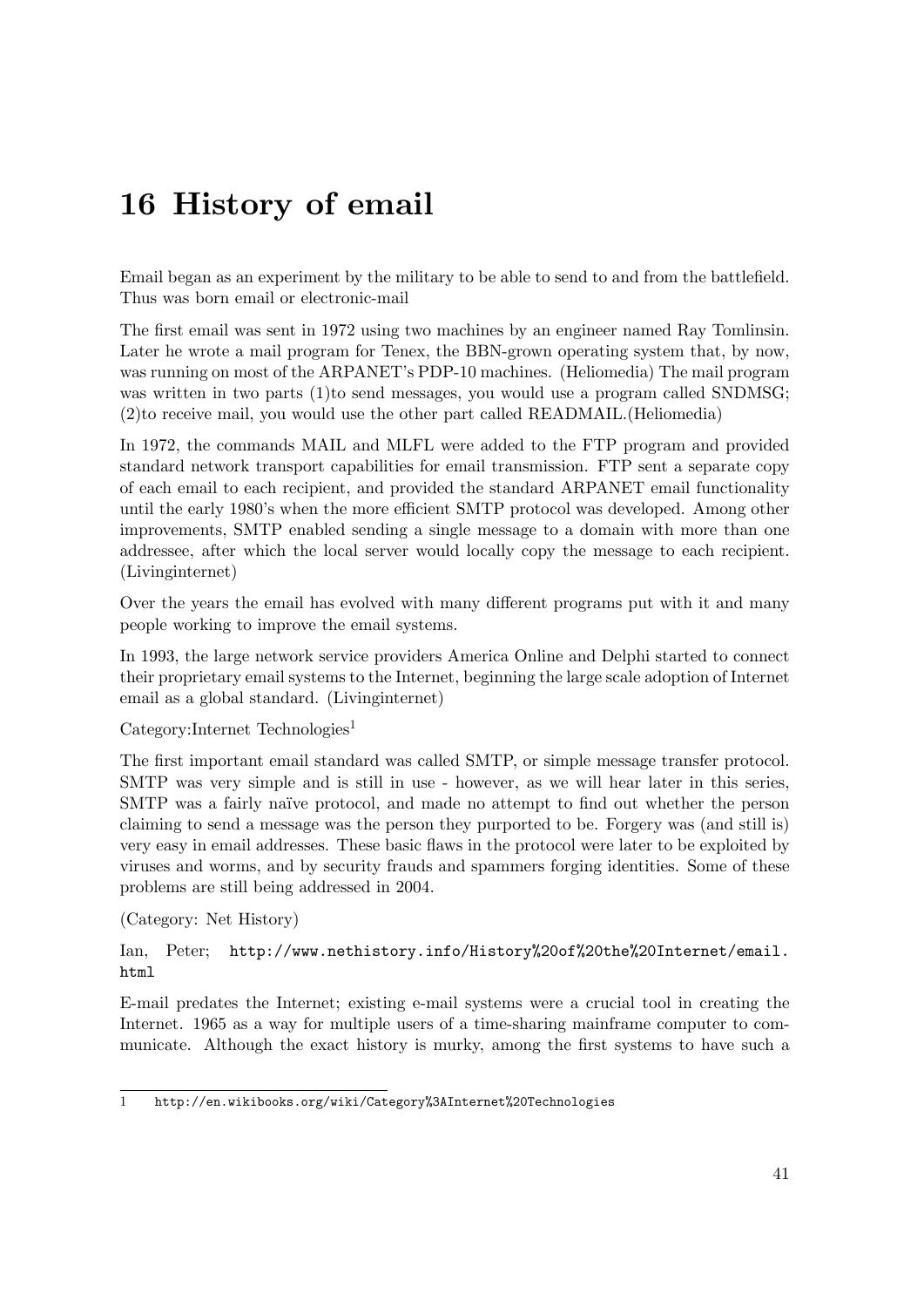# **16 History of email**

Email began as an experiment by the military to be able to send to and from the battlefield. Thus was born email or electronic-mail

The first email was sent in 1972 using two machines by an engineer named Ray Tomlinsin. Later he wrote a mail program for Tenex, the BBN-grown operating system that, by now, was running on most of the ARPANET's PDP-10 machines. (Heliomedia) The mail program was written in two parts (1)to send messages, you would use a program called SNDMSG; (2)to receive mail, you would use the other part called READMAIL.(Heliomedia)

In 1972, the commands MAIL and MLFL were added to the FTP program and provided standard network transport capabilities for email transmission. FTP sent a separate copy of each email to each recipient, and provided the standard ARPANET email functionality until the early 1980's when the more efficient SMTP protocol was developed. Among other improvements, SMTP enabled sending a single message to a domain with more than one addressee, after which the local server would locally copy the message to each recipient. (Livinginternet)

Over the years the email has evolved with many different programs put with it and many people working to improve the email systems.

In 1993, the large network service providers America Online and Delphi started to connect their proprietary email systems to the Internet, beginning the large scale adoption of Internet email as a global standard. (Livinginternet)

Category:Internet Technologies<sup>[1](#page-44-0)</sup>

The first important email standard was called SMTP, or simple message transfer protocol. SMTP was very simple and is still in use - however, as we will hear later in this series, SMTP was a fairly naïve protocol, and made no attempt to find out whether the person claiming to send a message was the person they purported to be. Forgery was (and still is) very easy in email addresses. These basic flaws in the protocol were later to be exploited by viruses and worms, and by security frauds and spammers forging identities. Some of these problems are still being addressed in 2004.

(Category: Net History)

Ian, Peter; [http://www.nethistory.info/History%20of%20the%20Internet/email.](http://www.nethistory.info/History%20of%20the%20Internet/email.html) [html](http://www.nethistory.info/History%20of%20the%20Internet/email.html)

E-mail predates the Internet; existing e-mail systems were a crucial tool in creating the Internet. 1965 as a way for multiple users of a time-sharing mainframe computer to communicate. Although the exact history is murky, among the first systems to have such a

<span id="page-44-0"></span><sup>1</sup> <http://en.wikibooks.org/wiki/Category%3AInternet%20Technologies>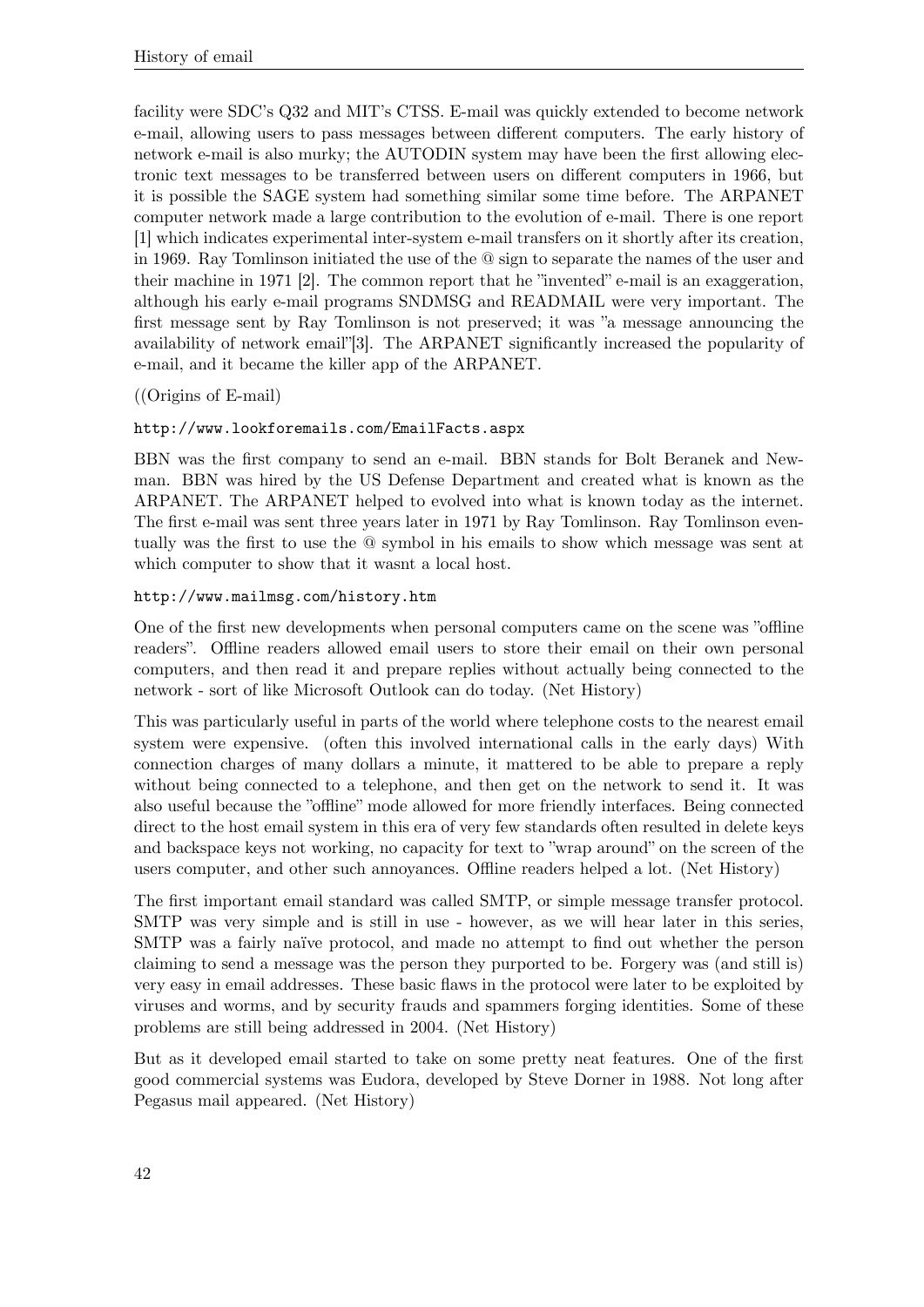facility were SDC's Q32 and MIT's CTSS. E-mail was quickly extended to become network e-mail, allowing users to pass messages between different computers. The early history of network e-mail is also murky; the AUTODIN system may have been the first allowing electronic text messages to be transferred between users on different computers in 1966, but it is possible the SAGE system had something similar some time before. The ARPANET computer network made a large contribution to the evolution of e-mail. There is one report [1] which indicates experimental inter-system e-mail transfers on it shortly after its creation, in 1969. Ray Tomlinson initiated the use of the @ sign to separate the names of the user and their machine in 1971 [2]. The common report that he "invented" e-mail is an exaggeration, although his early e-mail programs SNDMSG and READMAIL were very important. The first message sent by Ray Tomlinson is not preserved; it was "a message announcing the availability of network email"[3]. The ARPANET significantly increased the popularity of e-mail, and it became the killer app of the ARPANET.

### ((Origins of E-mail)

### <http://www.lookforemails.com/EmailFacts.aspx>

BBN was the first company to send an e-mail. BBN stands for Bolt Beranek and Newman. BBN was hired by the US Defense Department and created what is known as the ARPANET. The ARPANET helped to evolved into what is known today as the internet. The first e-mail was sent three years later in 1971 by Ray Tomlinson. Ray Tomlinson eventually was the first to use the @ symbol in his emails to show which message was sent at which computer to show that it wasnt a local host.

### <http://www.mailmsg.com/history.htm>

One of the first new developments when personal computers came on the scene was "offline readers". Offline readers allowed email users to store their email on their own personal computers, and then read it and prepare replies without actually being connected to the network - sort of like Microsoft Outlook can do today. (Net History)

This was particularly useful in parts of the world where telephone costs to the nearest email system were expensive. (often this involved international calls in the early days) With connection charges of many dollars a minute, it mattered to be able to prepare a reply without being connected to a telephone, and then get on the network to send it. It was also useful because the "offline" mode allowed for more friendly interfaces. Being connected direct to the host email system in this era of very few standards often resulted in delete keys and backspace keys not working, no capacity for text to "wrap around" on the screen of the users computer, and other such annoyances. Offline readers helped a lot. (Net History)

The first important email standard was called SMTP, or simple message transfer protocol. SMTP was very simple and is still in use - however, as we will hear later in this series, SMTP was a fairly naïve protocol, and made no attempt to find out whether the person claiming to send a message was the person they purported to be. Forgery was (and still is) very easy in email addresses. These basic flaws in the protocol were later to be exploited by viruses and worms, and by security frauds and spammers forging identities. Some of these problems are still being addressed in 2004. (Net History)

But as it developed email started to take on some pretty neat features. One of the first good commercial systems was Eudora, developed by Steve Dorner in 1988. Not long after Pegasus mail appeared. (Net History)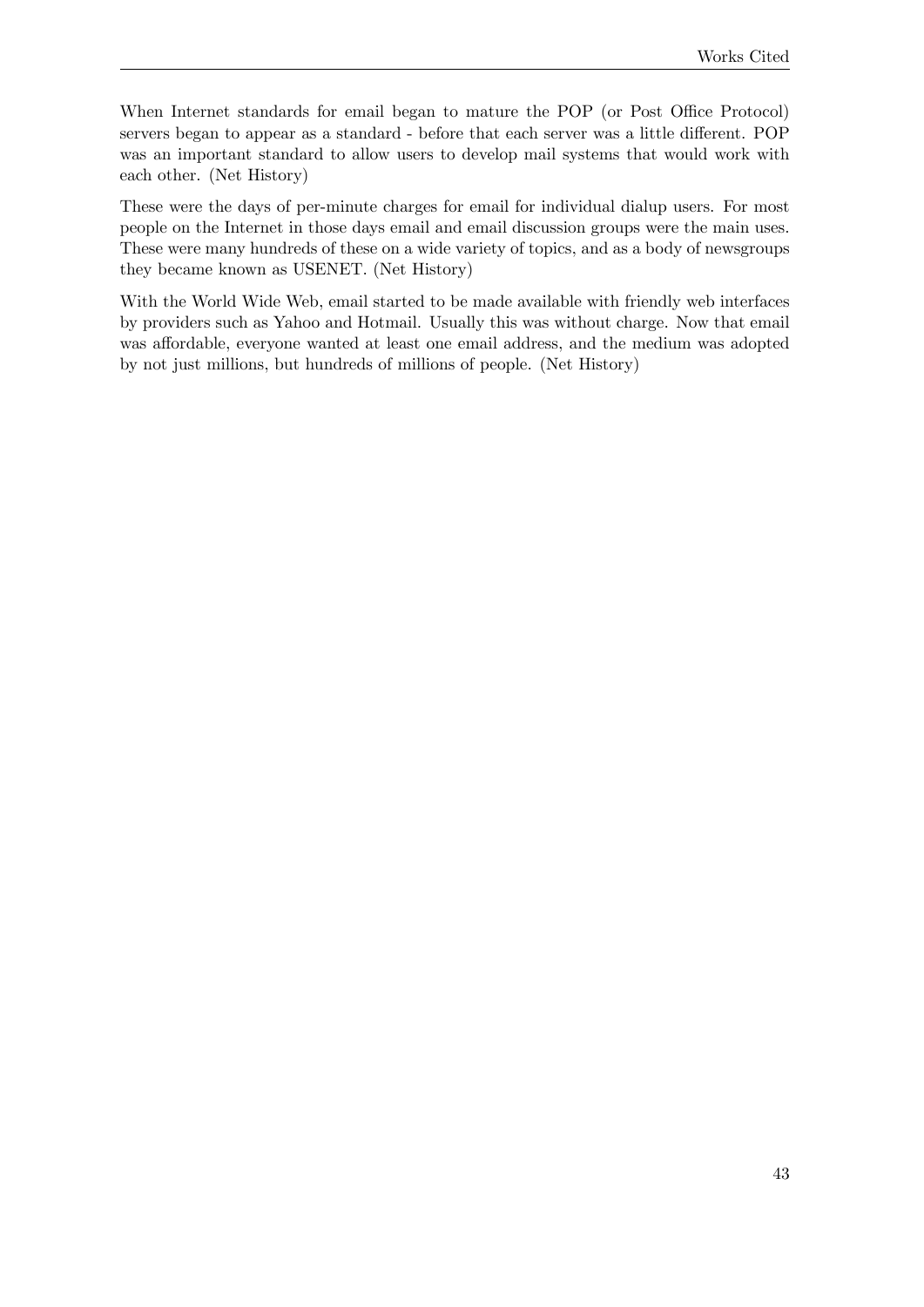When Internet standards for email began to mature the POP (or Post Office Protocol) servers began to appear as a standard - before that each server was a little different. POP was an important standard to allow users to develop mail systems that would work with each other. (Net History)

These were the days of per-minute charges for email for individual dialup users. For most people on the Internet in those days email and email discussion groups were the main uses. These were many hundreds of these on a wide variety of topics, and as a body of newsgroups they became known as USENET. (Net History)

With the World Wide Web, email started to be made available with friendly web interfaces by providers such as Yahoo and Hotmail. Usually this was without charge. Now that email was affordable, everyone wanted at least one email address, and the medium was adopted by not just millions, but hundreds of millions of people. (Net History)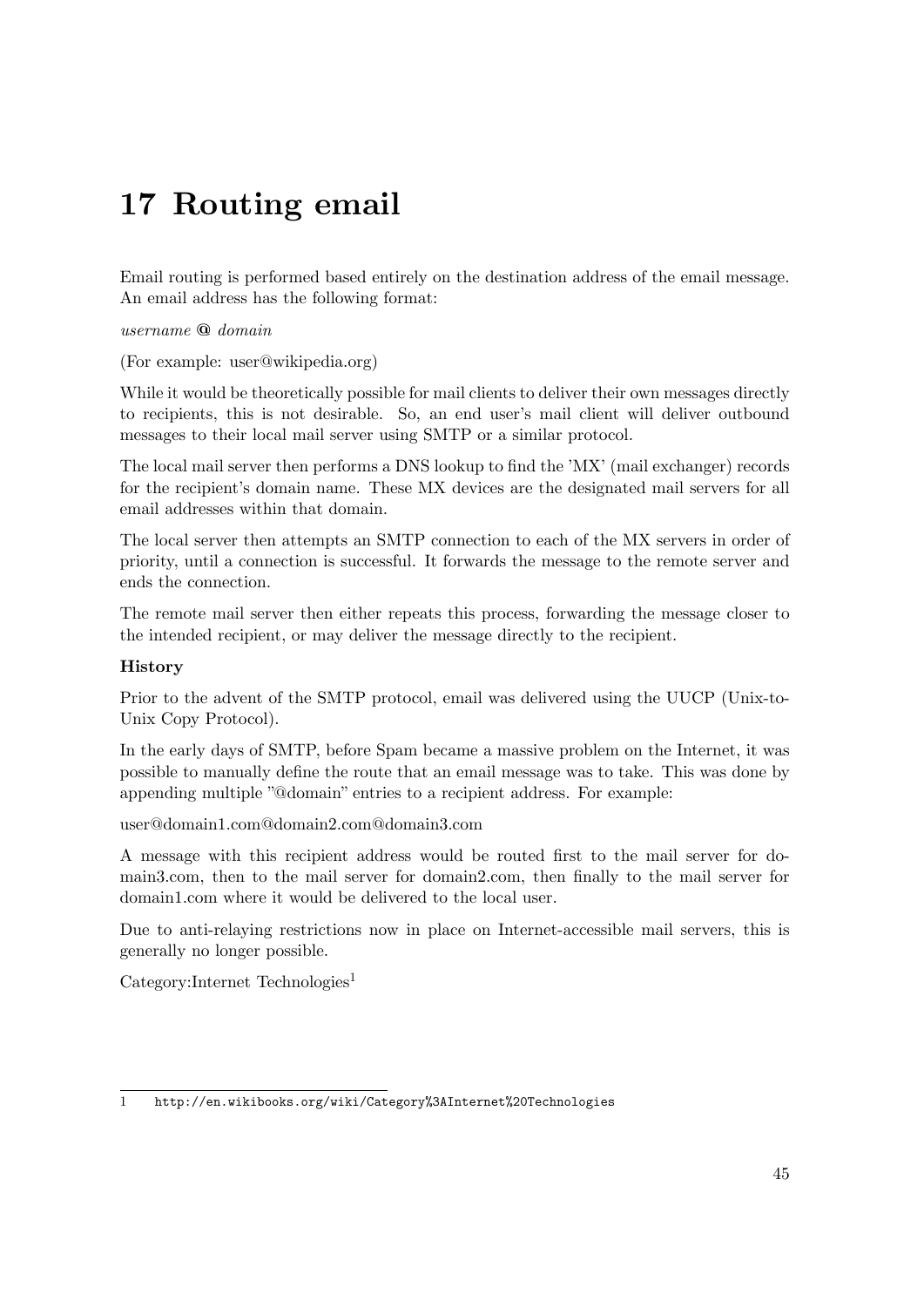# **17 Routing email**

Email routing is performed based entirely on the destination address of the email message. An email address has the following format:

*username* **@** *domain*

(For example: user@wikipedia.org)

While it would be theoretically possible for mail clients to deliver their own messages directly to recipients, this is not desirable. So, an end user's mail client will deliver outbound messages to their local mail server using SMTP or a similar protocol.

The local mail server then performs a DNS lookup to find the 'MX' (mail exchanger) records for the recipient's domain name. These MX devices are the designated mail servers for all email addresses within that domain.

The local server then attempts an SMTP connection to each of the MX servers in order of priority, until a connection is successful. It forwards the message to the remote server and ends the connection.

The remote mail server then either repeats this process, forwarding the message closer to the intended recipient, or may deliver the message directly to the recipient.

#### **History**

Prior to the advent of the SMTP protocol, email was delivered using the UUCP (Unix-to-Unix Copy Protocol).

In the early days of SMTP, before Spam became a massive problem on the Internet, it was possible to manually define the route that an email message was to take. This was done by appending multiple "@domain" entries to a recipient address. For example:

user@domain1.com@domain2.com@domain3.com

A message with this recipient address would be routed first to the mail server for domain3.com, then to the mail server for domain2.com, then finally to the mail server for domain1.com where it would be delivered to the local user.

Due to anti-relaying restrictions now in place on Internet-accessible mail servers, this is generally no longer possible.

 $Categorical$ :Internet Technologies<sup>[1](#page-48-0)</sup>

<span id="page-48-0"></span><sup>1</sup> <http://en.wikibooks.org/wiki/Category%3AInternet%20Technologies>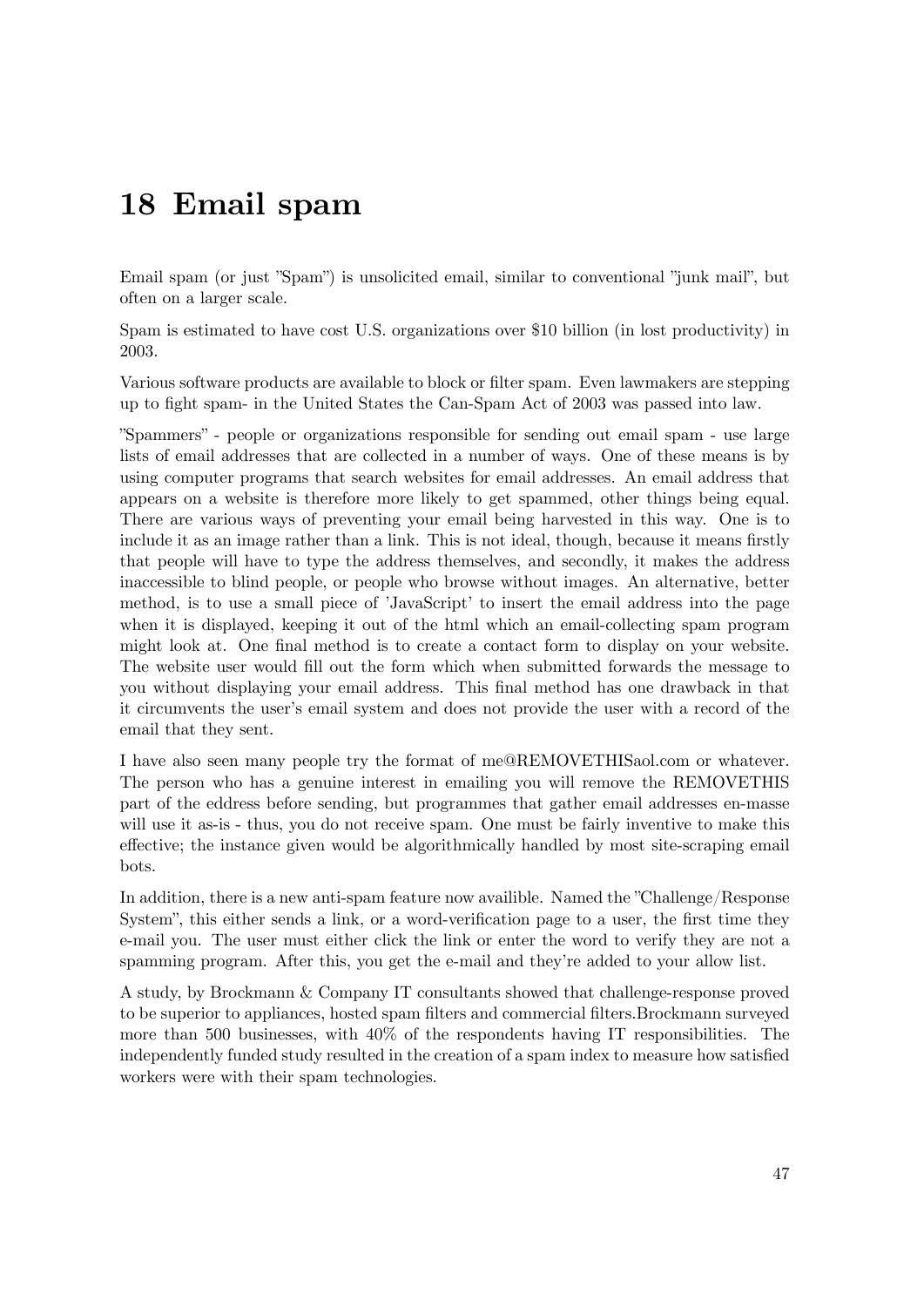# **18 Email spam**

Email spam (or just "Spam") is unsolicited email, similar to conventional "junk mail", but often on a larger scale.

Spam is estimated to have cost U.S. organizations over \$10 billion (in lost productivity) in 2003.

Various software products are available to block or filter spam. Even lawmakers are stepping up to fight spam- in the United States the Can-Spam Act of 2003 was passed into law.

"Spammers" - people or organizations responsible for sending out email spam - use large lists of email addresses that are collected in a number of ways. One of these means is by using computer programs that search websites for email addresses. An email address that appears on a website is therefore more likely to get spammed, other things being equal. There are various ways of preventing your email being harvested in this way. One is to include it as an image rather than a link. This is not ideal, though, because it means firstly that people will have to type the address themselves, and secondly, it makes the address inaccessible to blind people, or people who browse without images. An alternative, better method, is to use a small piece of 'JavaScript' to insert the email address into the page when it is displayed, keeping it out of the html which an email-collecting spam program might look at. One final method is to create a contact form to display on your website. The website user would fill out the form which when submitted forwards the message to you without displaying your email address. This final method has one drawback in that it circumvents the user's email system and does not provide the user with a record of the email that they sent.

I have also seen many people try the format of me@REMOVETHISaol.com or whatever. The person who has a genuine interest in emailing you will remove the REMOVETHIS part of the eddress before sending, but programmes that gather email addresses en-masse will use it as-is - thus, you do not receive spam. One must be fairly inventive to make this effective; the instance given would be algorithmically handled by most site-scraping email bots.

In addition, there is a new anti-spam feature now availible. Named the "Challenge/Response System", this either sends a link, or a word-verification page to a user, the first time they e-mail you. The user must either click the link or enter the word to verify they are not a spamming program. After this, you get the e-mail and they're added to your allow list.

A study, by Brockmann & Company IT consultants showed that challenge-response proved to be superior to appliances, hosted spam filters and commercial filters.Brockmann surveyed more than 500 businesses, with 40% of the respondents having IT responsibilities. The independently funded study resulted in the creation of a spam index to measure how satisfied workers were with their spam technologies.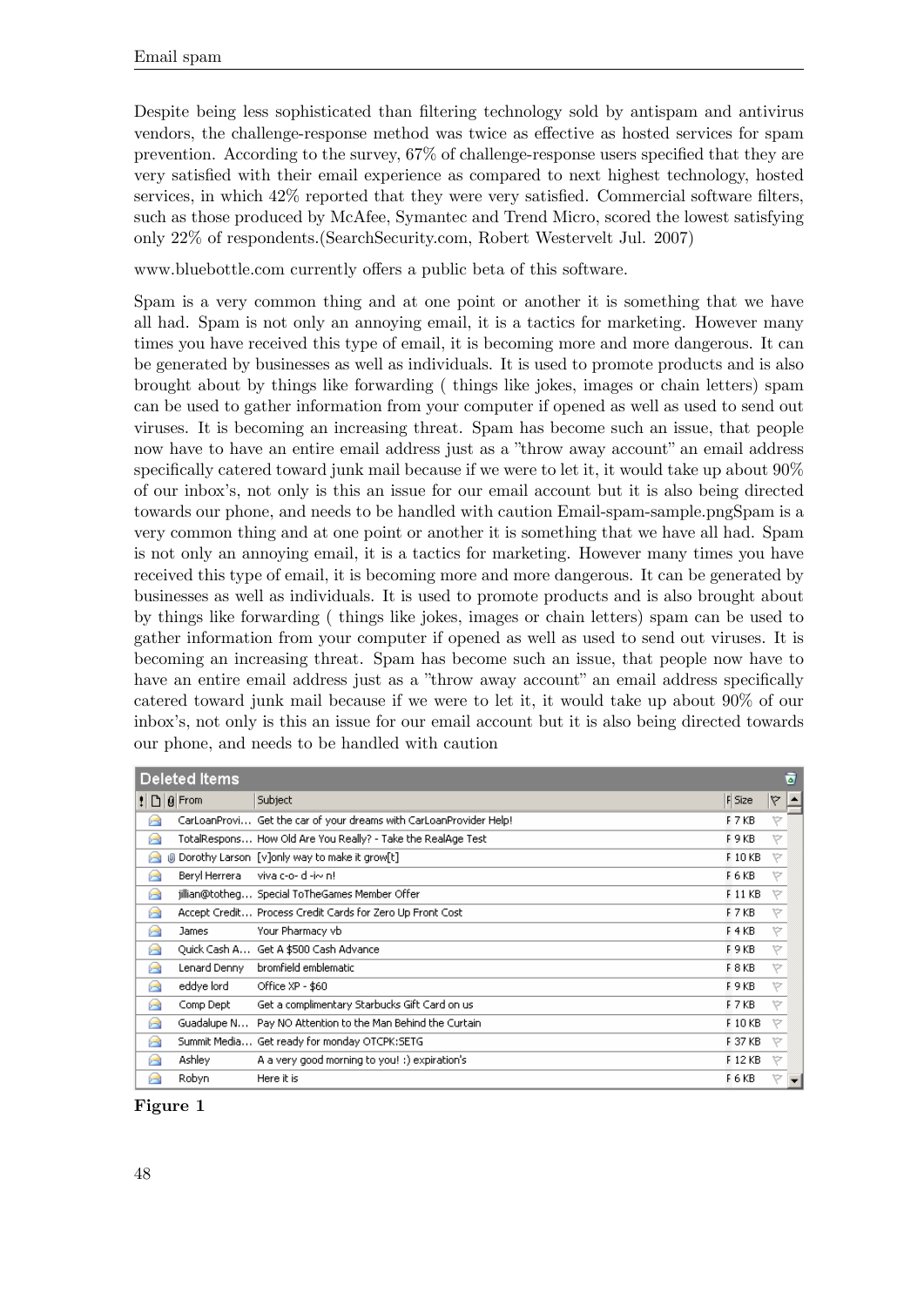Despite being less sophisticated than filtering technology sold by antispam and antivirus vendors, the challenge-response method was twice as effective as hosted services for spam prevention. According to the survey, 67% of challenge-response users specified that they are very satisfied with their email experience as compared to next highest technology, hosted services, in which 42% reported that they were very satisfied. Commercial software filters, such as those produced by McAfee, Symantec and Trend Micro, scored the lowest satisfying only 22% of respondents.(SearchSecurity.com, Robert Westervelt Jul. 2007)

www.bluebottle.com currently offers a public beta of this software.

Spam is a very common thing and at one point or another it is something that we have all had. Spam is not only an annoying email, it is a tactics for marketing. However many times you have received this type of email, it is becoming more and more dangerous. It can be generated by businesses as well as individuals. It is used to promote products and is also brought about by things like forwarding ( things like jokes, images or chain letters) spam can be used to gather information from your computer if opened as well as used to send out viruses. It is becoming an increasing threat. Spam has become such an issue, that people now have to have an entire email address just as a "throw away account" an email address specifically catered toward junk mail because if we were to let it, it would take up about 90% of our inbox's, not only is this an issue for our email account but it is also being directed towards our phone, and needs to be handled with caution Email-spam-sample.pngSpam is a very common thing and at one point or another it is something that we have all had. Spam is not only an annoying email, it is a tactics for marketing. However many times you have received this type of email, it is becoming more and more dangerous. It can be generated by businesses as well as individuals. It is used to promote products and is also brought about by things like forwarding ( things like jokes, images or chain letters) spam can be used to gather information from your computer if opened as well as used to send out viruses. It is becoming an increasing threat. Spam has become such an issue, that people now have to have an entire email address just as a "throw away account" an email address specifically catered toward junk mail because if we were to let it, it would take up about 90% of our inbox's, not only is this an issue for our email account but it is also being directed towards our phone, and needs to be handled with caution

| ō<br><b>Deleted Items</b>                                                                                        |               |                                                                    |          |    |  |  |
|------------------------------------------------------------------------------------------------------------------|---------------|--------------------------------------------------------------------|----------|----|--|--|
| $\left  \begin{array}{c} 1 \\ -1 \end{array} \right $ $\left  \begin{array}{c} 0 \\ -1 \end{array} \right $ From |               | Subject                                                            | $F$ Size | ۱Ÿ |  |  |
| 米                                                                                                                |               | CarLoanProvi Get the car of your dreams with CarLoanProvider Help! | F 7 KB   | y  |  |  |
| 6                                                                                                                |               | TotalRespons How Old Are You Really? - Take the RealAge Test       | F 9 KB   | Ŕ. |  |  |
| w<br>米                                                                                                           |               | Dorothy Larson [v]only way to make it grow[t]                      | F 10 KB  | y  |  |  |
| 米                                                                                                                | Beryl Herrera | viva c-o- d-i~ n!                                                  | F 6 KB   | Y  |  |  |
| ▶                                                                                                                |               | jillian@totheg Special ToTheGames Member Offer                     | F 11 KB  | y  |  |  |
| 米                                                                                                                |               | Accept Credit Process Credit Cards for Zero Up Front Cost          | F 7 KB   | Ŕ. |  |  |
| ×                                                                                                                | James         | Your Pharmacy vb                                                   | F4KB     | Ŷ. |  |  |
| 米                                                                                                                |               | Quick Cash A Get A \$500 Cash Advance                              | F 9 KB   | Y  |  |  |
| 6₹                                                                                                               | Lenard Denny  | bromfield emblematic                                               | F 8 KB   | A. |  |  |
| ×                                                                                                                | eddye lord    | Office XP - \$60                                                   | F 9 KB   | À. |  |  |
| ×                                                                                                                | Comp Dept     | Get a complimentary Starbucks Gift Card on us                      | F 7 KB   | A. |  |  |
| 米                                                                                                                | Guadalupe N   | Pay NO Attention to the Man Behind the Curtain                     | F 10 KB  | y  |  |  |
| ×                                                                                                                |               | Summit Media Get ready for monday OTCPK:SETG                       | F 37 KB  | y  |  |  |
| б÷                                                                                                               | Ashley        | A a very good morning to you! :) expiration's                      | F 12 KB  | v  |  |  |
| ×                                                                                                                | Robyn         | Here it is                                                         | F 6 KB   | v  |  |  |

#### **Figure 1**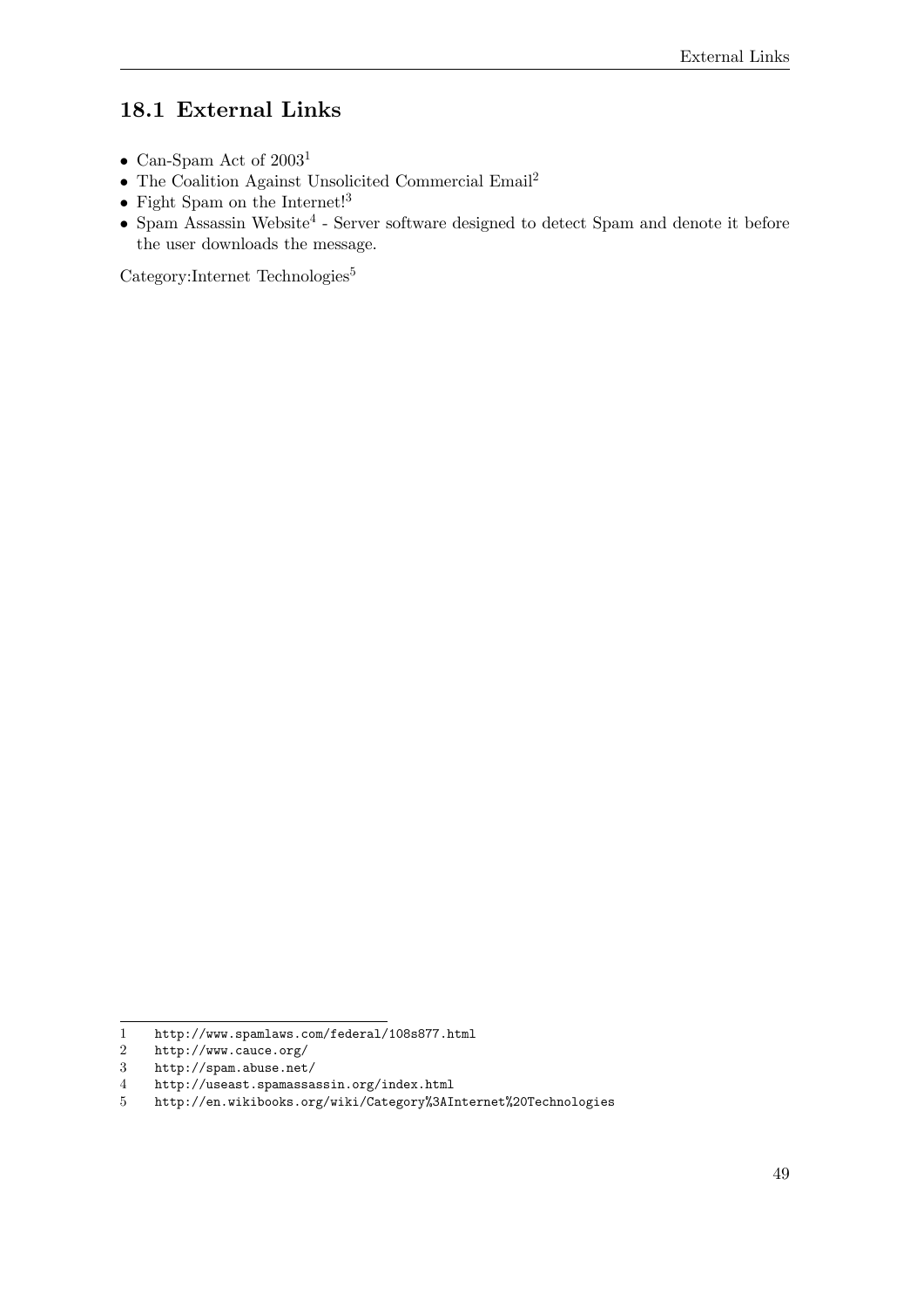## **18.1 External Links**

- Can-Spam Act of  $2003^1$  $2003^1$
- $\bullet\,$  The Coalition Against Unsolicited Commercial Email $^2$  $^2$
- $\bullet~$  Fight Spam on the Internet!<sup>[3](#page-52-2)</sup>
- $\bullet$  Spam Assassin Website<sup>[4](#page-52-3)</sup> Server software designed to detect Spam and denote it before the user downloads the message.

Category:Internet Technologies<sup>[5](#page-52-4)</sup>

<span id="page-52-0"></span><sup>1</sup> <http://www.spamlaws.com/federal/108s877.html>

<span id="page-52-1"></span><sup>2</sup> <http://www.cauce.org/><br>3 http://spam.abuse.net

<span id="page-52-2"></span><http://spam.abuse.net/>

<span id="page-52-3"></span><sup>4</sup> <http://useast.spamassassin.org/index.html>

<span id="page-52-4"></span><sup>5</sup> <http://en.wikibooks.org/wiki/Category%3AInternet%20Technologies>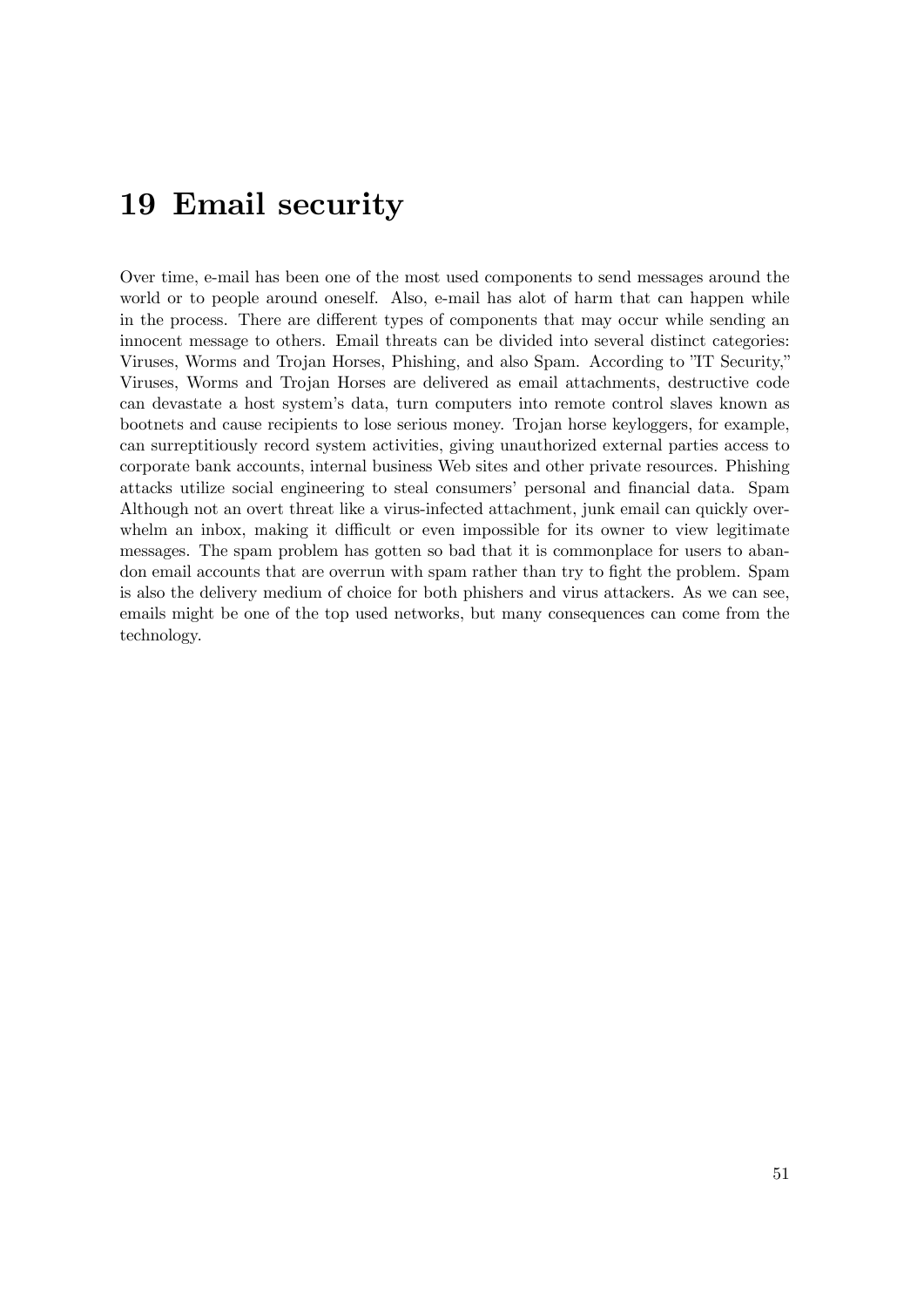## **19 Email security**

Over time, e-mail has been one of the most used components to send messages around the world or to people around oneself. Also, e-mail has alot of harm that can happen while in the process. There are different types of components that may occur while sending an innocent message to others. Email threats can be divided into several distinct categories: Viruses, Worms and Trojan Horses, Phishing, and also Spam. According to "IT Security," Viruses, Worms and Trojan Horses are delivered as email attachments, destructive code can devastate a host system's data, turn computers into remote control slaves known as bootnets and cause recipients to lose serious money. Trojan horse keyloggers, for example, can surreptitiously record system activities, giving unauthorized external parties access to corporate bank accounts, internal business Web sites and other private resources. Phishing attacks utilize social engineering to steal consumers' personal and financial data. Spam Although not an overt threat like a virus-infected attachment, junk email can quickly overwhelm an inbox, making it difficult or even impossible for its owner to view legitimate messages. The spam problem has gotten so bad that it is commonplace for users to abandon email accounts that are overrun with spam rather than try to fight the problem. Spam is also the delivery medium of choice for both phishers and virus attackers. As we can see, emails might be one of the top used networks, but many consequences can come from the technology.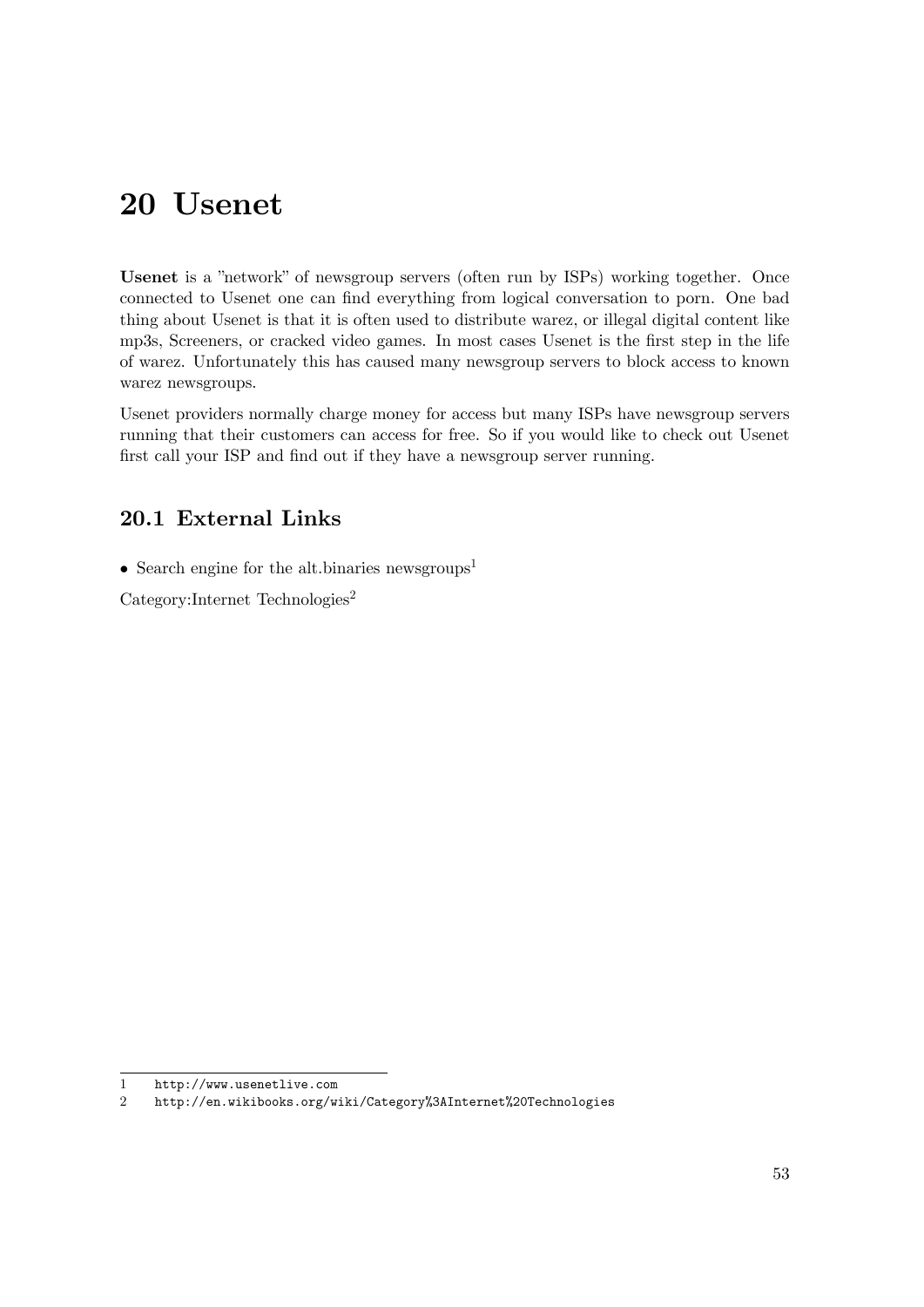# **20 Usenet**

**Usenet** is a "network" of newsgroup servers (often run by ISPs) working together. Once connected to Usenet one can find everything from logical conversation to porn. One bad thing about Usenet is that it is often used to distribute warez, or illegal digital content like mp3s, Screeners, or cracked video games. In most cases Usenet is the first step in the life of warez. Unfortunately this has caused many newsgroup servers to block access to known warez newsgroups.

Usenet providers normally charge money for access but many ISPs have newsgroup servers running that their customers can access for free. So if you would like to check out Usenet first call your ISP and find out if they have a newsgroup server running.

### **20.1 External Links**

• Search engine for the alt.binaries newsgroups<sup>[1](#page-56-0)</sup>

Category:Internet Technologies<sup>[2](#page-56-1)</sup>

<span id="page-56-0"></span><sup>1</sup> <http://www.usenetlive.com>

<span id="page-56-1"></span><sup>2</sup> <http://en.wikibooks.org/wiki/Category%3AInternet%20Technologies>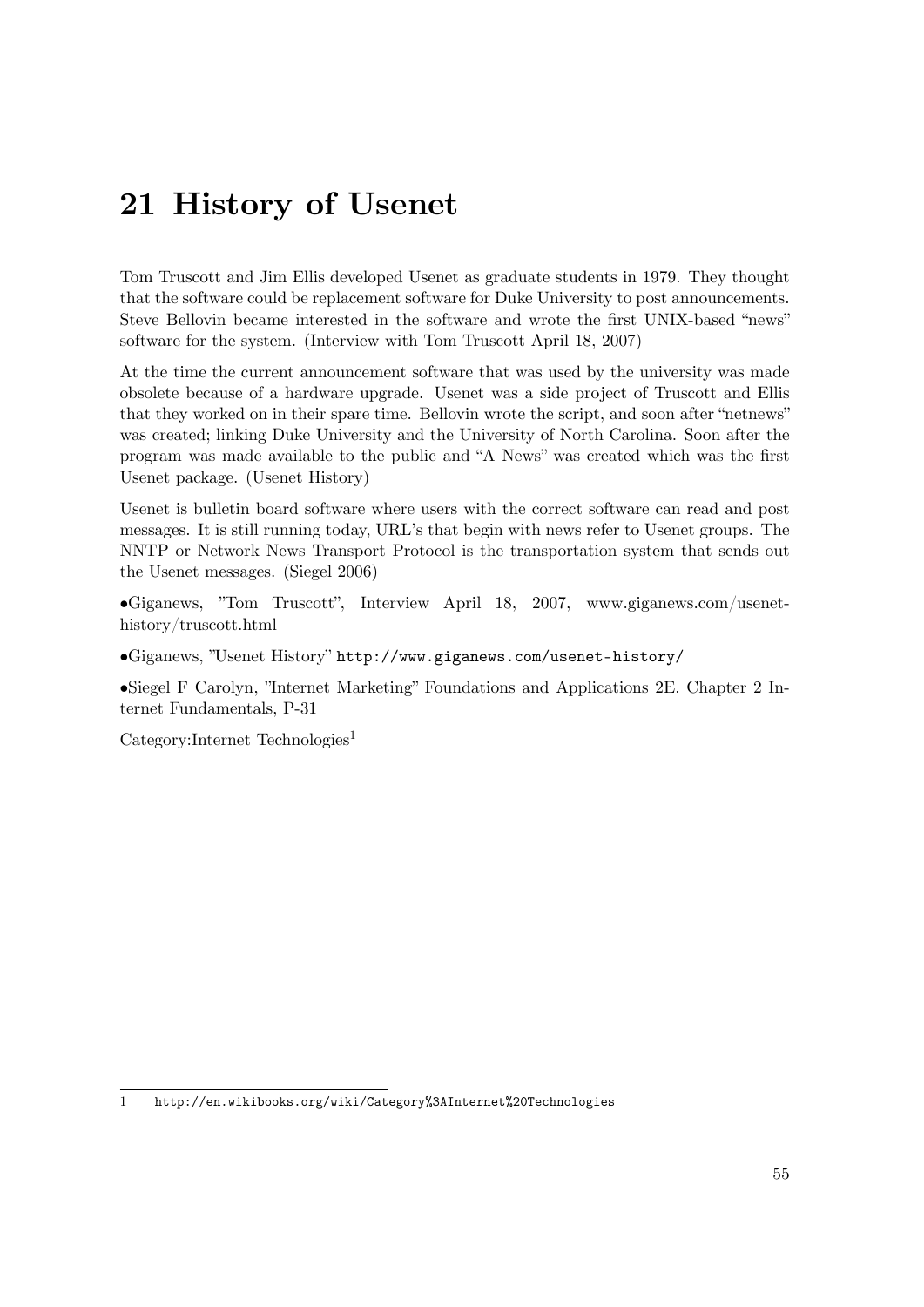# **21 History of Usenet**

Tom Truscott and Jim Ellis developed Usenet as graduate students in 1979. They thought that the software could be replacement software for Duke University to post announcements. Steve Bellovin became interested in the software and wrote the first UNIX-based "news" software for the system. (Interview with Tom Truscott April 18, 2007)

At the time the current announcement software that was used by the university was made obsolete because of a hardware upgrade. Usenet was a side project of Truscott and Ellis that they worked on in their spare time. Bellovin wrote the script, and soon after "netnews" was created; linking Duke University and the University of North Carolina. Soon after the program was made available to the public and "A News" was created which was the first Usenet package. (Usenet History)

Usenet is bulletin board software where users with the correct software can read and post messages. It is still running today, URL's that begin with news refer to Usenet groups. The NNTP or Network News Transport Protocol is the transportation system that sends out the Usenet messages. (Siegel 2006)

•Giganews, "Tom Truscott", Interview April 18, 2007, www.giganews.com/usenethistory/truscott.html

•Giganews, "Usenet History" <http://www.giganews.com/usenet-history/>

•Siegel F Carolyn, "Internet Marketing" Foundations and Applications 2E. Chapter 2 Internet Fundamentals, P-31

Category:Internet Technologies<sup>[1](#page-58-0)</sup>

<span id="page-58-0"></span><sup>1</sup> <http://en.wikibooks.org/wiki/Category%3AInternet%20Technologies>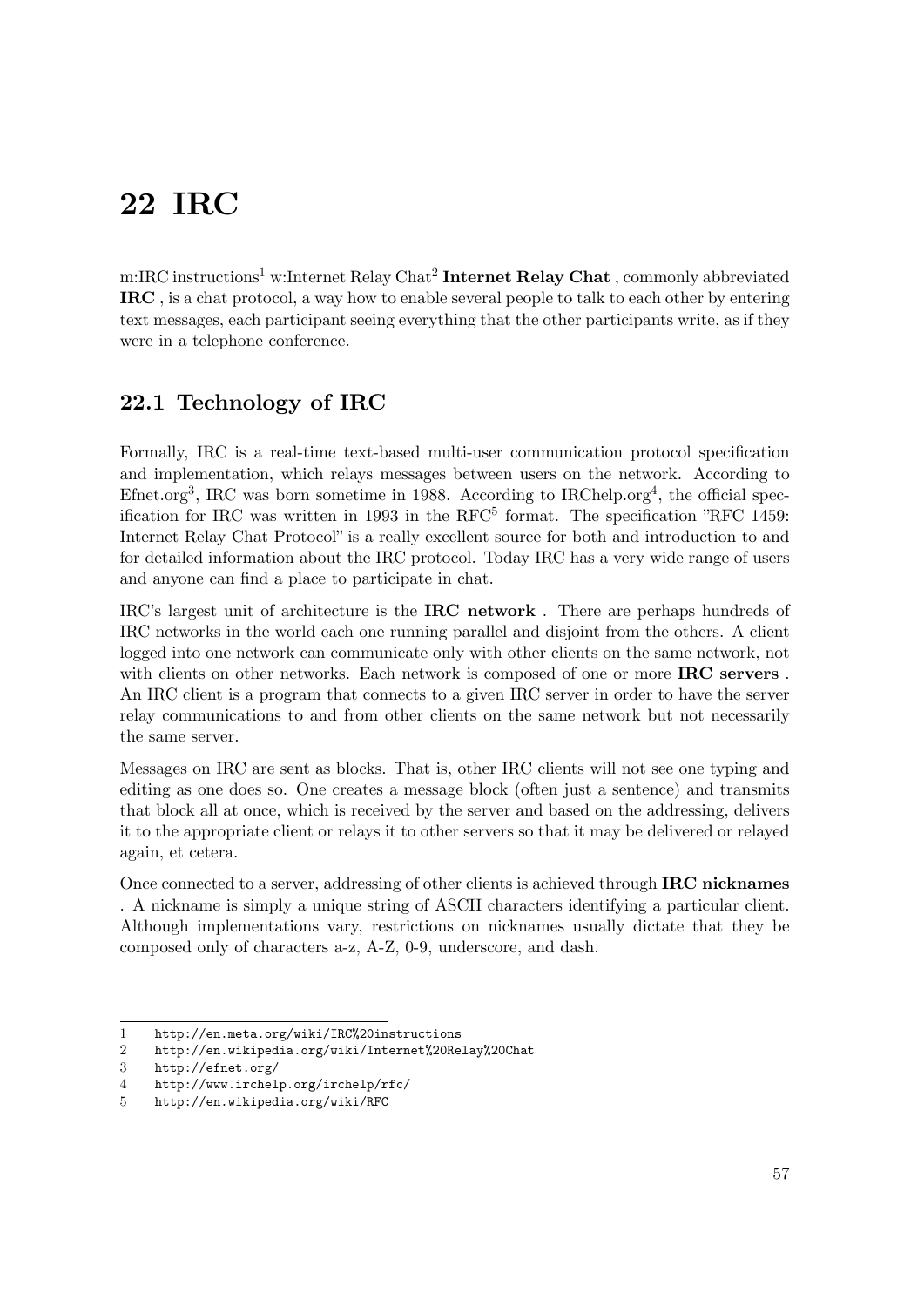# **22 IRC**

m:IRC instructions<sup>[1](#page-60-0)</sup> w:Internet Relay Chat<sup>[2](#page-60-1)</sup> Internet Relay Chat , commonly abbreviated **IRC** , is a chat protocol, a way how to enable several people to talk to each other by entering text messages, each participant seeing everything that the other participants write, as if they were in a telephone conference.

## **22.1 Technology of IRC**

Formally, IRC is a real-time text-based multi-user communication protocol specification and implementation, which relays messages between users on the network. According to Efnet.org<sup>[3](#page-60-2)</sup>, IRC was born sometime in 1988. According to IRChelp.org<sup>[4](#page-60-3)</sup>, the official specification for IRC was written in 1993 in the  $RFC^5$  $RFC^5$  format. The specification "RFC 1459: Internet Relay Chat Protocol" is a really excellent source for both and introduction to and for detailed information about the IRC protocol. Today IRC has a very wide range of users and anyone can find a place to participate in chat.

IRC's largest unit of architecture is the **IRC network** . There are perhaps hundreds of IRC networks in the world each one running parallel and disjoint from the others. A client logged into one network can communicate only with other clients on the same network, not with clients on other networks. Each network is composed of one or more **IRC servers** . An IRC client is a program that connects to a given IRC server in order to have the server relay communications to and from other clients on the same network but not necessarily the same server.

Messages on IRC are sent as blocks. That is, other IRC clients will not see one typing and editing as one does so. One creates a message block (often just a sentence) and transmits that block all at once, which is received by the server and based on the addressing, delivers it to the appropriate client or relays it to other servers so that it may be delivered or relayed again, et cetera.

Once connected to a server, addressing of other clients is achieved through **IRC nicknames** . A nickname is simply a unique string of ASCII characters identifying a particular client. Although implementations vary, restrictions on nicknames usually dictate that they be composed only of characters a-z, A-Z, 0-9, underscore, and dash.

<span id="page-60-0"></span><sup>1</sup> <http://en.meta.org/wiki/IRC%20instructions>

<span id="page-60-1"></span><sup>2</sup> <http://en.wikipedia.org/wiki/Internet%20Relay%20Chat>

<span id="page-60-2"></span><sup>3</sup> <http://efnet.org/>

<span id="page-60-3"></span><sup>4</sup> <http://www.irchelp.org/irchelp/rfc/>

<span id="page-60-4"></span><sup>5</sup> <http://en.wikipedia.org/wiki/RFC>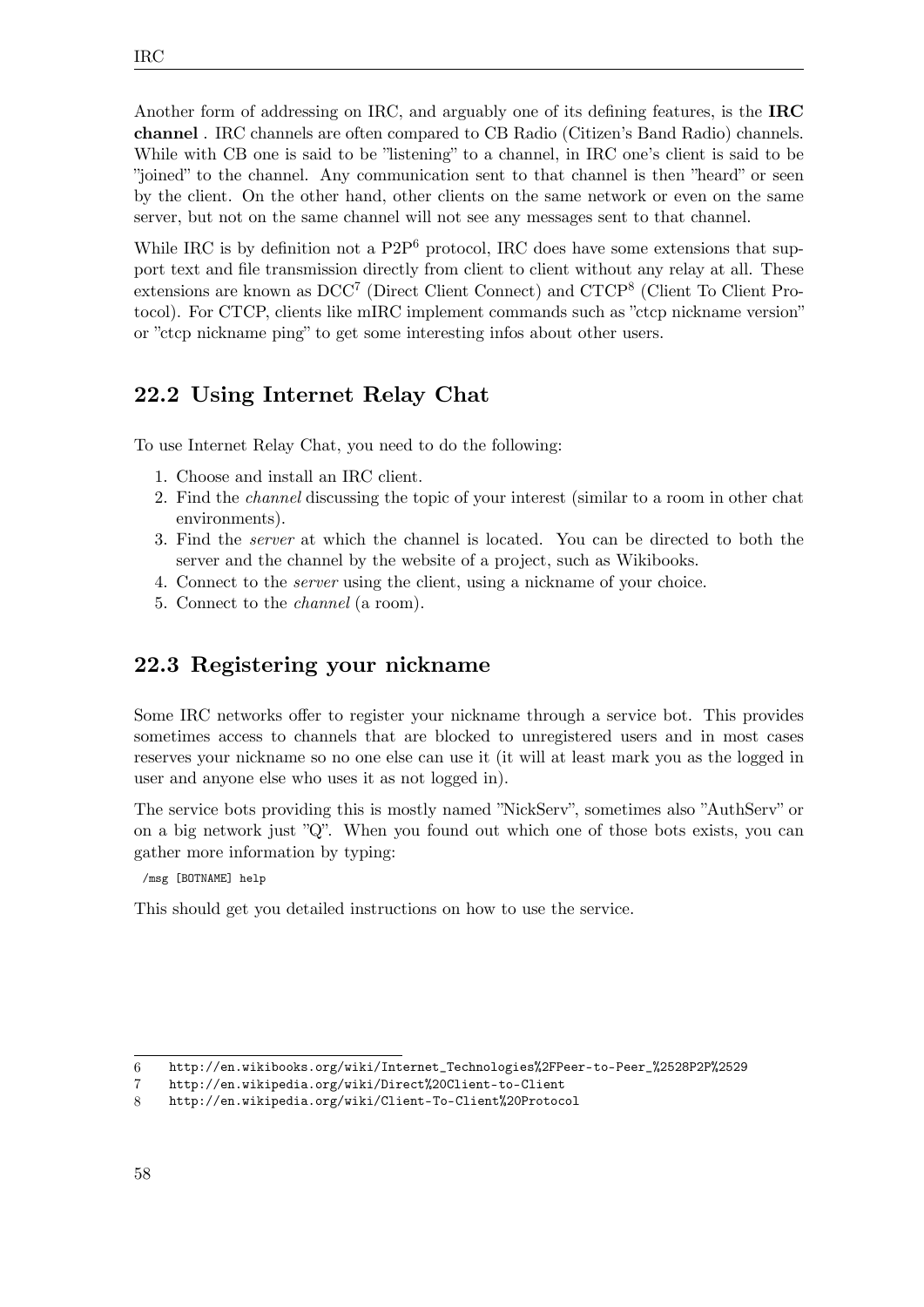IRC

Another form of addressing on IRC, and arguably one of its defining features, is the **IRC channel** . IRC channels are often compared to CB Radio (Citizen's Band Radio) channels. While with CB one is said to be "listening" to a channel, in IRC one's client is said to be "joined" to the channel. Any communication sent to that channel is then "heard" or seen by the client. On the other hand, other clients on the same network or even on the same server, but not on the same channel will not see any messages sent to that channel.

While IRC is by definition not a  $P2P^6$  $P2P^6$  protocol, IRC does have some extensions that support text and file transmission directly from client to client without any relay at all. These extensions are known as  $DCC<sup>7</sup>$  $DCC<sup>7</sup>$  $DCC<sup>7</sup>$  (Direct Client Connect) and  $CTCP<sup>8</sup>$  $CTCP<sup>8</sup>$  $CTCP<sup>8</sup>$  (Client To Client Protocol). For CTCP, clients like mIRC implement commands such as "ctcp nickname version" or "ctcp nickname ping" to get some interesting infos about other users.

## **22.2 Using Internet Relay Chat**

To use Internet Relay Chat, you need to do the following:

- 1. Choose and install an IRC client.
- 2. Find the *channel* discussing the topic of your interest (similar to a room in other chat environments).
- 3. Find the *server* at which the channel is located. You can be directed to both the server and the channel by the website of a project, such as Wikibooks.
- 4. Connect to the *server* using the client, using a nickname of your choice.
- 5. Connect to the *channel* (a room).

### **22.3 Registering your nickname**

Some IRC networks offer to register your nickname through a service bot. This provides sometimes access to channels that are blocked to unregistered users and in most cases reserves your nickname so no one else can use it (it will at least mark you as the logged in user and anyone else who uses it as not logged in).

The service bots providing this is mostly named "NickServ", sometimes also "AuthServ" or on a big network just "Q". When you found out which one of those bots exists, you can gather more information by typing:

/msg [BOTNAME] help

This should get you detailed instructions on how to use the service.

<span id="page-61-0"></span><sup>6</sup> [http://en.wikibooks.org/wiki/Internet\\_Technologies%2FPeer-to-Peer\\_%2528P2P%2529](http://en.wikibooks.org/wiki/Internet_Technologies%2FPeer-to-Peer_%2528P2P%2529)

<span id="page-61-1"></span><sup>7</sup> <http://en.wikipedia.org/wiki/Direct%20Client-to-Client>

<span id="page-61-2"></span><sup>8</sup> <http://en.wikipedia.org/wiki/Client-To-Client%20Protocol>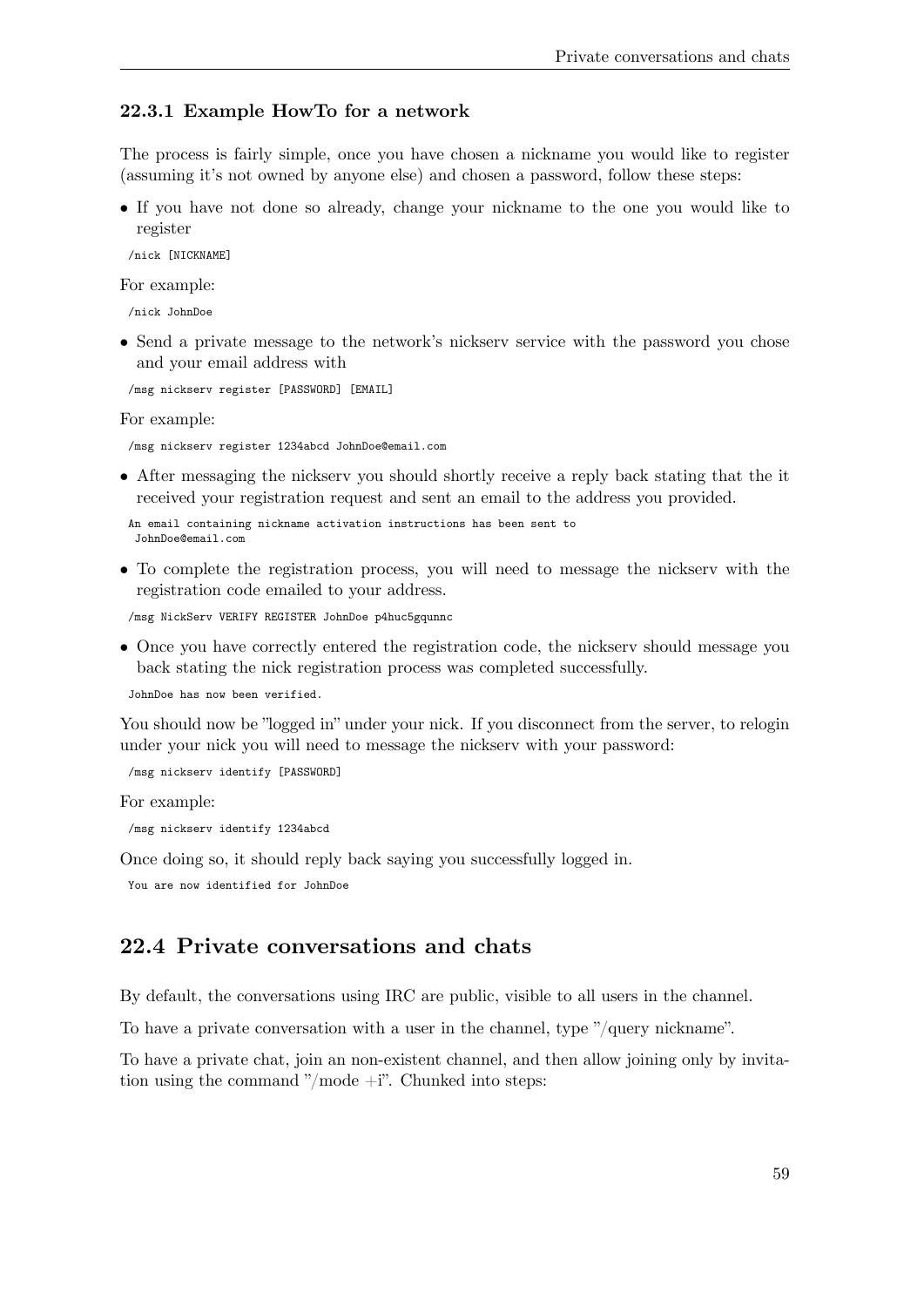#### **22.3.1 Example HowTo for a network**

The process is fairly simple, once you have chosen a nickname you would like to register (assuming it's not owned by anyone else) and chosen a password, follow these steps:

• If you have not done so already, change your nickname to the one you would like to register

/nick [NICKNAME]

For example:

/nick JohnDoe

• Send a private message to the network's nickserv service with the password you chose and your email address with

/msg nickserv register [PASSWORD] [EMAIL]

For example:

/msg nickserv register 1234abcd JohnDoe@email.com

• After messaging the nickserv you should shortly receive a reply back stating that the it received your registration request and sent an email to the address you provided.

```
An email containing nickname activation instructions has been sent to
 JohnDoe@email.com
```
• To complete the registration process, you will need to message the nickserv with the registration code emailed to your address.

/msg NickServ VERIFY REGISTER JohnDoe p4huc5gqunnc

• Once you have correctly entered the registration code, the nickserv should message you back stating the nick registration process was completed successfully.

JohnDoe has now been verified.

You should now be "logged in" under your nick. If you disconnect from the server, to relogin under your nick you will need to message the nickserv with your password:

/msg nickserv identify [PASSWORD]

For example:

/msg nickserv identify 1234abcd

Once doing so, it should reply back saying you successfully logged in.

You are now identified for JohnDoe

### **22.4 Private conversations and chats**

By default, the conversations using IRC are public, visible to all users in the channel.

To have a private conversation with a user in the channel, type "/query nickname".

To have a private chat, join an non-existent channel, and then allow joining only by invitation using the command "/mode +i". Chunked into steps: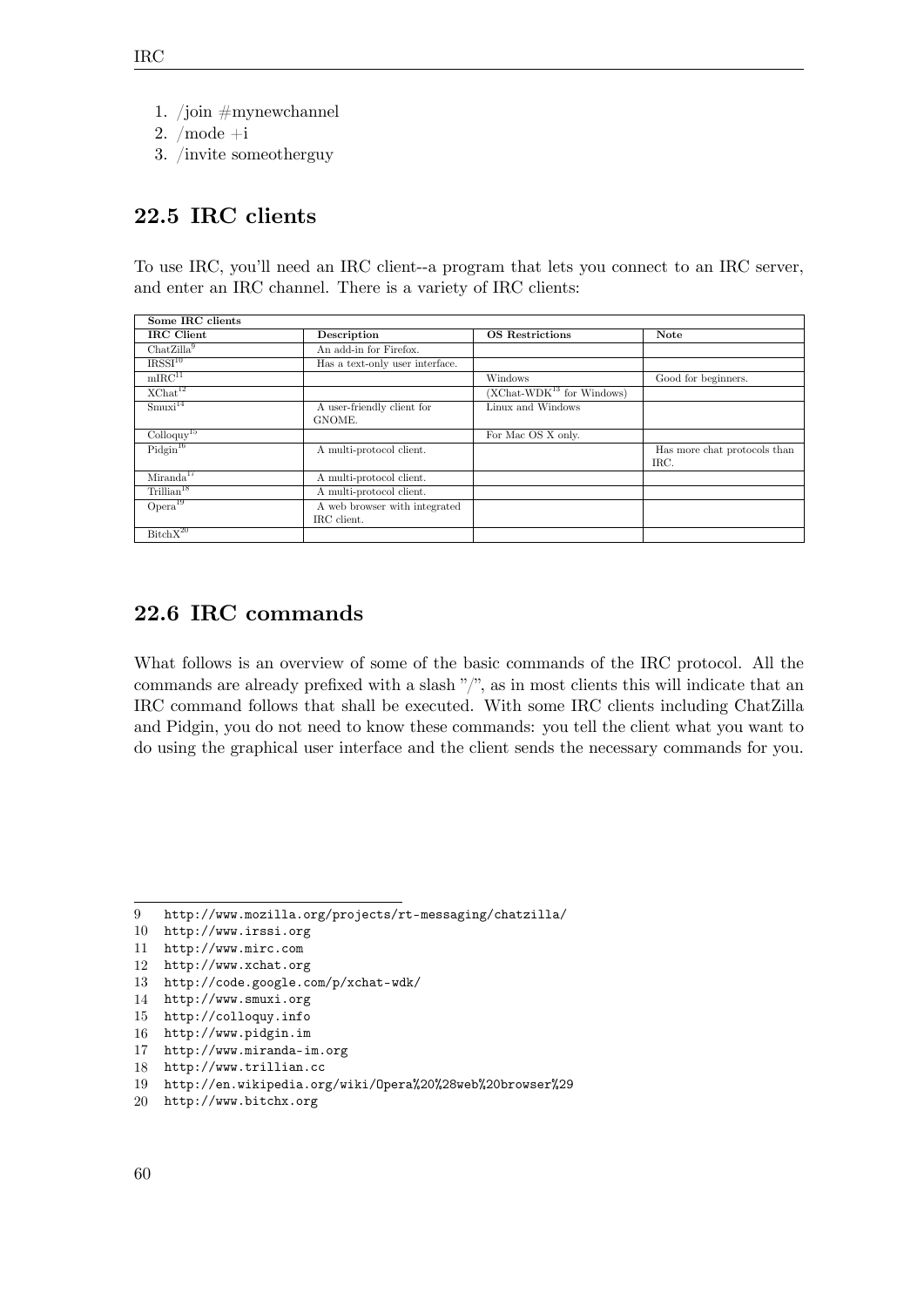- 1. /join  $\#$ mynewchannel
- 2. /mode +i
- 3. /invite someotherguy

## **22.5 IRC clients**

To use IRC, you'll need an IRC client--a program that lets you connect to an IRC server, and enter an IRC channel. There is a variety of IRC clients:

| Some IRC clients                  |                                              |                             |                                      |
|-----------------------------------|----------------------------------------------|-----------------------------|--------------------------------------|
| IRC Client                        | Description                                  | <b>OS</b> Restrictions      | <b>Note</b>                          |
| ChatZilla <sup>9</sup>            | An add-in for Firefox.                       |                             |                                      |
| IRSSI <sup>10</sup>               | Has a text-only user interface.              |                             |                                      |
| $mIRC$ <sup>11</sup>              |                                              | Windows                     | Good for beginners.                  |
| $X$ Chat <sup>12</sup>            |                                              | $(XChat-WDK13$ for Windows) |                                      |
| Smuxi <sup>14</sup>               | A user-friendly client for<br>GNOME.         | Linux and Windows           |                                      |
| $\text{Colloquy}^{\overline{15}}$ |                                              | For Mac OS X only.          |                                      |
| $P_{\text{idgin}}^{16}$           | A multi-protocol client.                     |                             | Has more chat protocols than<br>IRC. |
| Miranda <sup>17</sup>             | A multi-protocol client.                     |                             |                                      |
| Trillian <sup>18</sup>            | A multi-protocol client.                     |                             |                                      |
| Opera <sup>19</sup>               | A web browser with integrated<br>IRC client. |                             |                                      |
| BitchX <sup>20</sup>              |                                              |                             |                                      |

## **22.6 IRC commands**

What follows is an overview of some of the basic commands of the IRC protocol. All the commands are already prefixed with a slash "/", as in most clients this will indicate that an IRC command follows that shall be executed. With some IRC clients including ChatZilla and Pidgin, you do not need to know these commands: you tell the client what you want to do using the graphical user interface and the client sends the necessary commands for you.

- 10 <http://www.irssi.org>
- 11 <http://www.mirc.com>
- 12 <http://www.xchat.org>
- 13 <http://code.google.com/p/xchat-wdk/>
- 14 <http://www.smuxi.org>
- 15 <http://colloquy.info>
- 16 <http://www.pidgin.im>
- 17 <http://www.miranda-im.org>
- 18 <http://www.trillian.cc>
- 19 <http://en.wikipedia.org/wiki/Opera%20%28web%20browser%29>
- 20 <http://www.bitchx.org>

<sup>9</sup> <http://www.mozilla.org/projects/rt-messaging/chatzilla/>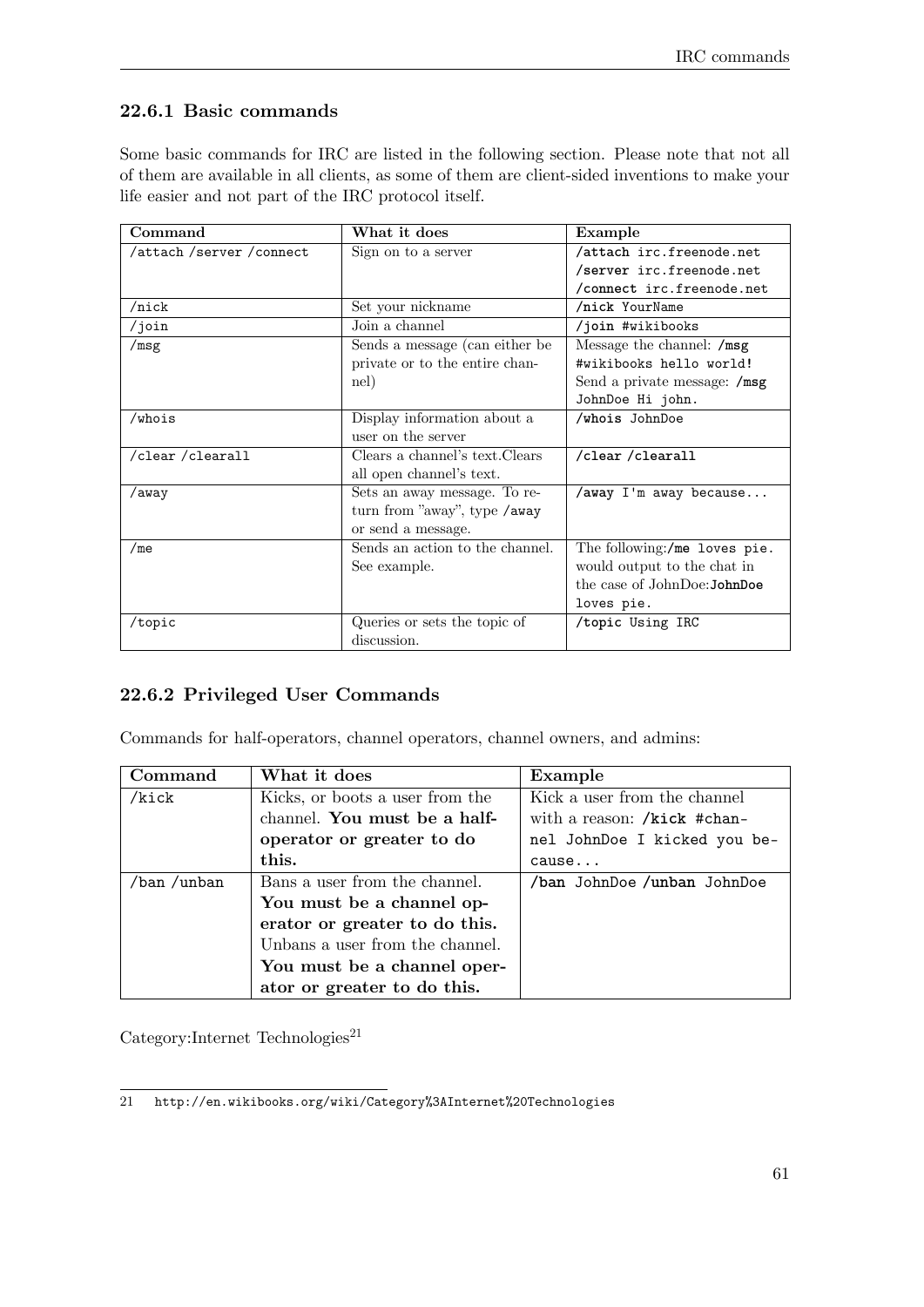### **22.6.1 Basic commands**

Some basic commands for IRC are listed in the following section. Please note that not all of them are available in all clients, as some of them are client-sided inventions to make your life easier and not part of the IRC protocol itself.

| Command                  | What it does                    | Example                      |  |
|--------------------------|---------------------------------|------------------------------|--|
| /attach /server /connect | Sign on to a server             | /attach irc.freenode.net     |  |
|                          |                                 | /server irc.freenode.net     |  |
|                          |                                 | /connect irc.freenode.net    |  |
| $/$ nick                 | Set your nickname               | /nick YourName               |  |
| $/$ join                 | Join a channel                  | /join #wikibooks             |  |
| /msg                     | Sends a message (can either be  | Message the channel: /msg    |  |
|                          | private or to the entire chan-  | #wikibooks hello world!      |  |
|                          | nel)                            | Send a private message: /msg |  |
|                          |                                 | JohnDoe Hi john.             |  |
| /whois                   | Display information about a     | /whois JohnDoe               |  |
|                          | user on the server              |                              |  |
| /clear/clearall          | Clears a channel's text. Clears | /clear/clearall              |  |
|                          | all open channel's text.        |                              |  |
| /away                    | Sets an away message. To re-    | /away I'm away because       |  |
|                          | turn from "away", type / away   |                              |  |
|                          | or send a message.              |                              |  |
| /me                      | Sends an action to the channel. | The following:/me loves pie. |  |
|                          | See example.                    | would output to the chat in  |  |
|                          |                                 | the case of JohnDoe: JohnDoe |  |
|                          |                                 | loves pie.                   |  |
| /topic                   | Queries or sets the topic of    | /topic Using IRC             |  |
|                          | discussion.                     |                              |  |

### **22.6.2 Privileged User Commands**

Commands for half-operators, channel operators, channel owners, and admins:

| $\operatorname{Command}$                 | What it does                    | Example                      |
|------------------------------------------|---------------------------------|------------------------------|
| /kick<br>Kicks, or boots a user from the |                                 | Kick a user from the channel |
|                                          | channel. You must be a half-    | with a reason: /kick #chan-  |
|                                          | operator or greater to do       | nel JohnDoe I kicked you be- |
|                                          | this.                           | cause                        |
| /ban /unban                              | Bans a user from the channel.   | /ban JohnDoe /unban JohnDoe  |
|                                          | You must be a channel op-       |                              |
|                                          | erator or greater to do this.   |                              |
|                                          | Unbans a user from the channel. |                              |
|                                          | You must be a channel oper-     |                              |
|                                          | ator or greater to do this.     |                              |

 $\text{Category:Internet Technologies}^{21}$  $\text{Category:Internet Technologies}^{21}$  $\text{Category:Internet Technologies}^{21}$ 

<span id="page-64-0"></span><sup>21</sup> <http://en.wikibooks.org/wiki/Category%3AInternet%20Technologies>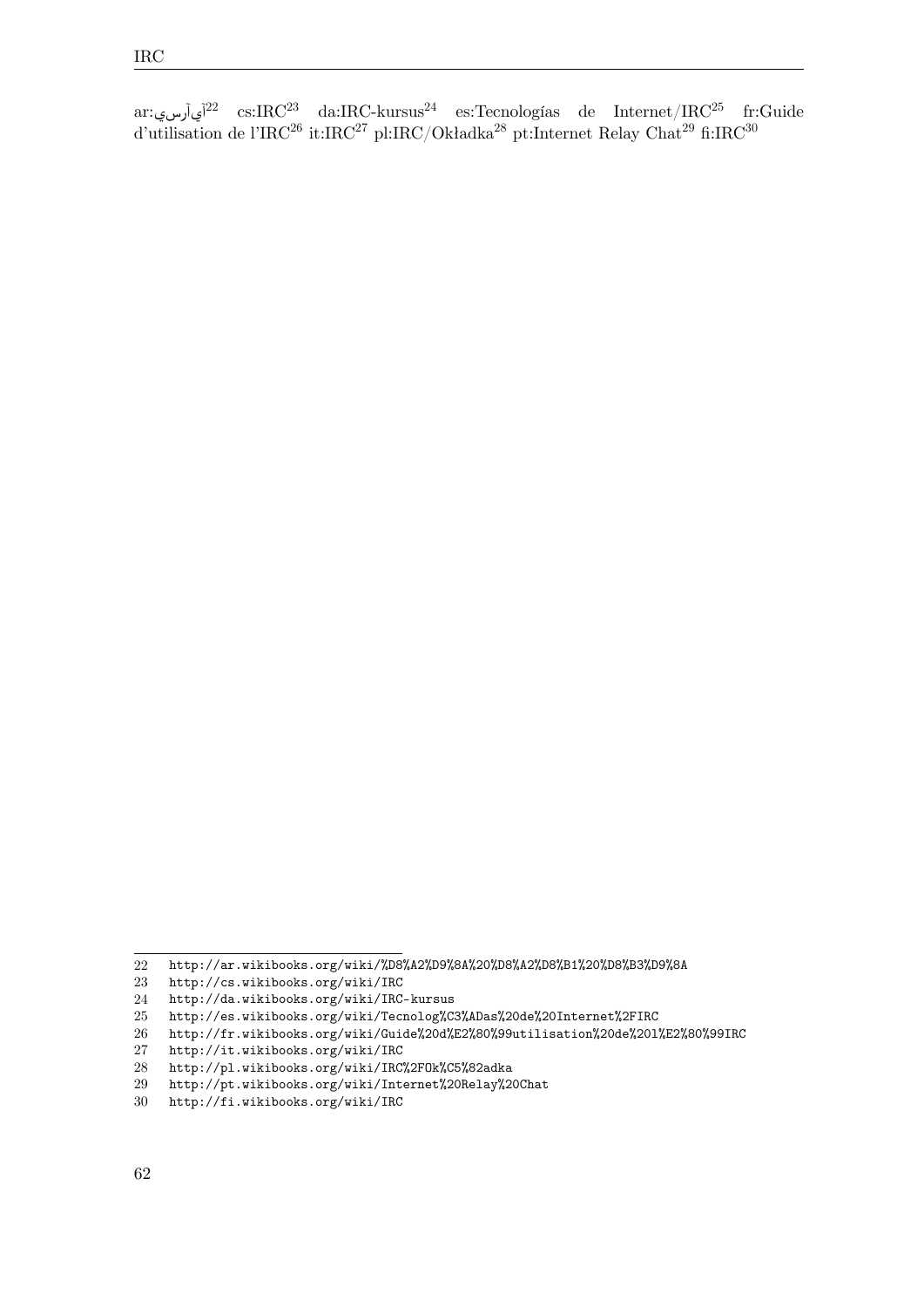ar:آيآرس $^{22}$  $^{22}$  $^{22}$  cs:IRC $^{23}$  $^{23}$  $^{23}$  da:IRC-kursus $^{24}$  $^{24}$  $^{24}$  es:Tecnologías de Internet/IRC $^{25}$  $^{25}$  $^{25}$  fr:Guide d'utilisation de l'IRC<sup>[26](#page-65-4)</sup> it:IRC<sup>[27](#page-65-5)</sup> pl:IRC/Okładka<sup>[28](#page-65-6)</sup> pt:Internet Relay Chat<sup>[29](#page-65-7)</sup> fi:IRC<sup>[30](#page-65-8)</sup>

<span id="page-65-0"></span><http://ar.wikibooks.org/wiki/%D8%A2%D9%8A%20%D8%A2%D8%B1%20%D8%B3%D9%8A>

<span id="page-65-1"></span><http://cs.wikibooks.org/wiki/IRC>

<span id="page-65-2"></span><http://da.wikibooks.org/wiki/IRC-kursus>

<span id="page-65-3"></span><http://es.wikibooks.org/wiki/Tecnolog%C3%ADas%20de%20Internet%2FIRC>

<span id="page-65-4"></span><http://fr.wikibooks.org/wiki/Guide%20d%E2%80%99utilisation%20de%20l%E2%80%99IRC>

<span id="page-65-5"></span><http://it.wikibooks.org/wiki/IRC>

<span id="page-65-6"></span><http://pl.wikibooks.org/wiki/IRC%2FOk%C5%82adka>

<span id="page-65-7"></span><http://pt.wikibooks.org/wiki/Internet%20Relay%20Chat>

<span id="page-65-8"></span><http://fi.wikibooks.org/wiki/IRC>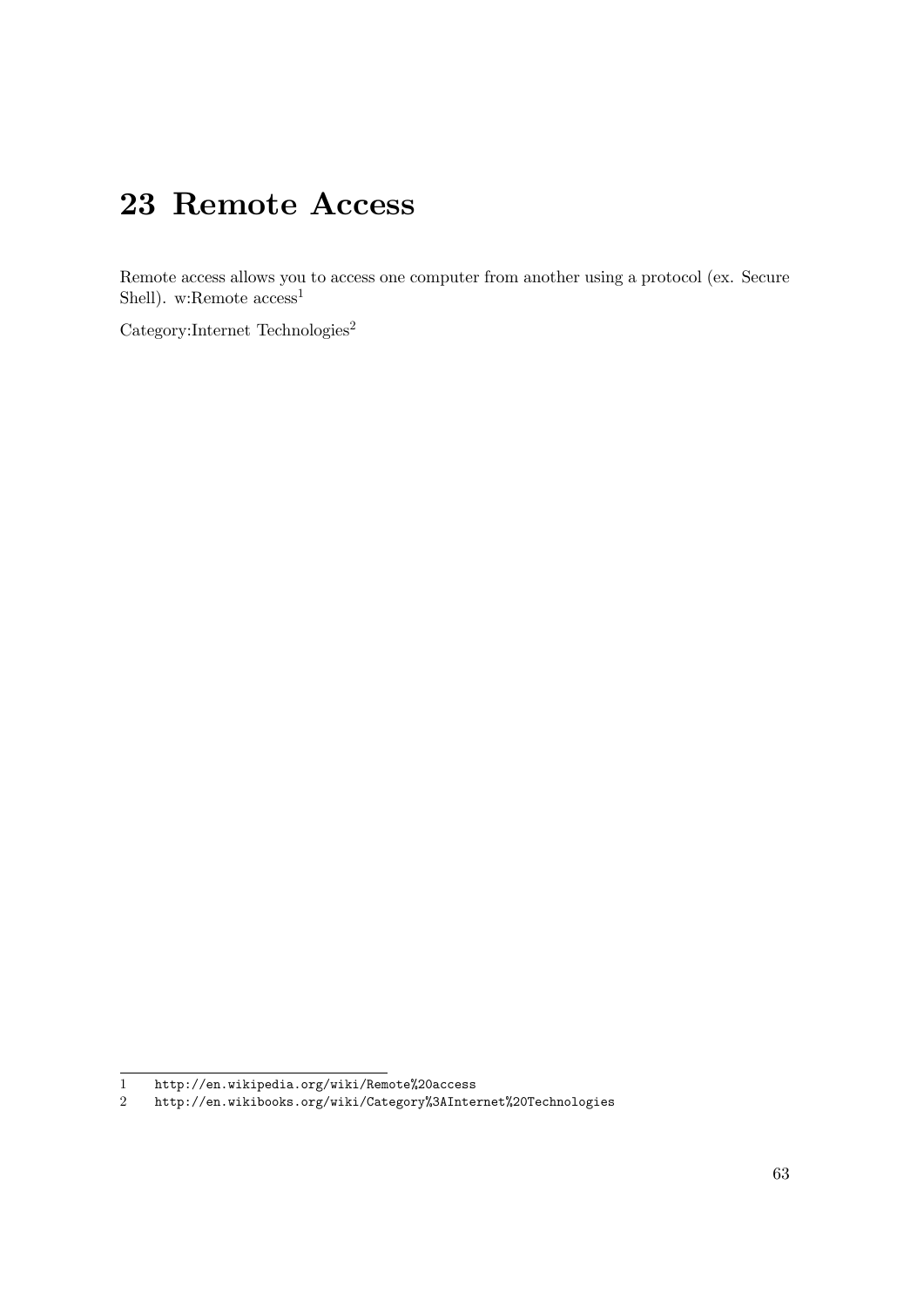# **23 Remote Access**

Remote access allows you to access one computer from another using a protocol (ex. Secure Shell). w:Remote  $access<sup>1</sup>$  $access<sup>1</sup>$  $access<sup>1</sup>$ 

Category:Internet Technologies<sup>[2](#page-66-1)</sup>

<span id="page-66-0"></span><sup>1</sup> <http://en.wikipedia.org/wiki/Remote%20access>

<span id="page-66-1"></span><sup>2</sup> <http://en.wikibooks.org/wiki/Category%3AInternet%20Technologies>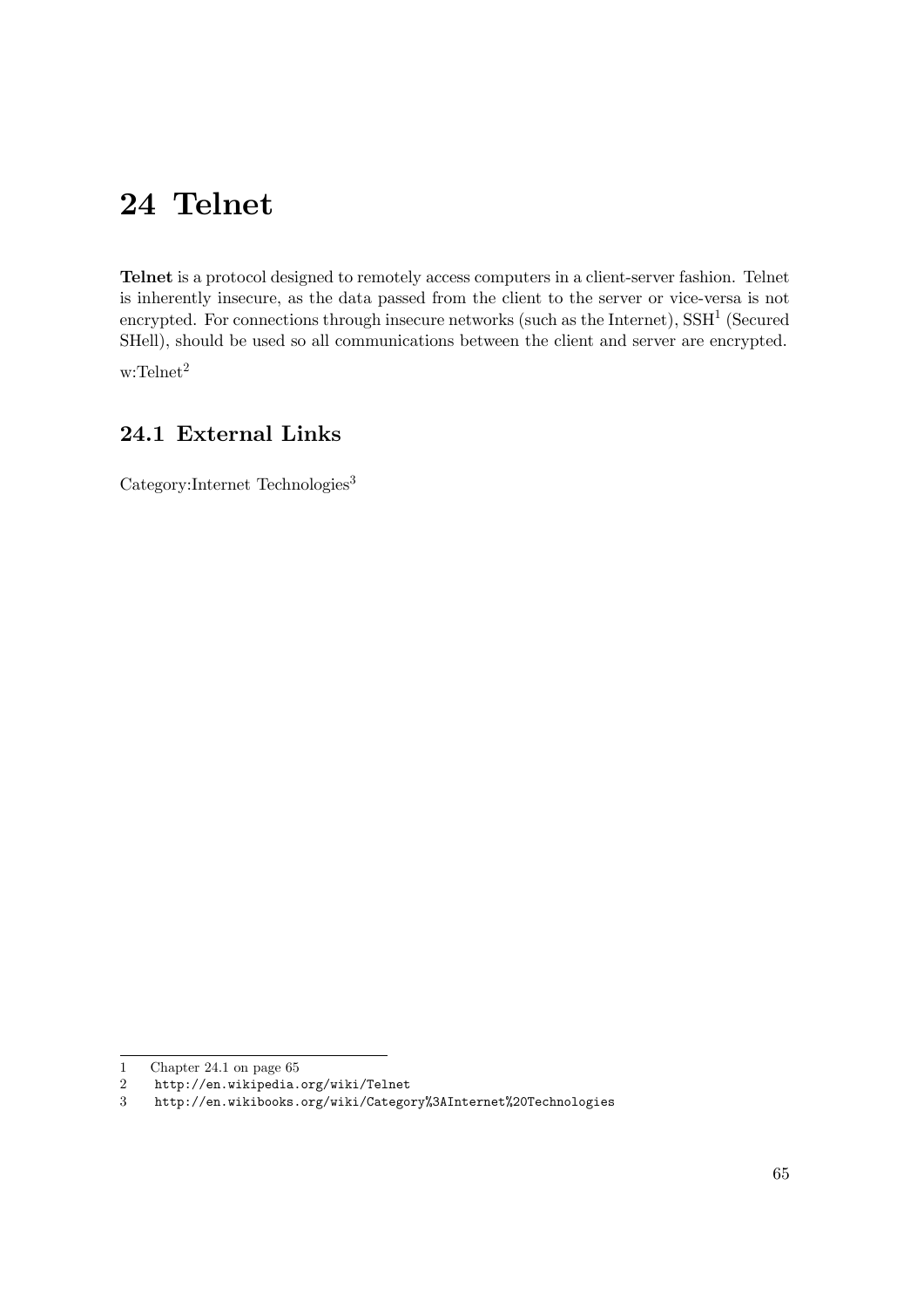# **24 Telnet**

**Telnet** is a protocol designed to remotely access computers in a client-server fashion. Telnet is inherently insecure, as the data passed from the client to the server or vice-versa is not encrypted. For connections through insecure networks (such as the Internet),  $\text{SSH}^1$  $\text{SSH}^1$  (Secured SHell), should be used so all communications between the client and server are encrypted.

w:Telnet<sup>[2](#page-68-1)</sup>

### <span id="page-68-3"></span>**24.1 External Links**

Category:Internet Technologies<sup>[3](#page-68-2)</sup>

<span id="page-68-0"></span><sup>1</sup> Chapter [24.1](#page-68-3) on page [65](#page-68-3)

<span id="page-68-1"></span><sup>2</sup> <http://en.wikipedia.org/wiki/Telnet>

<span id="page-68-2"></span><sup>3</sup> <http://en.wikibooks.org/wiki/Category%3AInternet%20Technologies>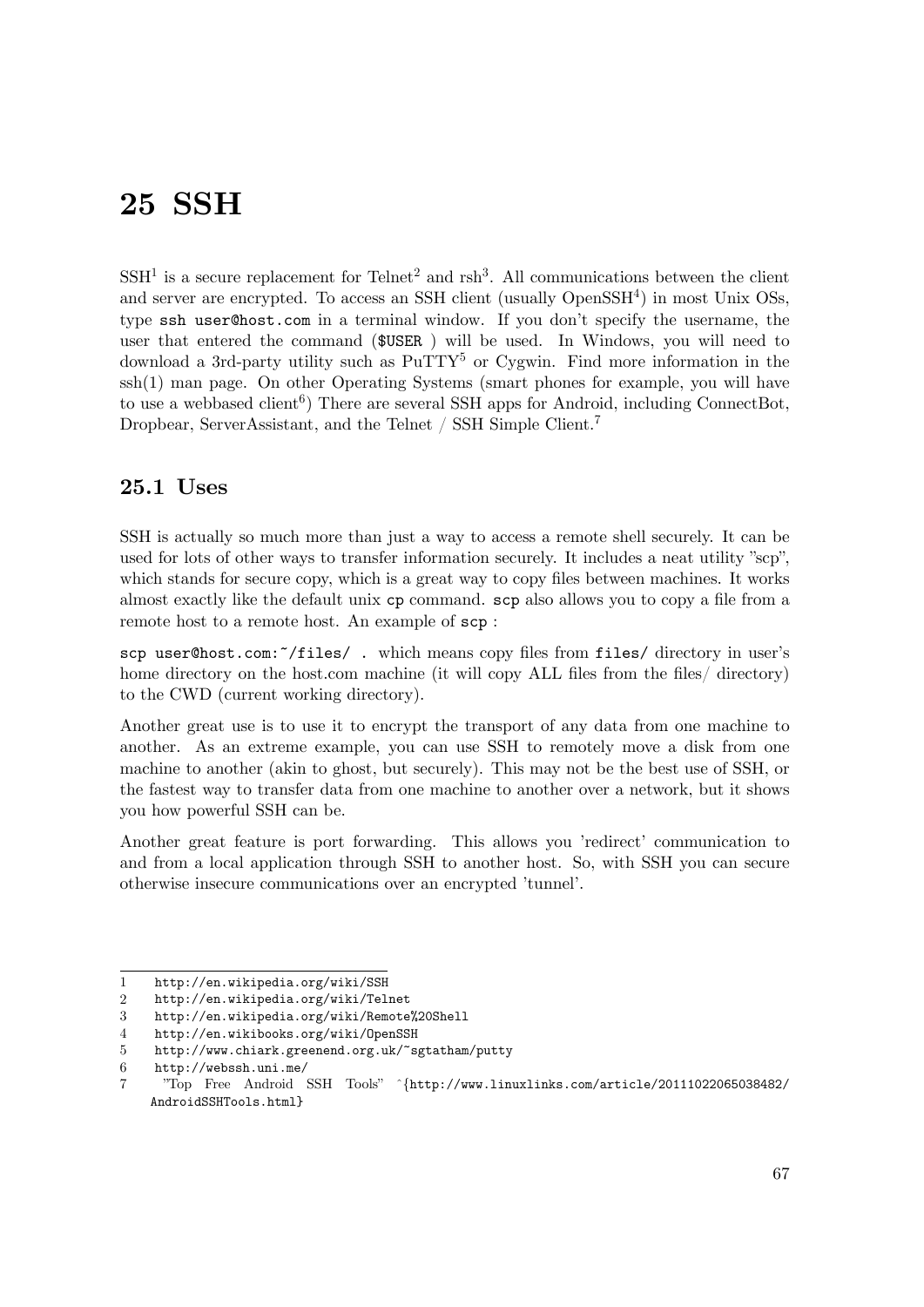## **25 SSH**

 $SSH<sup>1</sup>$  $SSH<sup>1</sup>$  $SSH<sup>1</sup>$  is a secure replacement for Telnet<sup>[2](#page-70-1)</sup> and  $rsh<sup>3</sup>$  $rsh<sup>3</sup>$  $rsh<sup>3</sup>$ . All communications between the client and server are encrypted. To access an SSH client (usually  $OpenSSH<sup>4</sup>$  $OpenSSH<sup>4</sup>$  $OpenSSH<sup>4</sup>$ ) in most Unix OSs, type ssh user@host.com in a terminal window. If you don't specify the username, the user that entered the command (\$USER ) will be used. In Windows, you will need to download a 3rd-party utility such as  $PuTTY^5$  $PuTTY^5$  or Cygwin. Find more information in the ssh(1) man page. On other Operating Systems (smart phones for example, you will have to use a webbased client<sup>[6](#page-70-5)</sup>) There are several SSH apps for Android, including ConnectBot, Dropbear, ServerAssistant, and the Telnet / SSH Simple Client.[7](#page-70-6)

### **25.1 Uses**

SSH is actually so much more than just a way to access a remote shell securely. It can be used for lots of other ways to transfer information securely. It includes a neat utility "scp", which stands for secure copy, which is a great way to copy files between machines. It works almost exactly like the default unix cp command. scp also allows you to copy a file from a remote host to a remote host. An example of scp :

scp user@host.com:~/files/ . which means copy files from files/ directory in user's home directory on the host.com machine (it will copy ALL files from the files/ directory) to the CWD (current working directory).

Another great use is to use it to encrypt the transport of any data from one machine to another. As an extreme example, you can use SSH to remotely move a disk from one machine to another (akin to ghost, but securely). This may not be the best use of SSH, or the fastest way to transfer data from one machine to another over a network, but it shows you how powerful SSH can be.

Another great feature is port forwarding. This allows you 'redirect' communication to and from a local application through SSH to another host. So, with SSH you can secure otherwise insecure communications over an encrypted 'tunnel'.

<span id="page-70-0"></span><sup>1</sup> <http://en.wikipedia.org/wiki/SSH>

<span id="page-70-1"></span><sup>2</sup> <http://en.wikipedia.org/wiki/Telnet>

<span id="page-70-2"></span><sup>3</sup> <http://en.wikipedia.org/wiki/Remote%20Shell>

<span id="page-70-3"></span><sup>4</sup> <http://en.wikibooks.org/wiki/OpenSSH>

<span id="page-70-4"></span><sup>5</sup> <http://www.chiark.greenend.org.uk/~sgtatham/putty>

<span id="page-70-5"></span><sup>6</sup> <http://webssh.uni.me/>

<span id="page-70-6"></span><sup>7</sup> "Top Free Android SSH Tools" ˆ{[http://www.linuxlinks.com/article/20111022065038482/](http://www.linuxlinks.com/article/20111022065038482/AndroidSSHTools.html) [AndroidSSHTools.html](http://www.linuxlinks.com/article/20111022065038482/AndroidSSHTools.html)}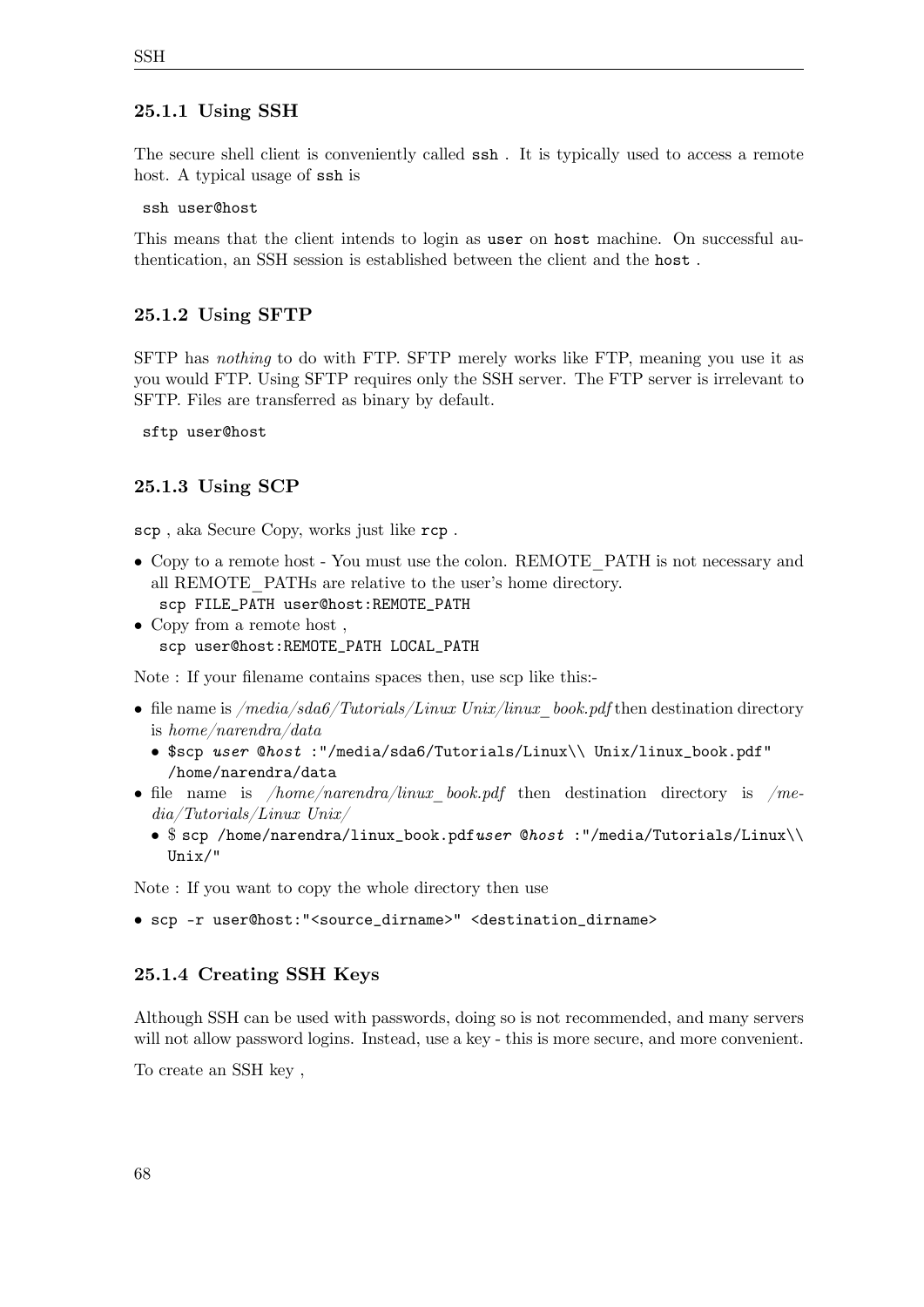### **25.1.1 Using SSH**

The secure shell client is conveniently called ssh . It is typically used to access a remote host. A typical usage of ssh is

ssh user@host

This means that the client intends to login as user on host machine. On successful authentication, an SSH session is established between the client and the host .

### **25.1.2 Using SFTP**

SFTP has *nothing* to do with FTP. SFTP merely works like FTP, meaning you use it as you would FTP. Using SFTP requires only the SSH server. The FTP server is irrelevant to SFTP. Files are transferred as binary by default.

sftp user@host

#### **25.1.3 Using SCP**

scp , aka Secure Copy, works just like rcp .

- Copy to a remote host You must use the colon. REMOTE PATH is not necessary and all REMOTE\_PATHs are relative to the user's home directory. scp FILE\_PATH user@host:REMOTE\_PATH
- Copy from a remote host , scp user@host:REMOTE\_PATH LOCAL\_PATH

Note : If your filename contains spaces then, use scp like this:-

- file name is */media/sda6/Tutorials/Linux Unix/linux\_book.pdf* then destination directory is *home/narendra/data*
	- \$scp *user* @*host* :"/media/sda6/Tutorials/Linux\\ Unix/linux\_book.pdf" /home/narendra/data
- file name is */home/narendra/linux\_book.pdf* then destination directory is */media/Tutorials/Linux Unix/*
	- \$ scp /home/narendra/linux\_book.pdf*user* @*host* :"/media/Tutorials/Linux\\ Unix/"

Note : If you want to copy the whole directory then use

• scp -r user@host:"<source\_dirname>" <destination\_dirname>

#### **25.1.4 Creating SSH Keys**

Although SSH can be used with passwords, doing so is not recommended, and many servers will not allow password logins. Instead, use a key - this is more secure, and more convenient.

To create an SSH key ,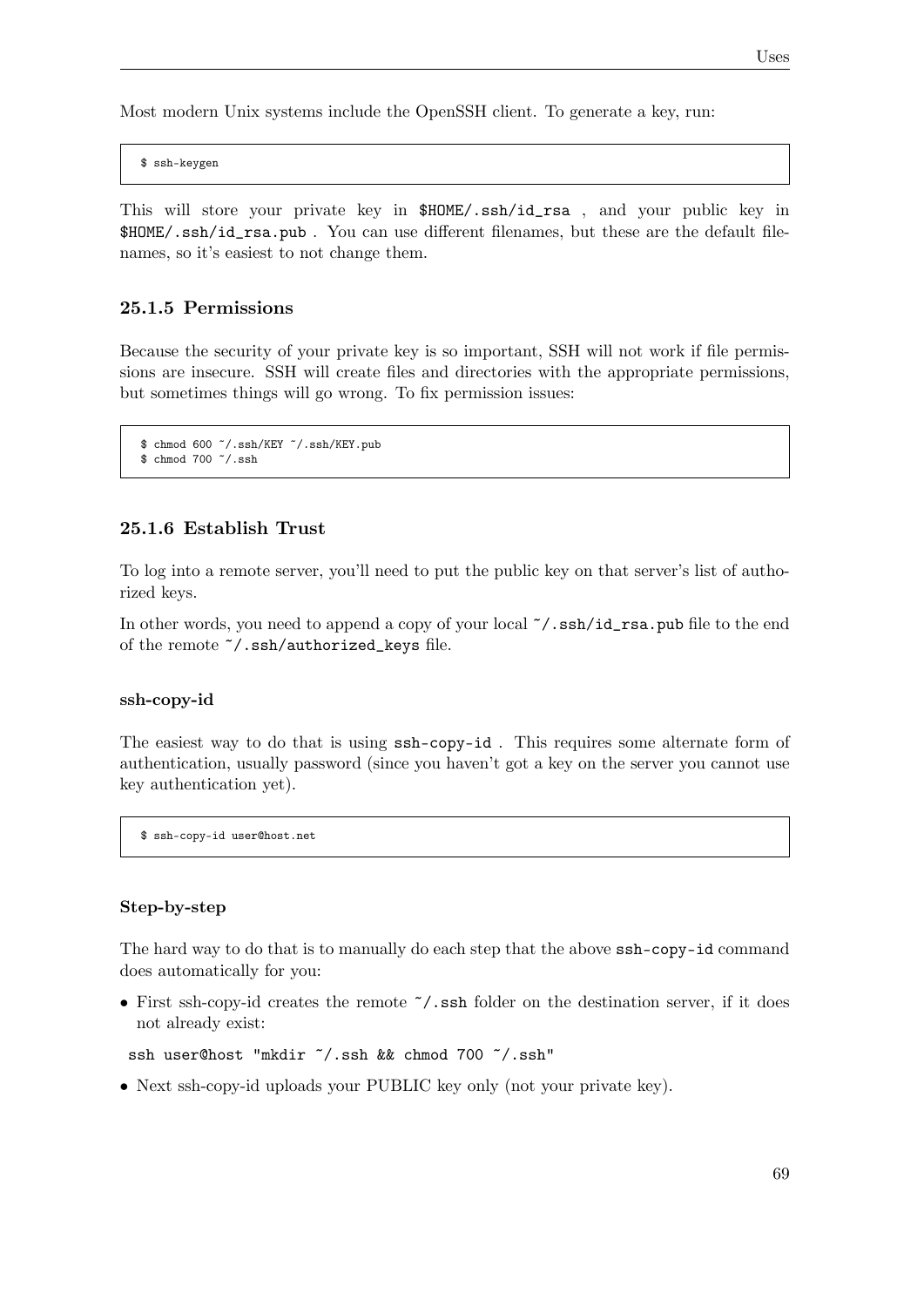Most modern Unix systems include the OpenSSH client. To generate a key, run:

\$ ssh-keygen

This will store your private key in \$HOME/.ssh/id\_rsa , and your public key in \$HOME/.ssh/id\_rsa.pub . You can use different filenames, but these are the default filenames, so it's easiest to not change them.

#### **25.1.5 Permissions**

Because the security of your private key is so important, SSH will not work if file permissions are insecure. SSH will create files and directories with the appropriate permissions, but sometimes things will go wrong. To fix permission issues:

```
$ chmod 600 ˜/.ssh/KEY ˜/.ssh/KEY.pub
$ chmod 700 ˜/.ssh
```
### **25.1.6 Establish Trust**

To log into a remote server, you'll need to put the public key on that server's list of authorized keys.

In other words, you need to append a copy of your local  $\checkmark$ .ssh/id\_rsa.pub file to the end of the remote ˜/.ssh/authorized\_keys file.

#### **ssh-copy-id**

The easiest way to do that is using ssh-copy-id . This requires some alternate form of authentication, usually password (since you haven't got a key on the server you cannot use key authentication yet).

\$ ssh-copy-id user@host.net

#### **Step-by-step**

The hard way to do that is to manually do each step that the above ssh-copy-id command does automatically for you:

• First ssh-copy-id creates the remote  $\gamma$ . ssh folder on the destination server, if it does not already exist:

```
ssh user@host "mkdir ~/.ssh && chmod 700 ~/.ssh"
```
• Next ssh-copy-id uploads your PUBLIC key only (not your private key).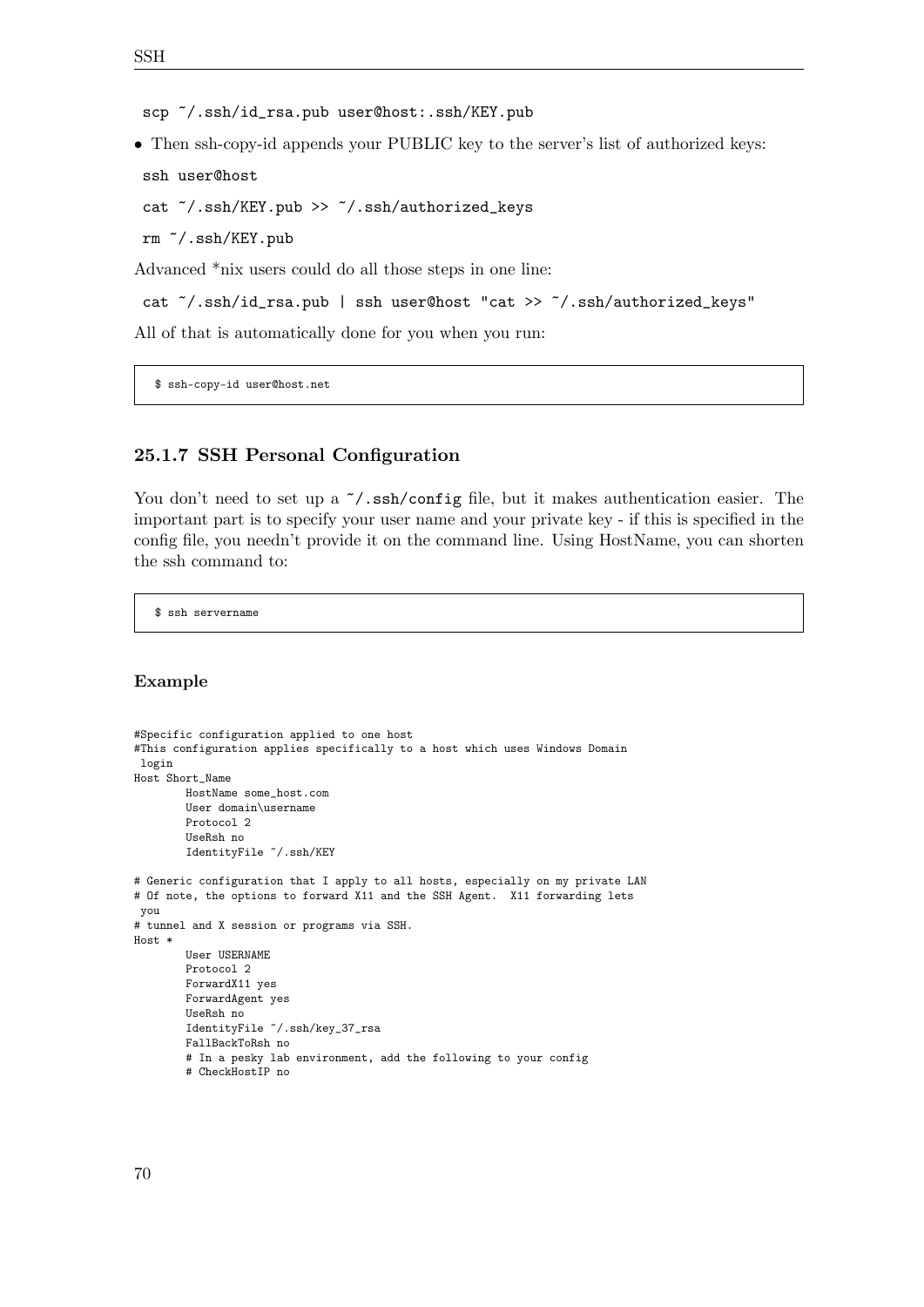scp ˜/.ssh/id\_rsa.pub user@host:.ssh/KEY.pub

• Then ssh-copy-id appends your PUBLIC key to the server's list of authorized keys:

```
ssh user@host
```

```
cat ˜/.ssh/KEY.pub >> ˜/.ssh/authorized_keys
```
rm ˜/.ssh/KEY.pub

Advanced \*nix users could do all those steps in one line:

```
cat ˜/.ssh/id_rsa.pub | ssh user@host "cat >> ˜/.ssh/authorized_keys"
```
All of that is automatically done for you when you run:

\$ ssh-copy-id user@host.net

## **25.1.7 SSH Personal Configuration**

You don't need to set up a  $\tilde{\ }$ /.ssh/config file, but it makes authentication easier. The important part is to specify your user name and your private key - if this is specified in the config file, you needn't provide it on the command line. Using HostName, you can shorten the ssh command to:

\$ ssh servername

#### **Example**

```
#Specific configuration applied to one host
#This configuration applies specifically to a host which uses Windows Domain
login
Host Short_Name
       HostName some_host.com
       User domain\username
       Protocol 2
       UseRsh no
       IdentityFile ˜/.ssh/KEY
# Generic configuration that I apply to all hosts, especially on my private LAN
# Of note, the options to forward X11 and the SSH Agent. X11 forwarding lets
you
# tunnel and X session or programs via SSH.
Host *
        User USERNAME
       Protocol 2
        ForwardX11 yes
       ForwardAgent yes
       UseRsh no
        IdentityFile ˜/.ssh/key_37_rsa
       FallBackToRsh no
        # In a pesky lab environment, add the following to your config
        # CheckHostIP no
```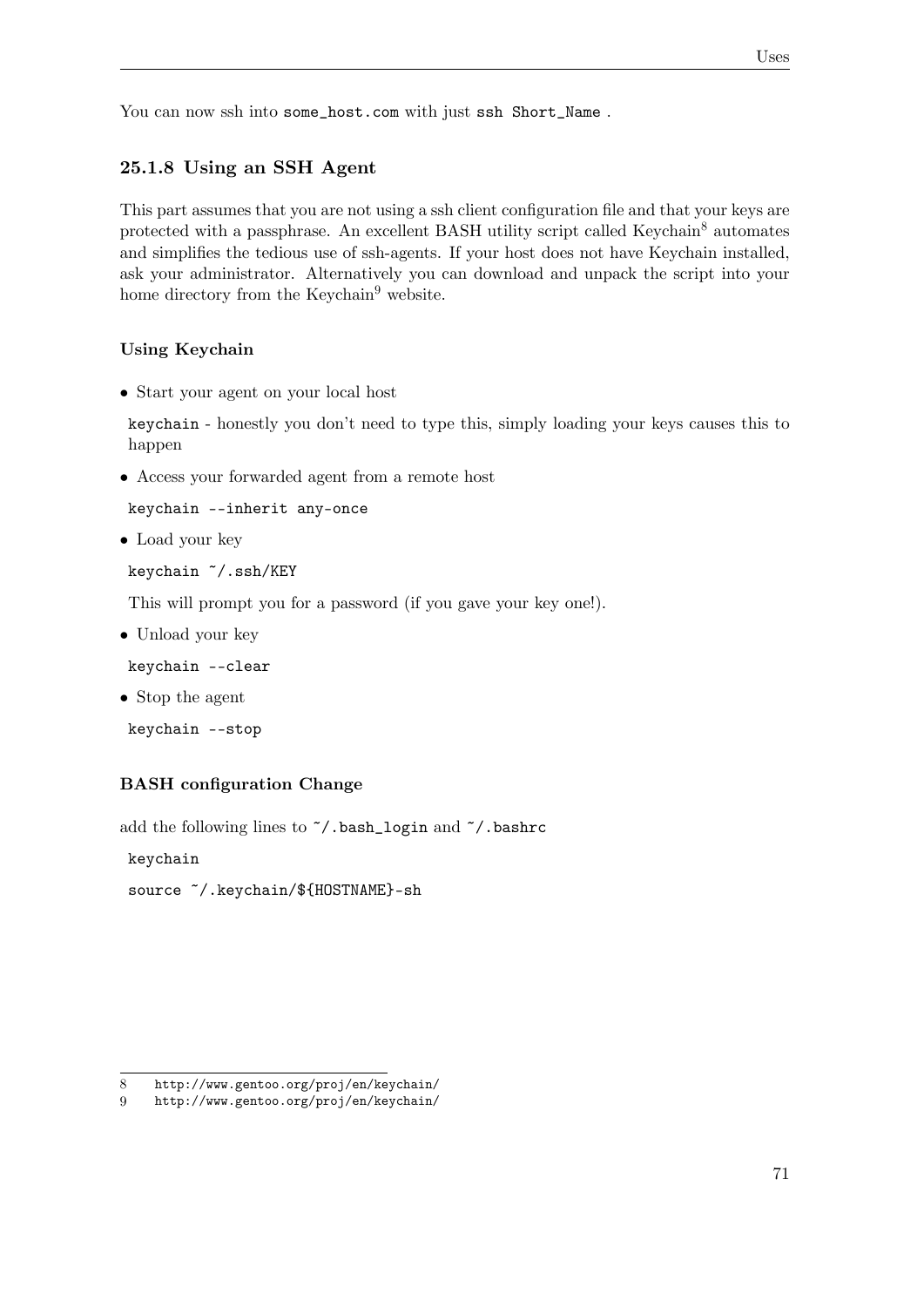You can now ssh into some\_host.com with just ssh Short\_Name.

## **25.1.8 Using an SSH Agent**

This part assumes that you are not using a ssh client configuration file and that your keys are protected with a passphrase. An excellent BASH utility script called Keychain<sup>[8](#page-74-0)</sup> automates and simplifies the tedious use of ssh-agents. If your host does not have Keychain installed, ask your administrator. Alternatively you can download and unpack the script into your home directory from the Keychain<sup>[9](#page-74-1)</sup> website.

### **Using Keychain**

• Start your agent on your local host

keychain - honestly you don't need to type this, simply loading your keys causes this to happen

• Access your forwarded agent from a remote host

```
keychain --inherit any-once
```
• Load your key

keychain ˜/.ssh/KEY

This will prompt you for a password (if you gave your key one!).

• Unload your key

keychain --clear

• Stop the agent

keychain --stop

#### **BASH configuration Change**

add the following lines to ˜/.bash\_login and ˜/.bashrc

keychain

```
source ˜/.keychain/${HOSTNAME}-sh
```
<span id="page-74-1"></span><span id="page-74-0"></span><sup>8</sup> <http://www.gentoo.org/proj/en/keychain/>

<sup>9</sup> <http://www.gentoo.org/proj/en/keychain/>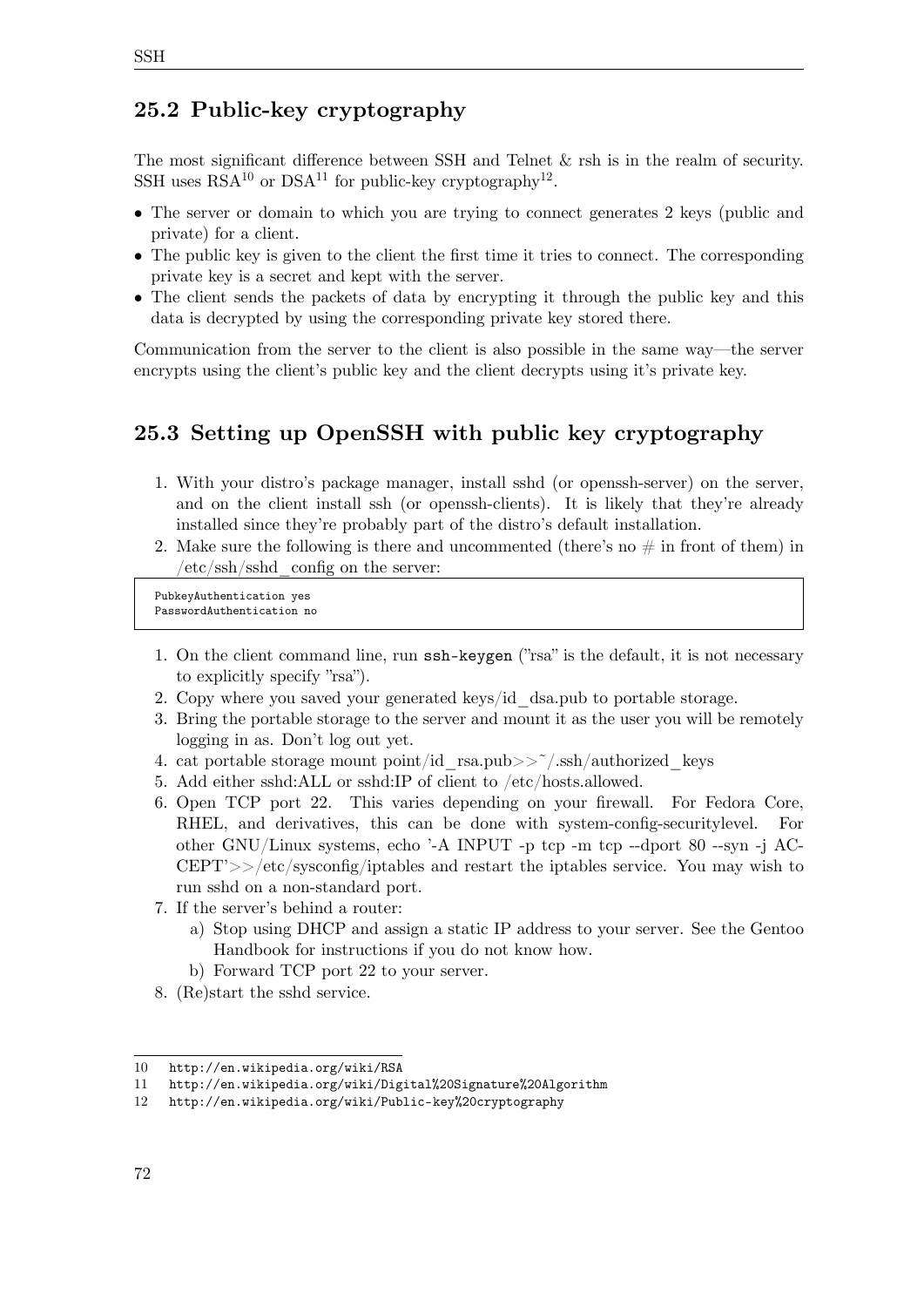# **25.2 Public-key cryptography**

The most significant difference between SSH and Telnet & rsh is in the realm of security. SSH uses  $RSA^{10}$  $RSA^{10}$  $RSA^{10}$  or  $DSA^{11}$  $DSA^{11}$  $DSA^{11}$  for public-key cryptography<sup>[12](#page-75-2)</sup>.

- The server or domain to which you are trying to connect generates 2 keys (public and private) for a client.
- The public key is given to the client the first time it tries to connect. The corresponding private key is a secret and kept with the server.
- The client sends the packets of data by encrypting it through the public key and this data is decrypted by using the corresponding private key stored there.

Communication from the server to the client is also possible in the same way—the server encrypts using the client's public key and the client decrypts using it's private key.

# **25.3 Setting up OpenSSH with public key cryptography**

- 1. With your distro's package manager, install sshd (or openssh-server) on the server, and on the client install ssh (or openssh-clients). It is likely that they're already installed since they're probably part of the distro's default installation.
- 2. Make sure the following is there and uncommented (there's no  $\#$  in front of them) in /etc/ssh/sshd\_config on the server:

PubkeyAuthentication yes PasswordAuthentication no

- 1. On the client command line, run ssh-keygen ("rsa" is the default, it is not necessary to explicitly specify "rsa").
- 2. Copy where you saved your generated keys/id\_dsa.pub to portable storage.
- 3. Bring the portable storage to the server and mount it as the user you will be remotely logging in as. Don't log out yet.
- 4. cat portable storage mount point/id rsa.pub>> $\sim$  $\sim$ /.ssh/authorized keys
- 5. Add either sshd:ALL or sshd:IP of client to /etc/hosts.allowed.
- 6. Open TCP port 22. This varies depending on your firewall. For Fedora Core, RHEL, and derivatives, this can be done with system-config-securitylevel. For other GNU/Linux systems, echo '-A INPUT -p tcp -m tcp --dport 80 --syn -j AC-CEPT'>>/etc/sysconfig/iptables and restart the iptables service. You may wish to run sshd on a non-standard port.
- 7. If the server's behind a router:
	- a) Stop using DHCP and assign a static IP address to your server. See the Gentoo Handbook for instructions if you do not know how.
	- b) Forward TCP port 22 to your server.
- 8. (Re)start the sshd service.

SSH

<span id="page-75-0"></span><sup>10</sup> <http://en.wikipedia.org/wiki/RSA>

<span id="page-75-1"></span><sup>11</sup> <http://en.wikipedia.org/wiki/Digital%20Signature%20Algorithm>

<span id="page-75-2"></span><sup>12</sup> <http://en.wikipedia.org/wiki/Public-key%20cryptography>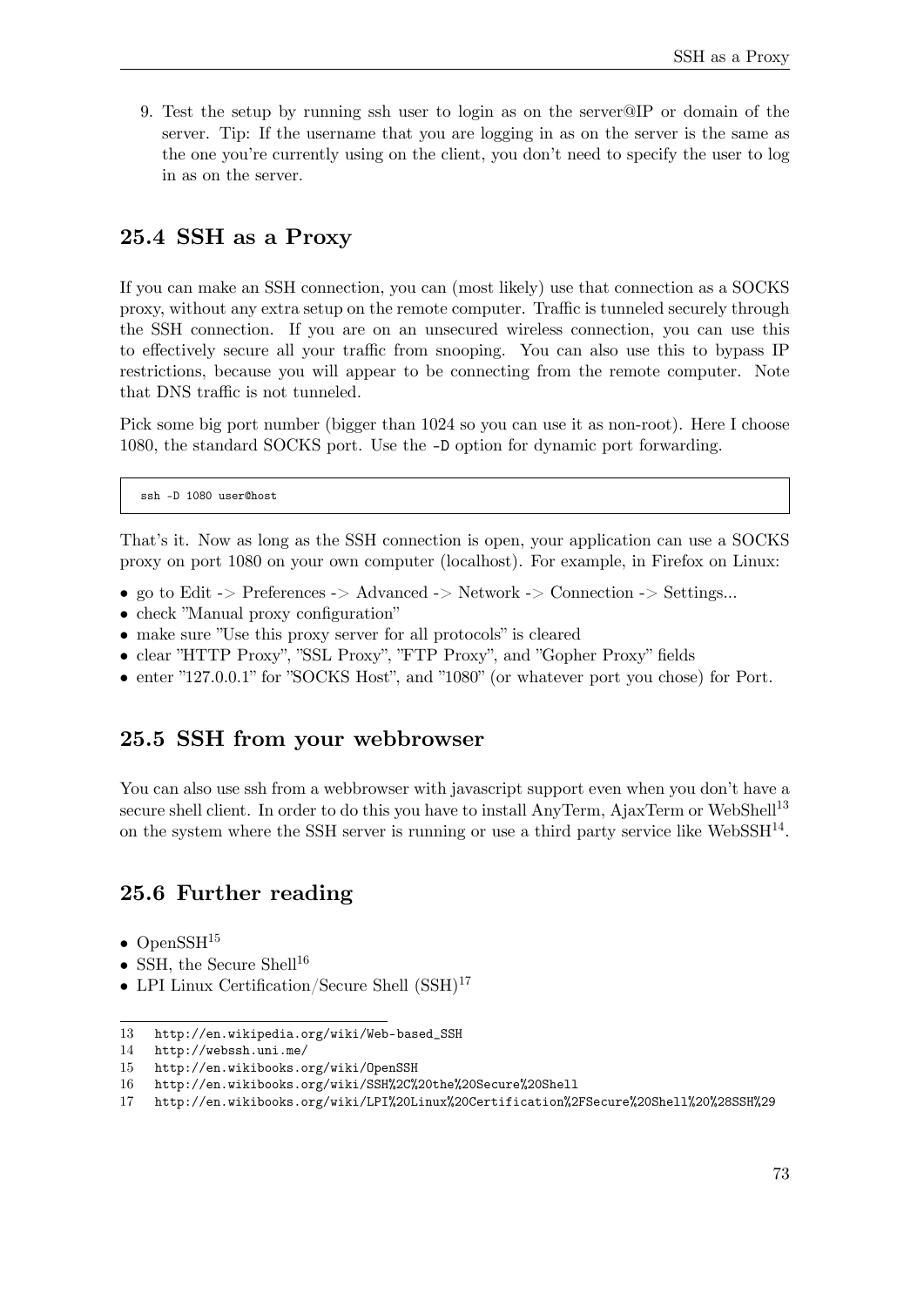9. Test the setup by running ssh user to login as on the server@IP or domain of the server. Tip: If the username that you are logging in as on the server is the same as the one you're currently using on the client, you don't need to specify the user to log in as on the server.

# **25.4 SSH as a Proxy**

If you can make an SSH connection, you can (most likely) use that connection as a SOCKS proxy, without any extra setup on the remote computer. Traffic is tunneled securely through the SSH connection. If you are on an unsecured wireless connection, you can use this to effectively secure all your traffic from snooping. You can also use this to bypass IP restrictions, because you will appear to be connecting from the remote computer. Note that DNS traffic is not tunneled.

Pick some big port number (bigger than 1024 so you can use it as non-root). Here I choose 1080, the standard SOCKS port. Use the -D option for dynamic port forwarding.

ssh -D 1080 user@host

That's it. Now as long as the SSH connection is open, your application can use a SOCKS proxy on port 1080 on your own computer (localhost). For example, in Firefox on Linux:

- go to Edit -> Preferences -> Advanced -> Network -> Connection -> Settings...
- check "Manual proxy configuration"
- make sure "Use this proxy server for all protocols" is cleared
- clear "HTTP Proxy", "SSL Proxy", "FTP Proxy", and "Gopher Proxy" fields
- enter "127.0.0.1" for "SOCKS Host", and "1080" (or whatever port you chose) for Port.

# **25.5 SSH from your webbrowser**

You can also use ssh from a webbrowser with javascript support even when you don't have a secure shell client. In order to do this you have to install AnyTerm, AjaxTerm or WebShell<sup>[13](#page-76-0)</sup> on the system where the SSH server is running or use a third party service like WebSSH $^{14}$  $^{14}$  $^{14}$ .

# <span id="page-76-5"></span>**25.6 Further reading**

- OpenSSH $^{15}$  $^{15}$  $^{15}$
- SSH, the Secure Shell<sup>[16](#page-76-3)</sup>
- LPI Linux Certification/Secure Shell  $(SSH)^{17}$  $(SSH)^{17}$  $(SSH)^{17}$

<span id="page-76-0"></span><sup>13</sup> [http://en.wikipedia.org/wiki/Web-based\\_SSH](http://en.wikipedia.org/wiki/Web-based_SSH)

<span id="page-76-1"></span><sup>14</sup> <http://webssh.uni.me/>

<span id="page-76-2"></span><sup>15</sup> <http://en.wikibooks.org/wiki/OpenSSH>

<span id="page-76-3"></span><sup>16</sup> <http://en.wikibooks.org/wiki/SSH%2C%20the%20Secure%20Shell>

<span id="page-76-4"></span><sup>17</sup> <http://en.wikibooks.org/wiki/LPI%20Linux%20Certification%2FSecure%20Shell%20%28SSH%29>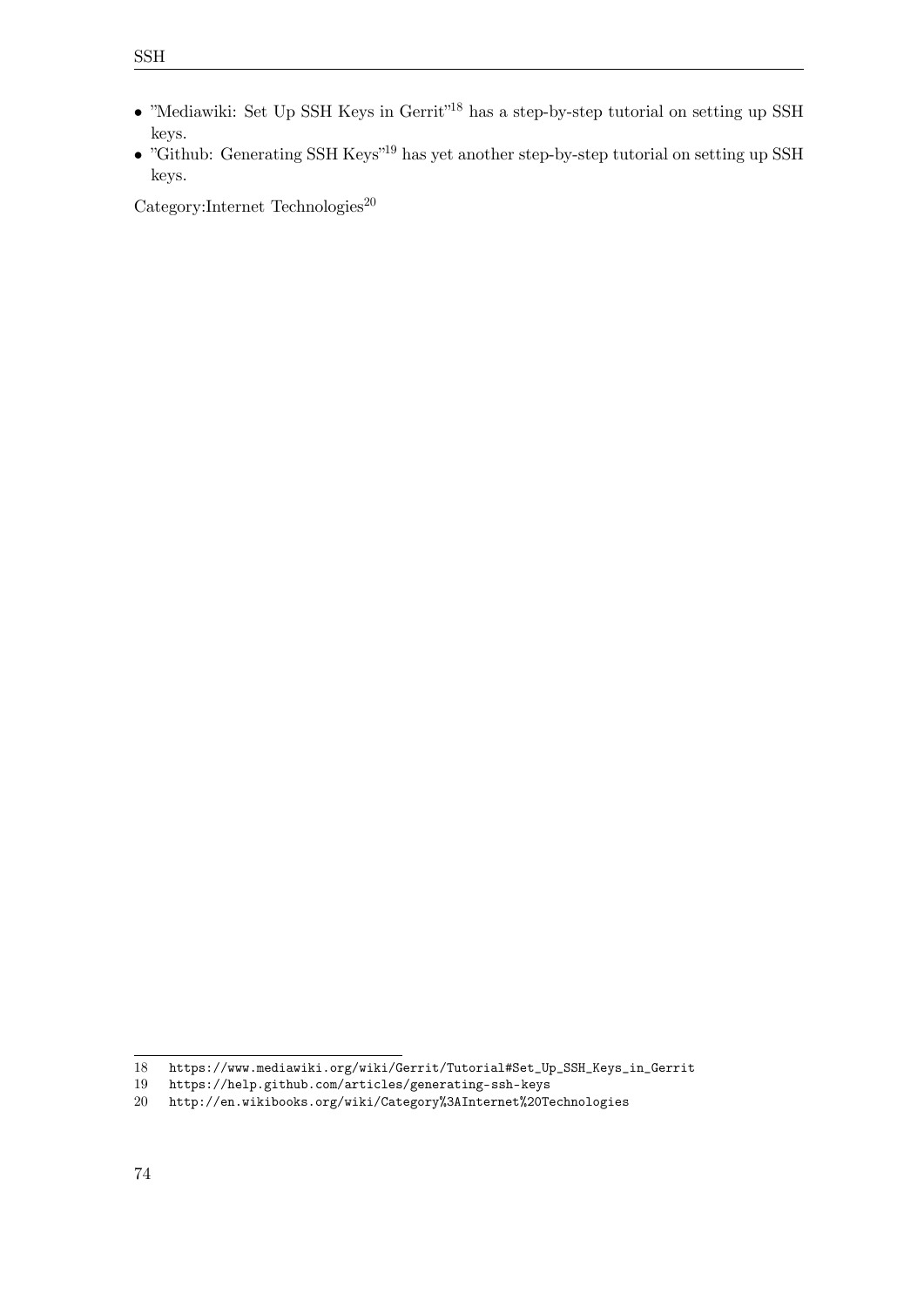• "Github: Generating SSH Keys"[19](#page-77-1) has yet another step-by-step tutorial on setting up SSH keys.

 $\text{Category:Internet Technologies}^{20}$  $\text{Category:Internet Technologies}^{20}$  $\text{Category:Internet Technologies}^{20}$ 

<span id="page-77-0"></span><sup>18</sup> [https://www.mediawiki.org/wiki/Gerrit/Tutorial#Set\\_Up\\_SSH\\_Keys\\_in\\_Gerrit](https://www.mediawiki.org/wiki/Gerrit/Tutorial#Set_Up_SSH_Keys_in_Gerrit)

<span id="page-77-1"></span><sup>19</sup> <https://help.github.com/articles/generating-ssh-keys>

<span id="page-77-2"></span><sup>20</sup> <http://en.wikibooks.org/wiki/Category%3AInternet%20Technologies>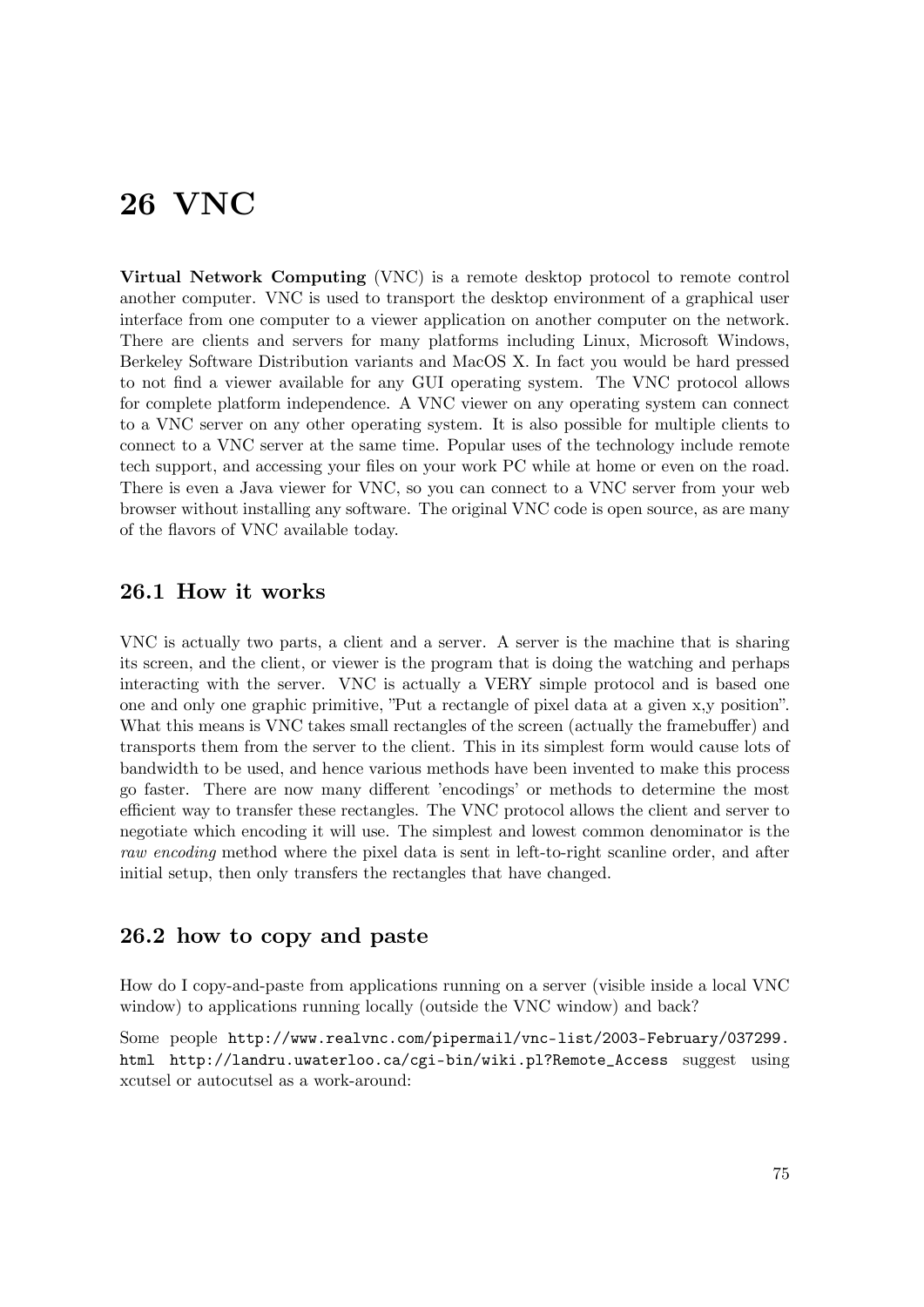# **26 VNC**

**Virtual Network Computing** (VNC) is a remote desktop protocol to remote control another computer. VNC is used to transport the desktop environment of a graphical user interface from one computer to a viewer application on another computer on the network. There are clients and servers for many platforms including Linux, Microsoft Windows, Berkeley Software Distribution variants and MacOS X. In fact you would be hard pressed to not find a viewer available for any GUI operating system. The VNC protocol allows for complete platform independence. A VNC viewer on any operating system can connect to a VNC server on any other operating system. It is also possible for multiple clients to connect to a VNC server at the same time. Popular uses of the technology include remote tech support, and accessing your files on your work PC while at home or even on the road. There is even a Java viewer for VNC, so you can connect to a VNC server from your web browser without installing any software. The original VNC code is open source, as are many of the flavors of VNC available today.

# **26.1 How it works**

VNC is actually two parts, a client and a server. A server is the machine that is sharing its screen, and the client, or viewer is the program that is doing the watching and perhaps interacting with the server. VNC is actually a VERY simple protocol and is based one one and only one graphic primitive, "Put a rectangle of pixel data at a given x,y position". What this means is VNC takes small rectangles of the screen (actually the framebuffer) and transports them from the server to the client. This in its simplest form would cause lots of bandwidth to be used, and hence various methods have been invented to make this process go faster. There are now many different 'encodings' or methods to determine the most efficient way to transfer these rectangles. The VNC protocol allows the client and server to negotiate which encoding it will use. The simplest and lowest common denominator is the *raw encoding* method where the pixel data is sent in left-to-right scanline order, and after initial setup, then only transfers the rectangles that have changed.

# **26.2 how to copy and paste**

How do I copy-and-paste from applications running on a server (visible inside a local VNC window) to applications running locally (outside the VNC window) and back?

Some people [http://www.realvnc.com/pipermail/vnc-list/2003-February/037299.](http://www.realvnc.com/pipermail/vnc-list/2003-February/037299.html) [html](http://www.realvnc.com/pipermail/vnc-list/2003-February/037299.html) [http://landru.uwaterloo.ca/cgi-bin/wiki.pl?Remote\\_Access](http://landru.uwaterloo.ca/cgi-bin/wiki.pl?Remote_Access) suggest using xcutsel or autocutsel as a work-around: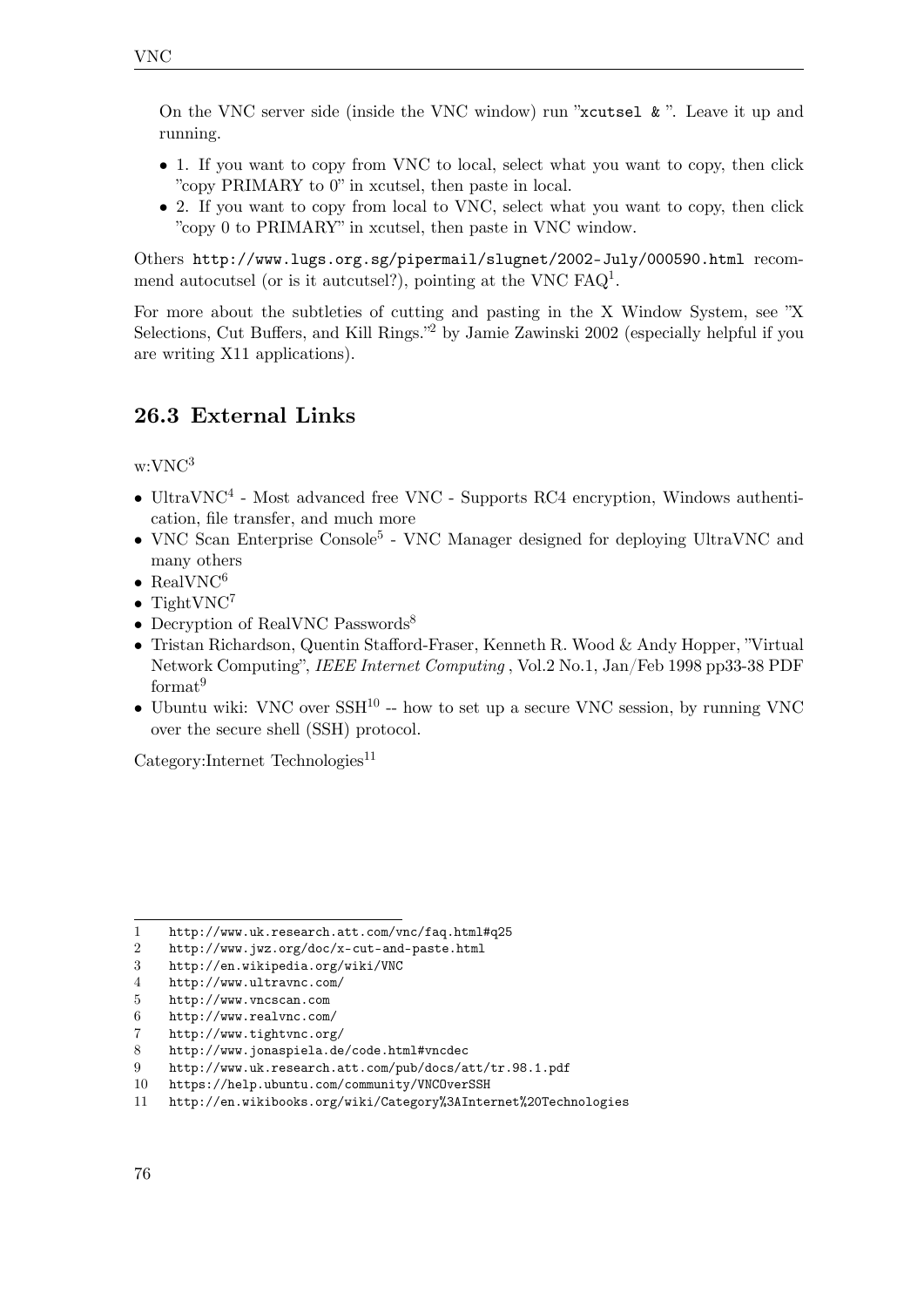On the VNC server side (inside the VNC window) run "xcutsel  $\&$ ". Leave it up and running.

- 1. If you want to copy from VNC to local, select what you want to copy, then click "copy PRIMARY to 0" in xcutsel, then paste in local.
- 2. If you want to copy from local to VNC, select what you want to copy, then click "copy 0 to PRIMARY" in xcutsel, then paste in VNC window.

Others <http://www.lugs.org.sg/pipermail/slugnet/2002-July/000590.html> recommend autocutsel (or is it autcutsel?), pointing at the VNC  $FAQ<sup>1</sup>$  $FAQ<sup>1</sup>$  $FAQ<sup>1</sup>$ .

For more about the subtleties of cutting and pasting in the X Window System, see "X Selections, Cut Buffers, and Kill Rings."[2](#page-79-1) by Jamie Zawinski 2002 (especially helpful if you are writing X11 applications).

# **26.3 External Links**

 $w:$ VN $C<sup>3</sup>$  $C<sup>3</sup>$  $C<sup>3</sup>$ 

- UltraVNC<sup>[4](#page-79-3)</sup> Most advanced free VNC Supports RC4 encryption, Windows authentication, file transfer, and much more
- VNC Scan Enterprise Console<sup>[5](#page-79-4)</sup> VNC Manager designed for deploying UltraVNC and many others
- RealVN $C^6$  $C^6$
- TightVN $C^7$  $C^7$
- Decryption of RealVNC Passwords<sup>[8](#page-79-7)</sup>
- Tristan Richardson, Quentin Stafford-Fraser, Kenneth R. Wood & Andy Hopper, "Virtual Network Computing", *IEEE Internet Computing* , Vol.2 No.1, Jan/Feb 1998 pp33-38 PDF format<sup>[9](#page-79-8)</sup>
- Ubuntu wiki: VNC over  $SSH^{10}$  $SSH^{10}$  $SSH^{10}$  -- how to set up a secure VNC session, by running VNC over the secure shell (SSH) protocol.

 $\text{Category:Internet Technologies}^{11}$  $\text{Category:Internet Technologies}^{11}$  $\text{Category:Internet Technologies}^{11}$ 

<span id="page-79-0"></span><sup>1</sup> <http://www.uk.research.att.com/vnc/faq.html#q25>

<span id="page-79-1"></span><sup>2</sup> <http://www.jwz.org/doc/x-cut-and-paste.html>

<span id="page-79-2"></span><sup>3</sup> <http://en.wikipedia.org/wiki/VNC>

<span id="page-79-3"></span><sup>4</sup> <http://www.ultravnc.com/>

<span id="page-79-4"></span><sup>5</sup> <http://www.vncscan.com>

<span id="page-79-5"></span><sup>6</sup> <http://www.realvnc.com/>

<span id="page-79-6"></span><sup>7</sup> <http://www.tightvnc.org/>

<span id="page-79-7"></span><sup>8</sup> <http://www.jonaspiela.de/code.html#vncdec>

<span id="page-79-8"></span><sup>9</sup> <http://www.uk.research.att.com/pub/docs/att/tr.98.1.pdf>

<span id="page-79-9"></span><sup>10</sup> <https://help.ubuntu.com/community/VNCOverSSH>

<span id="page-79-10"></span><sup>11</sup> <http://en.wikibooks.org/wiki/Category%3AInternet%20Technologies>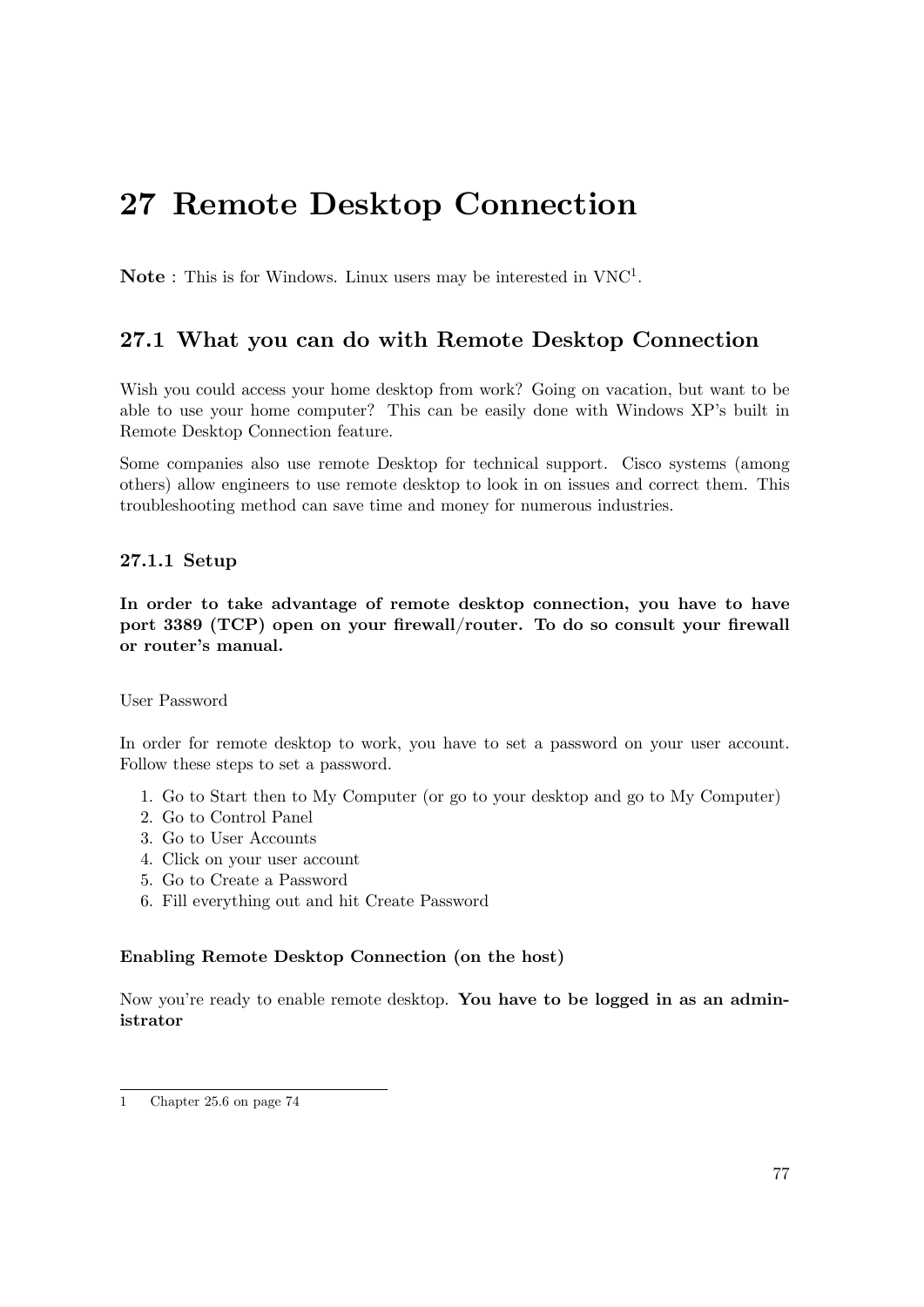# **27 Remote Desktop Connection**

Note : This is for Windows. Linux users may be interested in VNC<sup>[1](#page-80-0)</sup>.

# **27.1 What you can do with Remote Desktop Connection**

Wish you could access your home desktop from work? Going on vacation, but want to be able to use your home computer? This can be easily done with Windows XP's built in Remote Desktop Connection feature.

Some companies also use remote Desktop for technical support. Cisco systems (among others) allow engineers to use remote desktop to look in on issues and correct them. This troubleshooting method can save time and money for numerous industries.

## **27.1.1 Setup**

**In order to take advantage of remote desktop connection, you have to have port 3389 (TCP) open on your firewall/router. To do so consult your firewall or router's manual.**

### User Password

In order for remote desktop to work, you have to set a password on your user account. Follow these steps to set a password.

- 1. Go to Start then to My Computer (or go to your desktop and go to My Computer)
- 2. Go to Control Panel
- 3. Go to User Accounts
- 4. Click on your user account
- 5. Go to Create a Password
- 6. Fill everything out and hit Create Password

### **Enabling Remote Desktop Connection (on the host)**

Now you're ready to enable remote desktop. **You have to be logged in as an administrator**

<span id="page-80-0"></span><sup>1</sup> Chapter [25.6](#page-76-5) on page [74](#page-76-5)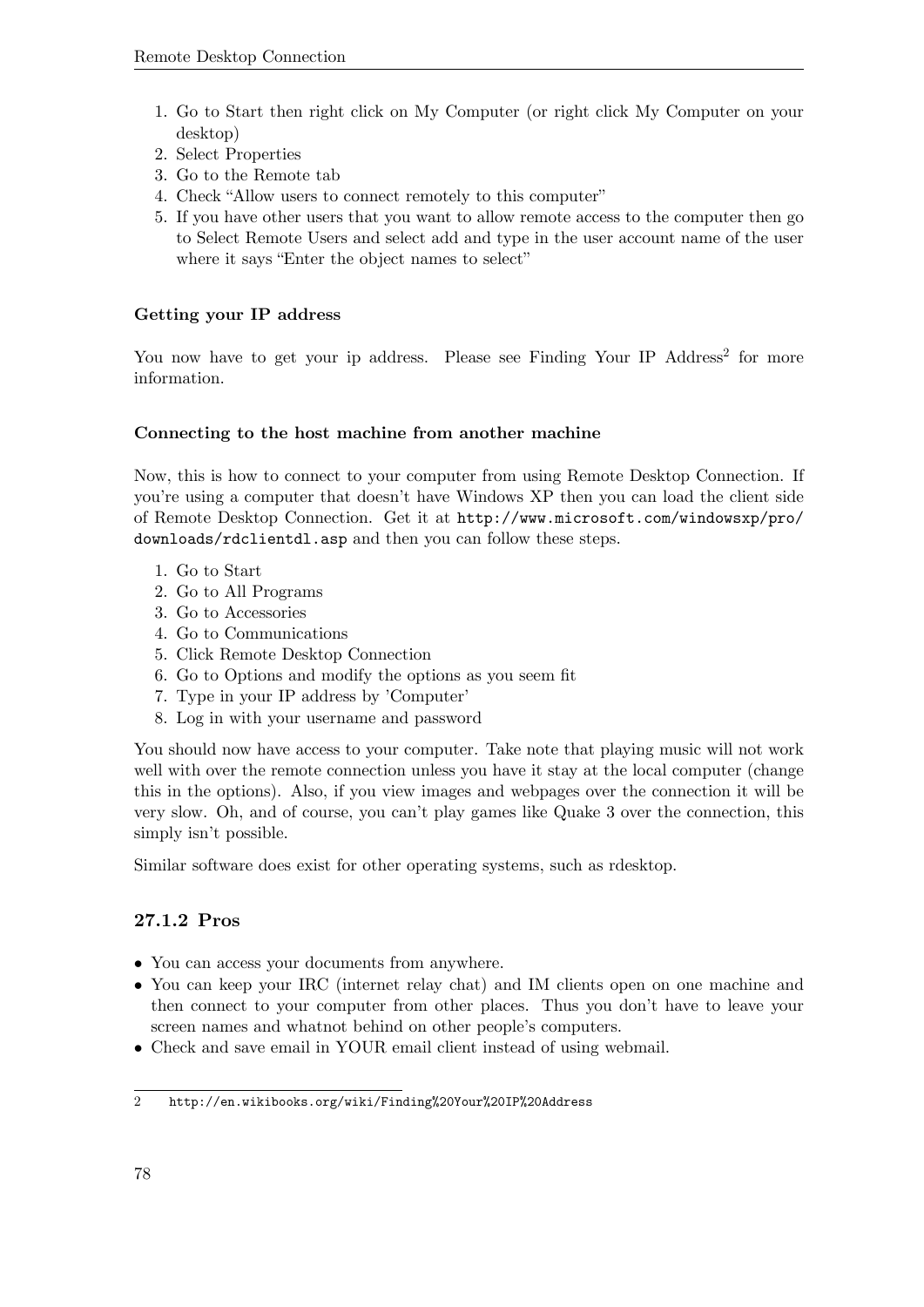- 1. Go to Start then right click on My Computer (or right click My Computer on your desktop)
- 2. Select Properties
- 3. Go to the Remote tab
- 4. Check "Allow users to connect remotely to this computer"
- 5. If you have other users that you want to allow remote access to the computer then go to Select Remote Users and select add and type in the user account name of the user where it says "Enter the object names to select"

# **Getting your IP address**

You now have to get your ip address. Please see Finding Your IP Address<sup>[2](#page-81-0)</sup> for more information.

### **Connecting to the host machine from another machine**

Now, this is how to connect to your computer from using Remote Desktop Connection. If you're using a computer that doesn't have Windows XP then you can load the client side of Remote Desktop Connection. Get it at [http://www.microsoft.com/windowsxp/pro/](http://www.microsoft.com/windowsxp/pro/downloads/rdclientdl.asp) [downloads/rdclientdl.asp](http://www.microsoft.com/windowsxp/pro/downloads/rdclientdl.asp) and then you can follow these steps.

- 1. Go to Start
- 2. Go to All Programs
- 3. Go to Accessories
- 4. Go to Communications
- 5. Click Remote Desktop Connection
- 6. Go to Options and modify the options as you seem fit
- 7. Type in your IP address by 'Computer'
- 8. Log in with your username and password

You should now have access to your computer. Take note that playing music will not work well with over the remote connection unless you have it stay at the local computer (change this in the options). Also, if you view images and webpages over the connection it will be very slow. Oh, and of course, you can't play games like Quake 3 over the connection, this simply isn't possible.

Similar software does exist for other operating systems, such as rdesktop.

# **27.1.2 Pros**

- You can access your documents from anywhere.
- You can keep your IRC (internet relay chat) and IM clients open on one machine and then connect to your computer from other places. Thus you don't have to leave your screen names and whatnot behind on other people's computers.
- Check and save email in YOUR email client instead of using webmail.

<span id="page-81-0"></span><sup>2</sup> <http://en.wikibooks.org/wiki/Finding%20Your%20IP%20Address>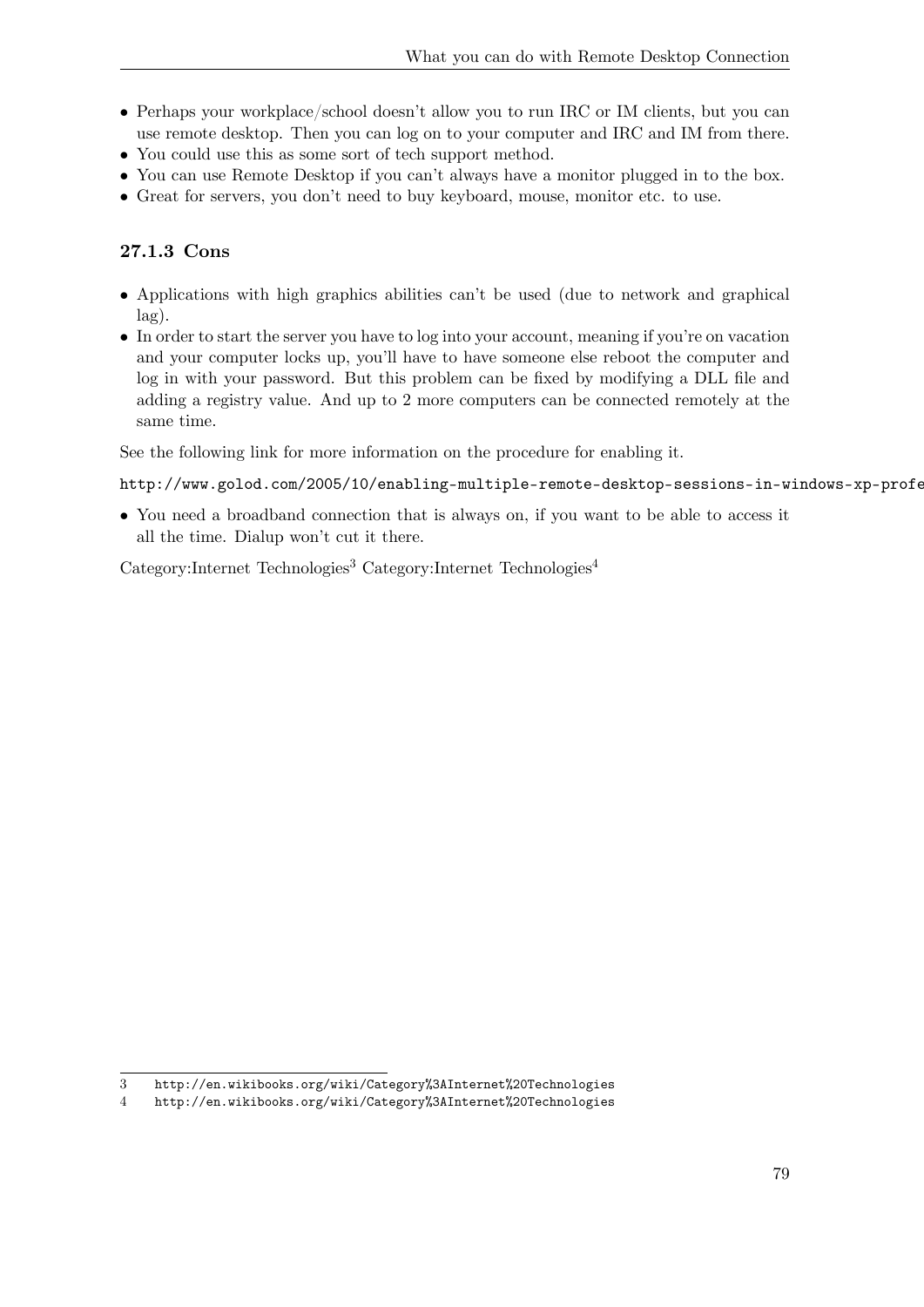- Perhaps your workplace/school doesn't allow you to run IRC or IM clients, but you can use remote desktop. Then you can log on to your computer and IRC and IM from there.
- You could use this as some sort of tech support method.
- You can use Remote Desktop if you can't always have a monitor plugged in to the box.
- Great for servers, you don't need to buy keyboard, mouse, monitor etc. to use.

# **27.1.3 Cons**

- Applications with high graphics abilities can't be used (due to network and graphical lag).
- In order to start the server you have to log into your account, meaning if you're on vacation and your computer locks up, you'll have to have someone else reboot the computer and log in with your password. But this problem can be fixed by modifying a DLL file and adding a registry value. And up to 2 more computers can be connected remotely at the same time.

See the following link for more information on the procedure for enabling it.

http://www.golod.com/2005/10/enabling-multiple-remote-desktop-sessions-in-windows-xp-profe

• You need a broadband connection that is always on, if you want to be able to access it all the time. Dialup won't cut it there.

 $Categorical$ :Internet Technologies<sup>[3](#page-82-0)</sup> Category:Internet Technologies<sup>[4](#page-82-1)</sup>

<span id="page-82-0"></span><sup>3</sup> <http://en.wikibooks.org/wiki/Category%3AInternet%20Technologies>

<span id="page-82-1"></span><sup>4</sup> <http://en.wikibooks.org/wiki/Category%3AInternet%20Technologies>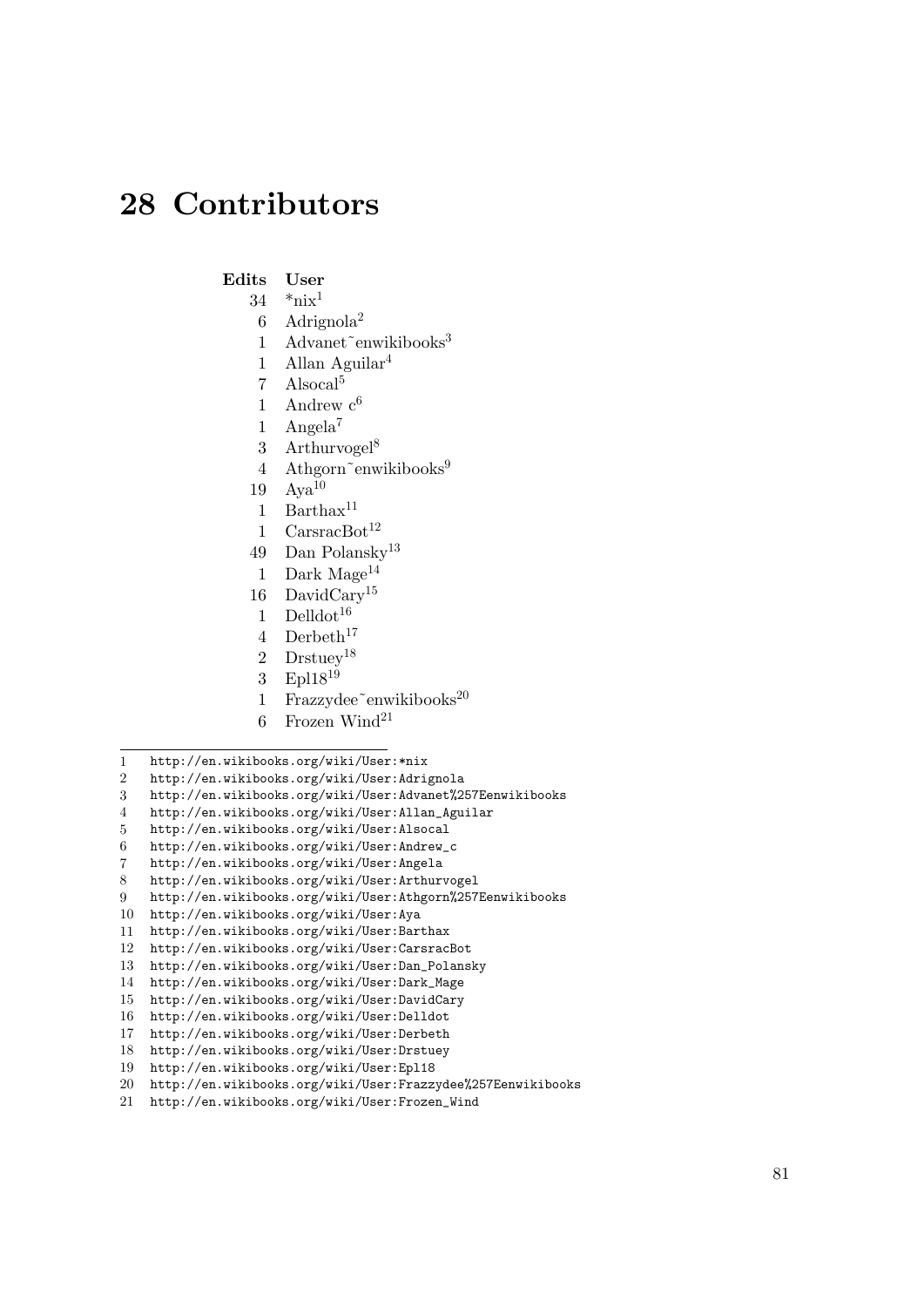# **28 Contributors**

#### **Edits User**

- $34$  \*nix<sup>1</sup>
- 6 Adrignola2
- 1 Advanet~enwikibooks<sup>3</sup>
- 1 Allan Aguilar4
- 7 Alsocal5
- 1 Andrew  $c^6$
- 1 Angela7
- 3 Arthurvogel $8$
- 4 Athgorn~enwikibooks<sup>9</sup>
- $19$  Aya<sup>10</sup>
- 1 Bartha $x^{11}$
- 1  $CarsracBot^{12}$
- 49 Dan Polansky13
- 1 Dark Mage<sup>14</sup>
- 16 DavidCary15
- 1 Delldot<sup>16</sup>
- 4 Derbeth $17$
- 2 Drstuey18
- 3 Epl1819
- 1 Frazzydee~enwikibooks $^{20}$
- 6 Frozen Wind $^{21}$
- 1 [http://en.wikibooks.org/wiki/User:\\*nix](http://en.wikibooks.org/wiki/User:*nix)
- 2 <http://en.wikibooks.org/wiki/User:Adrignola>
- 3 <http://en.wikibooks.org/wiki/User:Advanet%257Eenwikibooks>
- 4 [http://en.wikibooks.org/wiki/User:Allan\\_Aguilar](http://en.wikibooks.org/wiki/User:Allan_Aguilar)
- 5 <http://en.wikibooks.org/wiki/User:Alsocal>
- 6 [http://en.wikibooks.org/wiki/User:Andrew\\_c](http://en.wikibooks.org/wiki/User:Andrew_c)
- 7 <http://en.wikibooks.org/wiki/User:Angela>
- 8 <http://en.wikibooks.org/wiki/User:Arthurvogel>
- 9 <http://en.wikibooks.org/wiki/User:Athgorn%257Eenwikibooks>
- 10 <http://en.wikibooks.org/wiki/User:Aya>
- 11 <http://en.wikibooks.org/wiki/User:Barthax>
- 12 <http://en.wikibooks.org/wiki/User:CarsracBot>
- 13 [http://en.wikibooks.org/wiki/User:Dan\\_Polansky](http://en.wikibooks.org/wiki/User:Dan_Polansky)
- 14 [http://en.wikibooks.org/wiki/User:Dark\\_Mage](http://en.wikibooks.org/wiki/User:Dark_Mage)
- 15 <http://en.wikibooks.org/wiki/User:DavidCary>
- 16 <http://en.wikibooks.org/wiki/User:Delldot>
- 17 <http://en.wikibooks.org/wiki/User:Derbeth>
- 18 <http://en.wikibooks.org/wiki/User:Drstuey>
- 19 <http://en.wikibooks.org/wiki/User:Epl18>
- 20 <http://en.wikibooks.org/wiki/User:Frazzydee%257Eenwikibooks>
- 21 [http://en.wikibooks.org/wiki/User:Frozen\\_Wind](http://en.wikibooks.org/wiki/User:Frozen_Wind)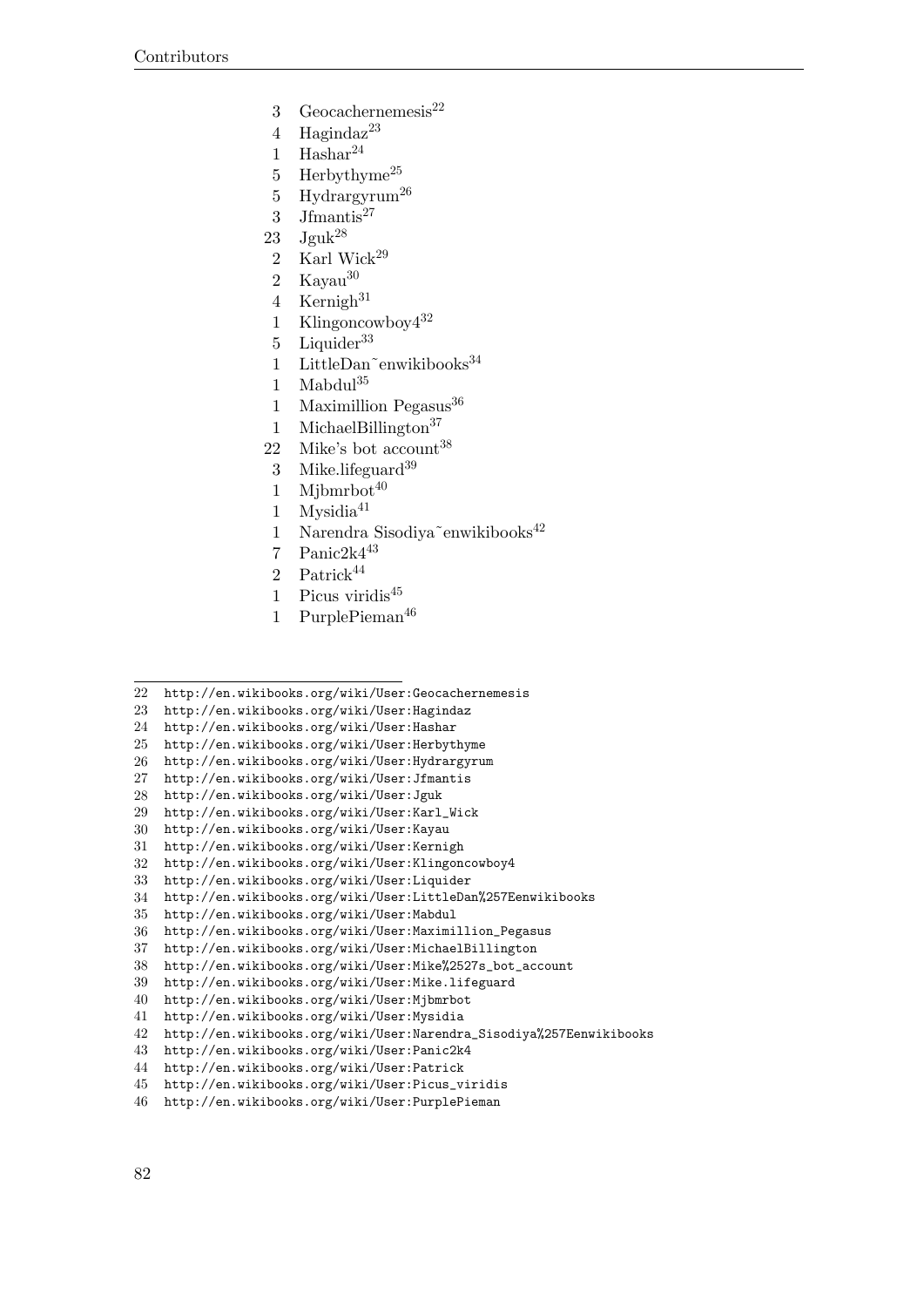- 3 Geocachernemesis $^{22}$
- Hagindaz<sup>23</sup>
- 1 Hashar $^{24}$
- 5 Herbythyme<sup>25</sup>
- 5 Hydrargyrum26
- 3 Jfmantis $^{27}$
- 23  $Jguk^{28}$
- 2 Karl Wick $2^9$
- 2 Kayau<sup>30</sup>
- 4 Kernigh
- 1 Klingoncowboy432
- 5 Liquider<sup>33</sup>
- 1 LittleDan~enwikibooks<sup>34</sup>
- Mabdul $^{35}$
- 1 Maximillion Pegasus
- 1 MichaelBillington<sup>37</sup>
- 22 Mike's bot account<sup>38</sup>
- 3 Mike.lifeguard
- 1 Mibmrbot
- 1 Mysidia
- 1 Narendra Sisodiya~enwikibooks<sup>42</sup>
- 7 Panic2k443
- 2 Patrick
- 1 Picus viridis
- 1 PurplePieman<sup>46</sup>
- <http://en.wikibooks.org/wiki/User:Geocachernemesis>
- <http://en.wikibooks.org/wiki/User:Hagindaz>
- <http://en.wikibooks.org/wiki/User:Hashar>
- <http://en.wikibooks.org/wiki/User:Herbythyme>
- <http://en.wikibooks.org/wiki/User:Hydrargyrum>
- <http://en.wikibooks.org/wiki/User:Jfmantis>
- <http://en.wikibooks.org/wiki/User:Jguk>
- [http://en.wikibooks.org/wiki/User:Karl\\_Wick](http://en.wikibooks.org/wiki/User:Karl_Wick)
- <http://en.wikibooks.org/wiki/User:Kayau>
- <http://en.wikibooks.org/wiki/User:Kernigh>
- <http://en.wikibooks.org/wiki/User:Klingoncowboy4>
- <http://en.wikibooks.org/wiki/User:Liquider>
- <http://en.wikibooks.org/wiki/User:LittleDan%257Eenwikibooks>
- <http://en.wikibooks.org/wiki/User:Mabdul>
- [http://en.wikibooks.org/wiki/User:Maximillion\\_Pegasus](http://en.wikibooks.org/wiki/User:Maximillion_Pegasus)
- <http://en.wikibooks.org/wiki/User:MichaelBillington>

- <http://en.wikibooks.org/wiki/User:Mike.lifeguard>
- <http://en.wikibooks.org/wiki/User:Mjbmrbot>
- <http://en.wikibooks.org/wiki/User:Mysidia>
- [http://en.wikibooks.org/wiki/User:Narendra\\_Sisodiya%257Eenwikibooks](http://en.wikibooks.org/wiki/User:Narendra_Sisodiya%257Eenwikibooks)
- <http://en.wikibooks.org/wiki/User:Panic2k4>
- <http://en.wikibooks.org/wiki/User:Patrick>
- [http://en.wikibooks.org/wiki/User:Picus\\_viridis](http://en.wikibooks.org/wiki/User:Picus_viridis)
- <http://en.wikibooks.org/wiki/User:PurplePieman>

[http://en.wikibooks.org/wiki/User:Mike%2527s\\_bot\\_account](http://en.wikibooks.org/wiki/User:Mike%2527s_bot_account)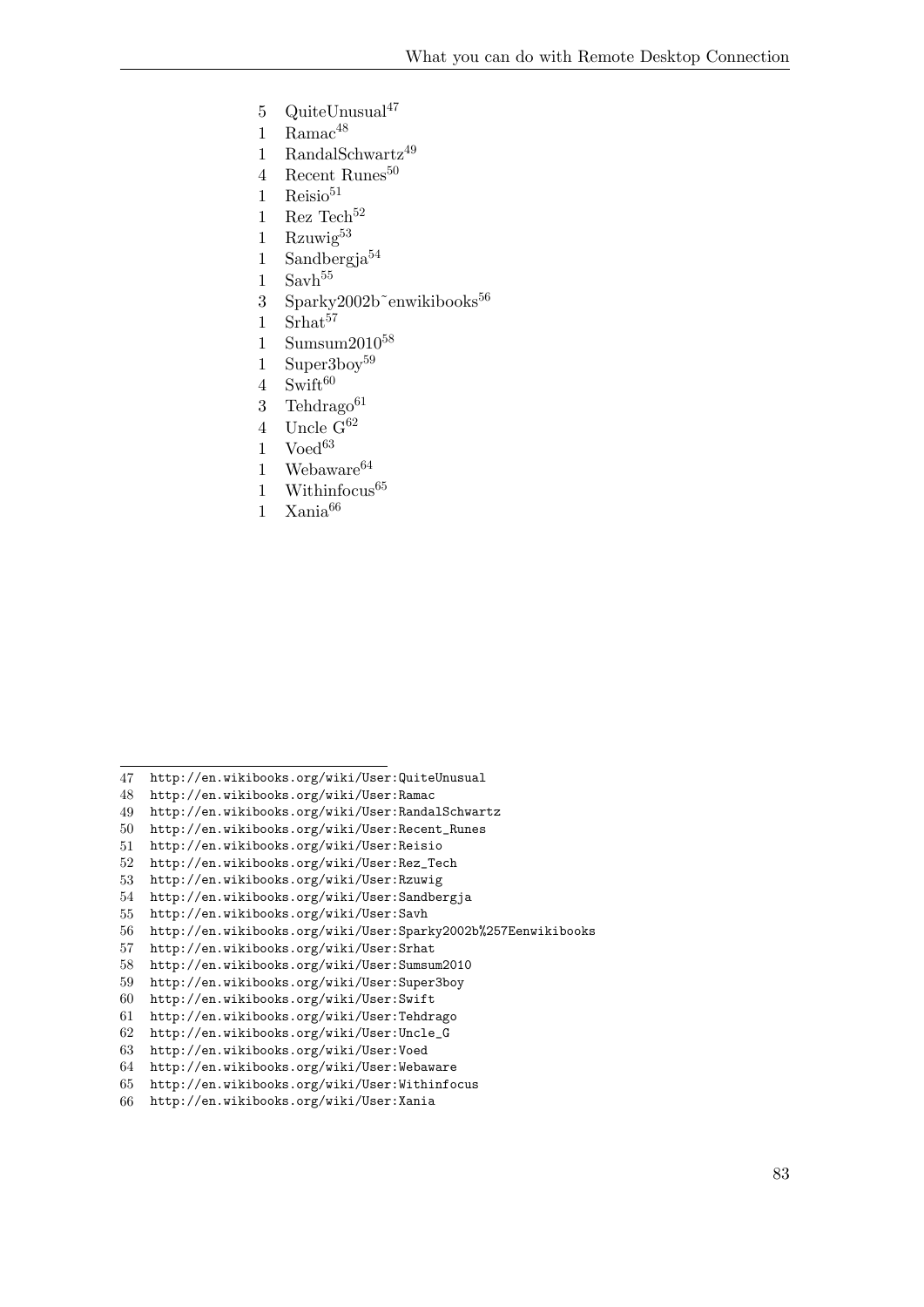- 5  $QuiteUnusual<sup>47</sup>$
- 1 Rama $c^{48}$
- 1 RandalSchwartz49
- 4 Recent Runes<sup>50</sup>
- 1 Reisio
- 1 Rez Tech<sup>52</sup>
- 1 Rzuwig<sup>53</sup>
- 1 Sandbergja
- Savh<sup>55</sup>
- 3 Sparky2002b~enwikibooks<sup>56</sup>
- 1 Srhat<sup>57</sup>
- 1 Sumsum $2010^{58}$
- 1 Superboy<sup>59</sup>
- Swift<sup>60</sup>
- 3 Tehdrago<sup>61</sup>
- 4 Uncle  $G^{62}$
- Voed<sup>63</sup>
- 1 Webaware
- 1 Withinfocus
- 1 Xania66

- <http://en.wikibooks.org/wiki/User:QuiteUnusual>
- <http://en.wikibooks.org/wiki/User:Ramac>
- <http://en.wikibooks.org/wiki/User:RandalSchwartz>
- [http://en.wikibooks.org/wiki/User:Recent\\_Runes](http://en.wikibooks.org/wiki/User:Recent_Runes)
- <http://en.wikibooks.org/wiki/User:Reisio>
- [http://en.wikibooks.org/wiki/User:Rez\\_Tech](http://en.wikibooks.org/wiki/User:Rez_Tech)
- <http://en.wikibooks.org/wiki/User:Rzuwig>
- <http://en.wikibooks.org/wiki/User:Sandbergja>
- <http://en.wikibooks.org/wiki/User:Savh>
- <http://en.wikibooks.org/wiki/User:Sparky2002b%257Eenwikibooks><br>57 http://en.wikibooks.org/wiki/User:Srhat
- <http://en.wikibooks.org/wiki/User:Srhat>
- <http://en.wikibooks.org/wiki/User:Sumsum2010>
- <http://en.wikibooks.org/wiki/User:Super3boy>
- <http://en.wikibooks.org/wiki/User:Swift>
- <http://en.wikibooks.org/wiki/User:Tehdrago>
- [http://en.wikibooks.org/wiki/User:Uncle\\_G](http://en.wikibooks.org/wiki/User:Uncle_G)
- <http://en.wikibooks.org/wiki/User:Voed>
- <http://en.wikibooks.org/wiki/User:Webaware>
- <http://en.wikibooks.org/wiki/User:Withinfocus> <http://en.wikibooks.org/wiki/User:Xania>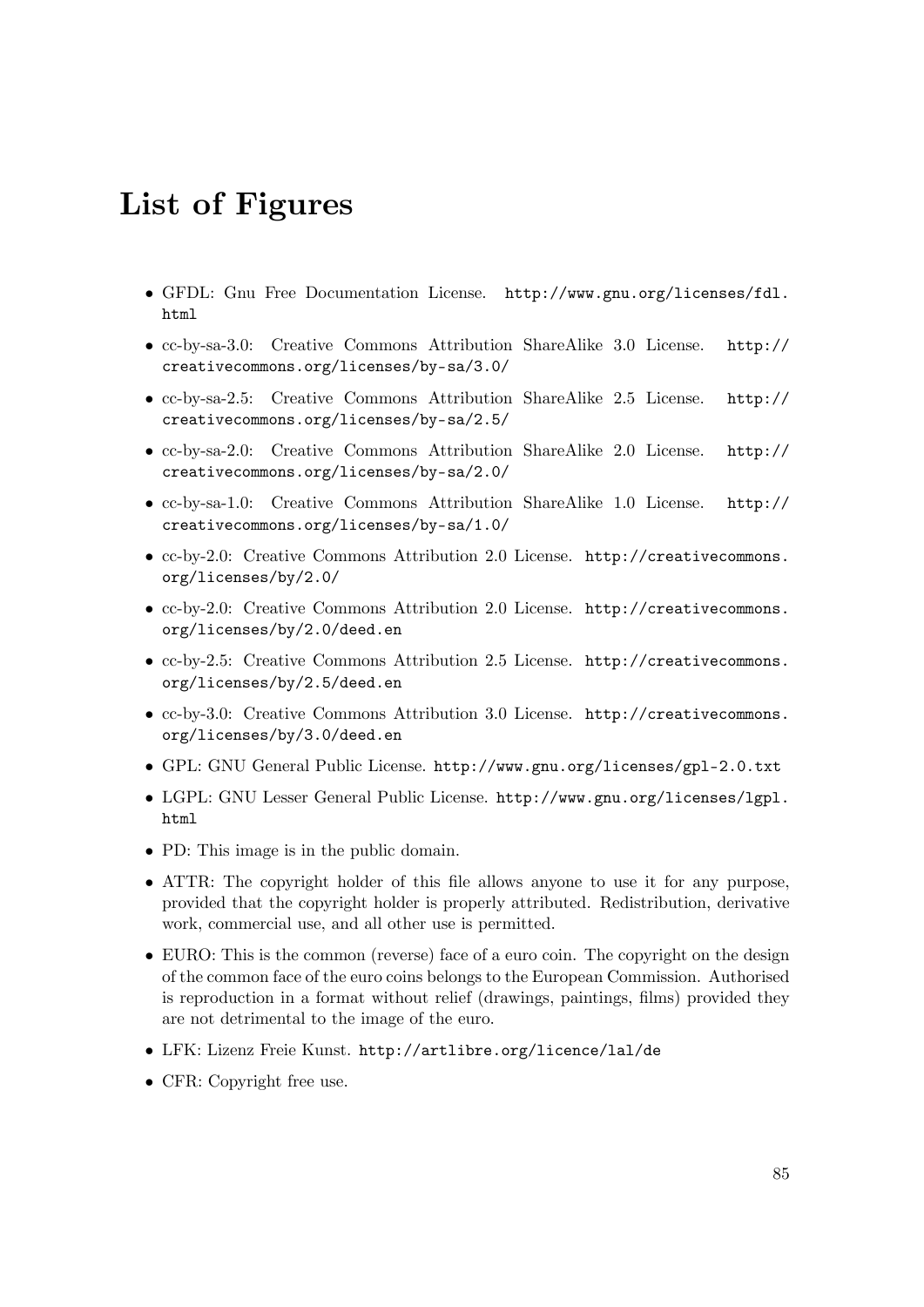# **List of Figures**

- GFDL: Gnu Free Documentation License. [http://www.gnu.org/licenses/fdl.](http://www.gnu.org/licenses/fdl.html) [html](http://www.gnu.org/licenses/fdl.html)
- cc-by-sa-3.0: Creative Commons Attribution ShareAlike 3.0 License. [http://](http://creativecommons.org/licenses/by-sa/3.0/) [creativecommons.org/licenses/by-sa/3.0/](http://creativecommons.org/licenses/by-sa/3.0/)
- cc-by-sa-2.5: Creative Commons Attribution ShareAlike 2.5 License. [http://](http://creativecommons.org/licenses/by-sa/2.5/) [creativecommons.org/licenses/by-sa/2.5/](http://creativecommons.org/licenses/by-sa/2.5/)
- cc-by-sa-2.0: Creative Commons Attribution ShareAlike 2.0 License. [http://](http://creativecommons.org/licenses/by-sa/2.0/) [creativecommons.org/licenses/by-sa/2.0/](http://creativecommons.org/licenses/by-sa/2.0/)
- cc-by-sa-1.0: Creative Commons Attribution ShareAlike 1.0 License. [http://](http://creativecommons.org/licenses/by-sa/1.0/) [creativecommons.org/licenses/by-sa/1.0/](http://creativecommons.org/licenses/by-sa/1.0/)
- cc-by-2.0: Creative Commons Attribution 2.0 License. [http://creativecommons.](http://creativecommons.org/licenses/by/2.0/) [org/licenses/by/2.0/](http://creativecommons.org/licenses/by/2.0/)
- cc-by-2.0: Creative Commons Attribution 2.0 License. [http://creativecommons.](http://creativecommons.org/licenses/by/2.0/deed.en) [org/licenses/by/2.0/deed.en](http://creativecommons.org/licenses/by/2.0/deed.en)
- cc-by-2.5: Creative Commons Attribution 2.5 License. [http://creativecommons.](http://creativecommons.org/licenses/by/2.5/deed.en) [org/licenses/by/2.5/deed.en](http://creativecommons.org/licenses/by/2.5/deed.en)
- cc-by-3.0: Creative Commons Attribution 3.0 License. [http://creativecommons.](http://creativecommons.org/licenses/by/3.0/deed.en) [org/licenses/by/3.0/deed.en](http://creativecommons.org/licenses/by/3.0/deed.en)
- GPL: GNU General Public License. <http://www.gnu.org/licenses/gpl-2.0.txt>
- LGPL: GNU Lesser General Public License. [http://www.gnu.org/licenses/lgpl.](http://www.gnu.org/licenses/lgpl.html) [html](http://www.gnu.org/licenses/lgpl.html)
- PD: This image is in the public domain.
- ATTR: The copyright holder of this file allows anyone to use it for any purpose, provided that the copyright holder is properly attributed. Redistribution, derivative work, commercial use, and all other use is permitted.
- EURO: This is the common (reverse) face of a euro coin. The copyright on the design of the common face of the euro coins belongs to the European Commission. Authorised is reproduction in a format without relief (drawings, paintings, films) provided they are not detrimental to the image of the euro.
- LFK: Lizenz Freie Kunst. <http://artlibre.org/licence/lal/de>
- CFR: Copyright free use.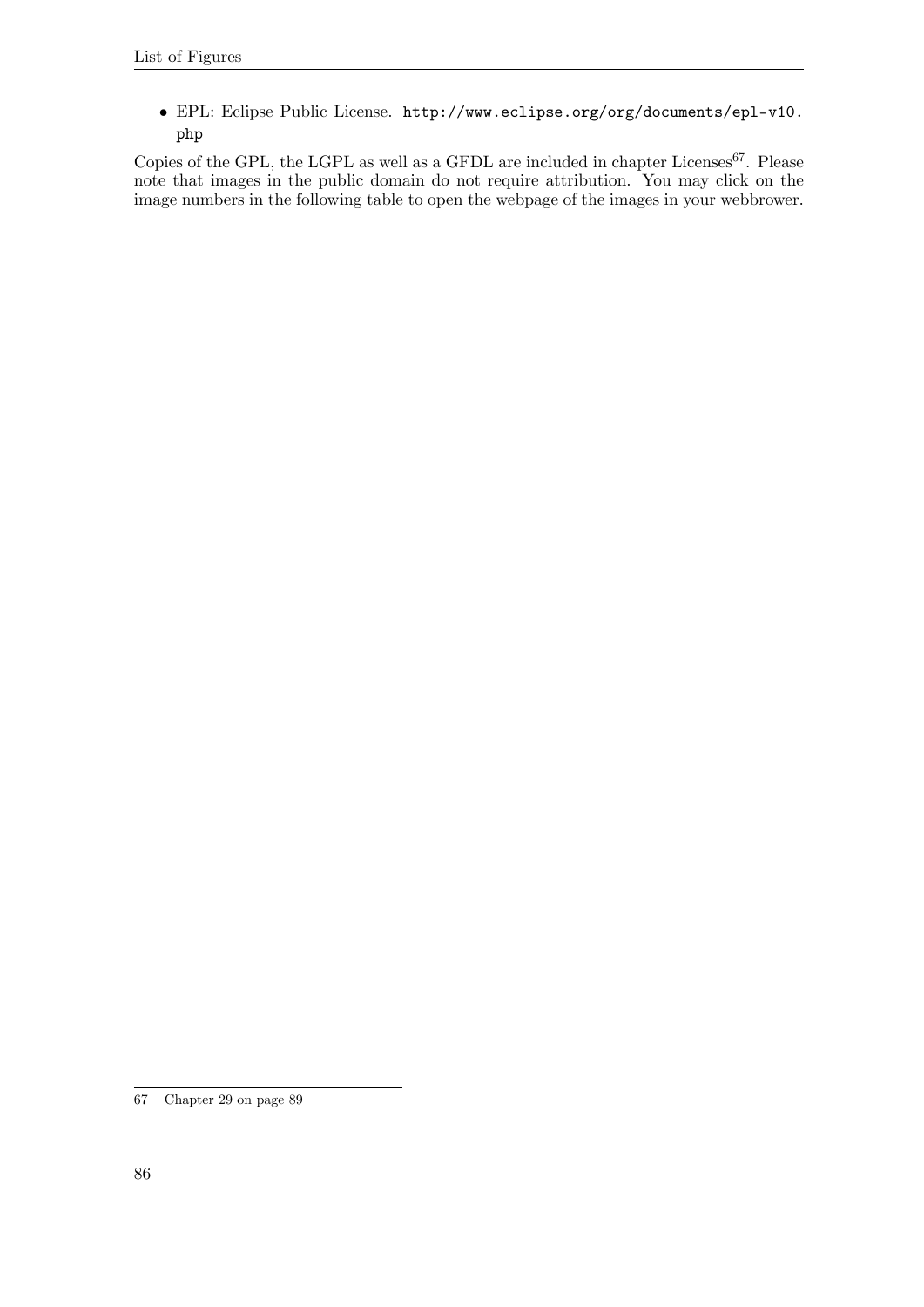• EPL: Eclipse Public License. [http://www.eclipse.org/org/documents/epl-v10.](http://www.eclipse.org/org/documents/epl-v10.php) [php](http://www.eclipse.org/org/documents/epl-v10.php)

Copies of the GPL, the LGPL as well as a GFDL are included in chapter Licenses  $67$ . Please note that images in the public domain do not require attribution. You may click on the image numbers in the following table to open the webpage of the images in your webbrower.

<span id="page-89-0"></span><sup>67</sup> Chapter [29](#page-92-0) on page [89](#page-92-0)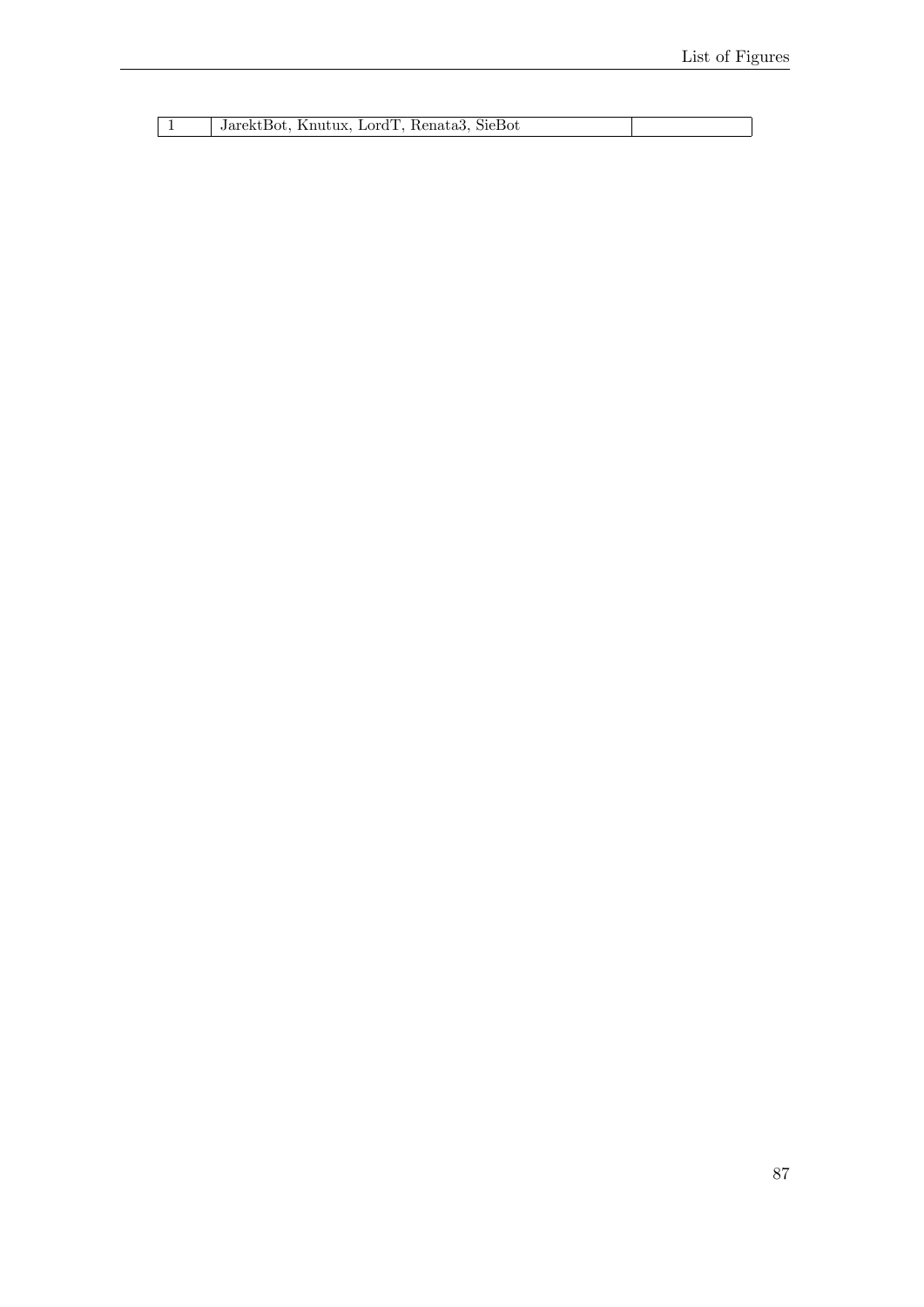| JarektBot, Knutux, LordT, Renata3, S |  |
|--------------------------------------|--|
|                                      |  |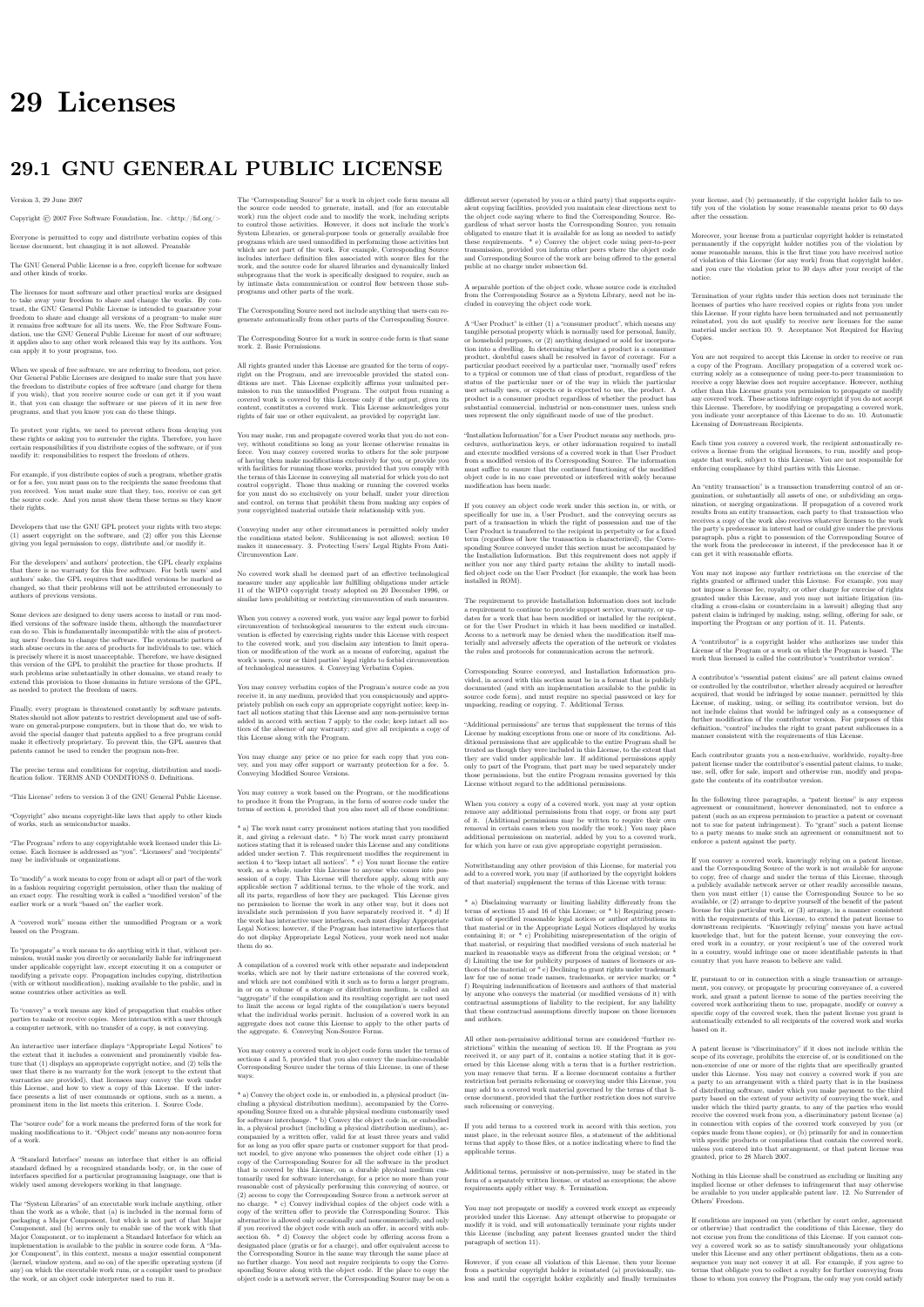# <span id="page-92-0"></span>**29 Licenses**

# **29.1 GNU GENERAL PUBLIC LICENSE**

Version 3, 29 June 2007

Copyright  $\odot$  2007 Free Software Foundation, Inc. <http://fsf.org/>

Everyone is permitted to copy and distribute verbatim copies of this license document, but changing it is not allowed. Preamble

The GNU General Public License is a free, copyleft license for software and other kinds of works.

The licenses for most software and other practical works are designed<br>to take away your freedom to share and change the works. By contrast, the GNU General Public License is intended to guarantee your<br>freedom to share and can apply it to your programs, too.

When we speak of free software, we are referring to freedom, not price.<br>Our General Public Licenses are designed to make sure that you have<br>the freedom to distribute copies of free software (and charge for them<br>if you wis

To protect your rights, we need to prevent others from denying you<br>these rights or asking you to surrender the rights. Therefore, you have<br>certain responsibilities if you distribute copies of the software, or if you<br>modif

For example, if you distribute copies of such a program, whether gratistic and ror for a fee, you must pass on to the recipients the same freedoms that you received. You must make sure that they, too, receive or can get t their rights.

Developers that use the GNU GPL protect your rights with two steps: (1) assert copyright on the software, and (2) offer you this License giving you legal permission to copy, distribute and/or modify it.

For the developers' and authors' protection, the GPL clearly explains<br>that there is no warranty for this free software. For both users' and<br>authors' sake, the GPL requires that modified versions be marked as<br>authors' sake

Some devies are designed to deny users access to install or run modeling defined to effore devies and oso. This is fundamentally incompatible with the aim of protect-<br>can do so. This is fundamentally incompatible with the

Finally, every program is threatened constantly by software patents.<br>States should not allow patents to restrict development and use of soft-<br>avave on general-purpose computers, but in those that do, we wish to<br>avoid the

The precise terms and conditions for copying, distribution and modi-fication follow. TERMS AND CONDITIONS 0. Definitions.

"This License" refers to version 3 of the GNU General Public License.

"Copyright" also means copyright-like laws that apply to other kinds of works, such as semiconductor masks.

"The Program" refers to any copyrightable work licensed under this Li-cense. Each licensee is addressed as "you". "Licensees" and "recipients" may be individuals or organizations.

.<br>To "modify" a work means to copy from or adapt all or part of the work<br>ashion requiring convright permission, other than the making of in a fashion requiring copyright permission, or an exact copy. The resulting work is called a "modified version" of the earlier work or a work "based on" the earlier work.

A "covered work" means either the unmodified Program or a work based on the Program.

To "propagate" a work means to do anything with it that, without performing<br>mission, would make you directly or secondarily liable for infringement<br>under applicable copyright law, except executing it on a computer or<br>modi

To "convey" a work means any kind of propagation that enables other parties to make or receive copies. Mere interaction with a user through a computer network, with no transfer of a copy, is not conveying.

An interactive user interface displays "Appropriate Legal Noticss" to<br>the extent that it includes a convenient and prominently visible feature<br>that (1) displays an appropriate copyright notice, and (2) tells the<br>user that

The "source code" for a work means the preferred form of the work for making modifications to it. "Object code" means any non-source form of a work.

rd Interface" means an interface that either is an official standard defined by a recognized standards body, or, in the case of interfaces specified for a particular programming language, one that is widely used among developers working in that language.

The "System Libraries" of an executable work include anything, other than the work as a whole, that (a) is included in the normal form of packaging a Major Component, but which is not part of that Major Component, and (b)

The "Corresponding Source" for a work in object code form means all<br>the source code needed to generate, install, and (for an executable<br>work) run the object code and to modify the work, including scripts<br>to control those System Libraries, or general-purpose tools or generally available free programs which are used unmodified in performing those activities but which are not part of the work. For example, Corresponding Source includes interface definition files associated with source files for the<br>work, and the source code for shared libraries and dynamically linked<br>subprograms that the work is specifically designed to require, such as<br>by inti

The Corresponding Source need not include anything that users can re-generate automatically from other parts of the Corresponding Source.

The Corresponding Source for a work in source code form is that same work. 2. Basic Permissions.

All rights granted under this License are granted for the term of copy<br>right on the Program, and are irrevocable provided the stated conductions are met. This License explicitly affirms your unimited persion<br>insison to ru rights of fair use or other equivalent, as provided by copyright law.

You may make, run and propagate covered works that you do not con-<br>wey, without conditions so long as your license otherwise remains<br>in force. You may convey covered works to others for the sole purpose<br>force. You may conv and control, on terms that prohibit them from making any copies of your copyrighted material outside their relationship with you.

Conveying under any other circumstances is permitted solely under the conditions stated below. Sublicensing is not allowed; section 10 makes it unnecessary. 3. Protecting Users' Legal Rights From Anti-Circumvention Law.

No covered work shall be deemed part of an effective technological<br>measure under any applicable law fulfilling obligations under article<br>11 of the WIPO copyright treaty alopted on 20 December 1996, or<br>31 infar laws prohibi

When you convey a covered work, you waive any legal power to forbid<br>circumvention of technological measures to the extent such circumcircumvention of technological measures to the extent such circum-<br>vention is effected by exercising rights under this License with respect<br>to the covered work, and you disclaim any intention to limit to<br>persion or modifi

You may convey verbatim copies of the Program's source code as receive it, in any medium, provided that you conspicuously and appro-priately publish on each copy an appropriate copyright notice; keep in-tact all notices stating that this License and any non-permissive terms added in accord with section 7 apply to the code; keep intact all no-tices of the absence of any warranty; and give all recipients a copy of this License along with the Program.

You may charge any price or no price for each copy that you of warranty protection for a fee. 5. and you may offer support or<br>veying Modified Source Version

You may convey a work based on the Program, or the modifications to produce it from the Program, in the form of source code under the terms of section 4, provided that you also meet all of these conditions:

\* a) The work must carry prominent notices stating that you modified<br>it, and giving a relevant atac. \* b) The work must carry prominent<br>notices stating that it is released under this License and any conditions<br>added under all its parts, regardless of how they are packaged. This license gives<br>no permission to license the work in any other way, but it does not<br>invalidate such permission if you have separately received it.  $*$  d) I<br>the work h

A compilation of a covered work with other separate and independent works, which are not by their nature extensions of the covered work, and which are not combined with it such as to form a larger program, in or on a volume of a storage or distribution medium, is called an<br>"aggregate" if the compilation and its resulting copyright are not used<br>what the intectess or legal rights of the compilation's users beyond<br>what the ind

You may convey a covered work in object code form under the terms of sections 4 and 5, provided that you also convey the machine-readable Corresponding Source under the terms of this License, in one of these ways:

 $^*$ a) Convey the object code in, or embodiel in, a physical product (in a physical production medium), accompanied by the Corre-for-sponding Source fixed on a durable physical medium customarily used<br>for software interch reasonable cost of physically performing this conveying of source, or<br>
(2) access to copy the Corresponding Source from a network server at<br>
no charge. \* c) Convey individual copies of the object code with a copy of the written offer to provide the Corresponding Source. This<br>daternative is allowed only occasionally and noncommercially, and only<br>if you received the object code with such an offer, in accord with sub-<br>estima 6b. different server (operated by you or a third party) that supports equivalent copying facilities, provided you maintain clear directions next to the object code saying where to find the Corresponding Source. Regardless of w obligated to ensure that it is available for as long as needed to satisfy<br>chosen reduces requirements. \* e) Convey the object code using peer-to-peer<br>transmission, provided you inform other peers where the object code<br>and

A separable portion of the object code, whose source code is excluded from the Corresponding Source as a System Library, need not be in-cluded in conveying the object code work.

A "User Product" is either (1) a "consumer product", which means any<br>a transpile personal property which is normally used for personal, family<br>or household purposes, or (2) anything designed or sold for incorporation<br>into

"Installation Information" for a User Product means any methods cedures, authorization keys, or other information required to instal<br>and execute modified versions of a covered work in that User Product<br>from a modified version of its Corresponding Source. The information<br>must suffice to modification has been made.

If you convey an object code work under this section in, or with, or<br>specifically for use in, a User Product, and the conveying occurs as<br>part of a transaction in which the right of possession and use of the<br>User Product installed in ROM).

The requirement to convide Installation Information does not include<br>a requirement to continue to provide support service, warranty, or up<br>dates for a work that has been modified or installed by the recipient<br>or for the U terially and adversely affects the operation of the network or violates the rules and protocols for communication across the network.

Corresponding Source conveyed, and Installation Information pro-<br>vided, in accord with this section must be in a format that is publicly<br>documented (and with an implementation available to the public is<br>ource code form), a

"Additional permissions" are terms that supplement the terms of this License by making exceptions from one or more of its conditions. Ad-ditional permissions that are applicable to the entire Program shall be treated as though they were included in this License, to the extent that they are valid under applicable law. If additional permissions apply to part of the Program, that part may be used separately under those permission

When you convey a copy of a covered work, you may at your option remove any additional permissions from that copy, or from any part<br>of it. (Additional permissions may be written to require their own<br>removal in certain cases when you modify the work.) You may place<br>additional permissions

Notwithstanding any other provision of this License, for material you add to a covered work, you may (if authorized by the copyright holders of that material) supplement the terms of this License with terms:

 $^*$ a) Dischaimig warrany or limiting liability differently from the terms of sections 15 and 16 of this License; or \*b) Requiring preservation of specified reasonable legal notices or author at<br>the most parameter than ma

All other non-permissive additional terms are considered "further re-strictions" within the meaning of section 10. If the Program as you received it, or any part of it, contains a notice stating that it is governed by this License along with a term that is a further restriction you may remove that term. If a license document contains a further restriction b

If you add terms to a covered work in accord with this section, you must place, in the relevant source files, a statement of the additional terms that apply to those files, or a notice indicating where to find the applicable terms

Additional terms, permissive or non-permissive, may be stated in the form of a separately written license, or stated as exceptions; the above requirements apply either way. 8. Termination.

You may not propagate or modify a covered work except as expre provided under this License. Any attempt otherwise to propagate or modify it is void, and will automatically terminate your rights under this License (including any patent licenses granted under the third paragraph of sec

However, if you cease all violation of this License, then your license from a particular convright holder is reinstated (a) provisionally  $\bar{v}$ from a particular copyright holder is reinstated (a) provisionally, un-less and until the copyright holder explicitly and finally terminates your license, and (b) permanently, if the copyright holder fails to no-tify you of the violation by some reasonable means prior to 60 days after the cessation.

Moreover, your license from a particular copyright holder is reinstated<br>permanently if the copyright holder notifies you of the violation by<br>ormer reasonable means, this is the first time you have received notice<br>of viola

Termination of your rights under this section does not terminate the<br>licenses of parties who have received copies or rights from you under<br>this License. If your rights have been terminated and not permanently<br>teinstated, **Copies** 

You are not required to accept this License in order to receive or run<br>a copy of the Program. Ancillary propagation of a covered work occurring solely as a consequence of using peer-to-peer transmission to<br>receive a copy

Each time you convey a covered work, the recipient automatically recives a license from the original licensors, to run, modify and prop ceives a license from the original licensors, to run, modify and prop-agate that work, subject to this License. You are not responsible for enforcing compliance by third parties with this License.

ntity transaction" is a transaction transferring ganization, or substantially all assets of one, or subdividing an organization, or merging organizations. If propagation of a covered work results from an entity transaction, each party to that transaction where recults f the party's predecessor in interest had or could give under the previous paragraph, plus a right to possession of the Corresponding Source of the work from the predecessor in interest, if the predecessor is it of can get

You may not impose any further restrictions on the exercise of the rights granted or affirmed under this License. For example, you may<br>not impose a license fee, royalty, or other charge for exercise of right<br>granted under this License, and you may not initiate litigation (in<br>cluding a cr

A "contributor" is a copyright holder who authorizes use under this License of the Program or a work on which the Program is based. The work thus licensed is called the contributor's "contributor version".

A contributor's "essential patent claims" are all patent claims owned<br>corortorieled by the contributor, whether already acquired or hereafter<br>acquired, that would be infringed by some manner, permitted by this<br>License, of

Each contributor grants you a non-exclusive, worldwide, royalty-free patent license under the contributor's essential patent claims, to make, use, sell, offer for sale, import and otherwise run, modify and propa-gate the contents of its contributor version.

In the following three paragraphs, a "patent license" is any express agreement or commitment, however denominated, not to enforce a patent (such as an express permission to practice a patent or cover not to sue for patent infringement). To "grant" such a patent license to a party means to make such an agreement or commitment not to enforce a patent against the party.

If you convey a covered work, knowingly relying on a patent license and the Corresponding Source of the work is not available for anyone to copy, free of charge and under the terms of this License, through a publicly available network server or other readily accessible means<br>publicly available network server or other readily access of the benefit of the patent<br>available, or (2) arrange to deprive yourself of the benefit of

If, pursuant to or in connection with a single transaction or ment, you convey, or propagate by procuring conveyance of, a covered<br>work, and grant a patent license to some of the parties receiving the<br>overed work authorizing them to use, propagate, modify or convey<br>specific copy of t automatically extended to all recipients of the covered work and works based on it.

A patent license is "discriminatory" if it does not include within the scope of its coverage, prohibits the exercise of, or is conditioned on the<br>non-exercise of one or more of the rights that are specifically granted non-exercise of one or more of the rights that are specifically granted<br>more under this License. You may not convey a covered work if you are<br>a party to an arrangement with a third party that is in the business<br>portstroki

Nothing in this License shall be construed as excluding or limiting any implied license or other defenses to infringement that may otherwise be available to you under applicable patent law. 12. No Surrender of Others' Fre

If conditions are imposed on you (whether by court order, agreement<br>or otherwise) that contariote the conditions of this License, they do<br>not excuse you from the conditions of this License. If you cannot con-<br>not excuse w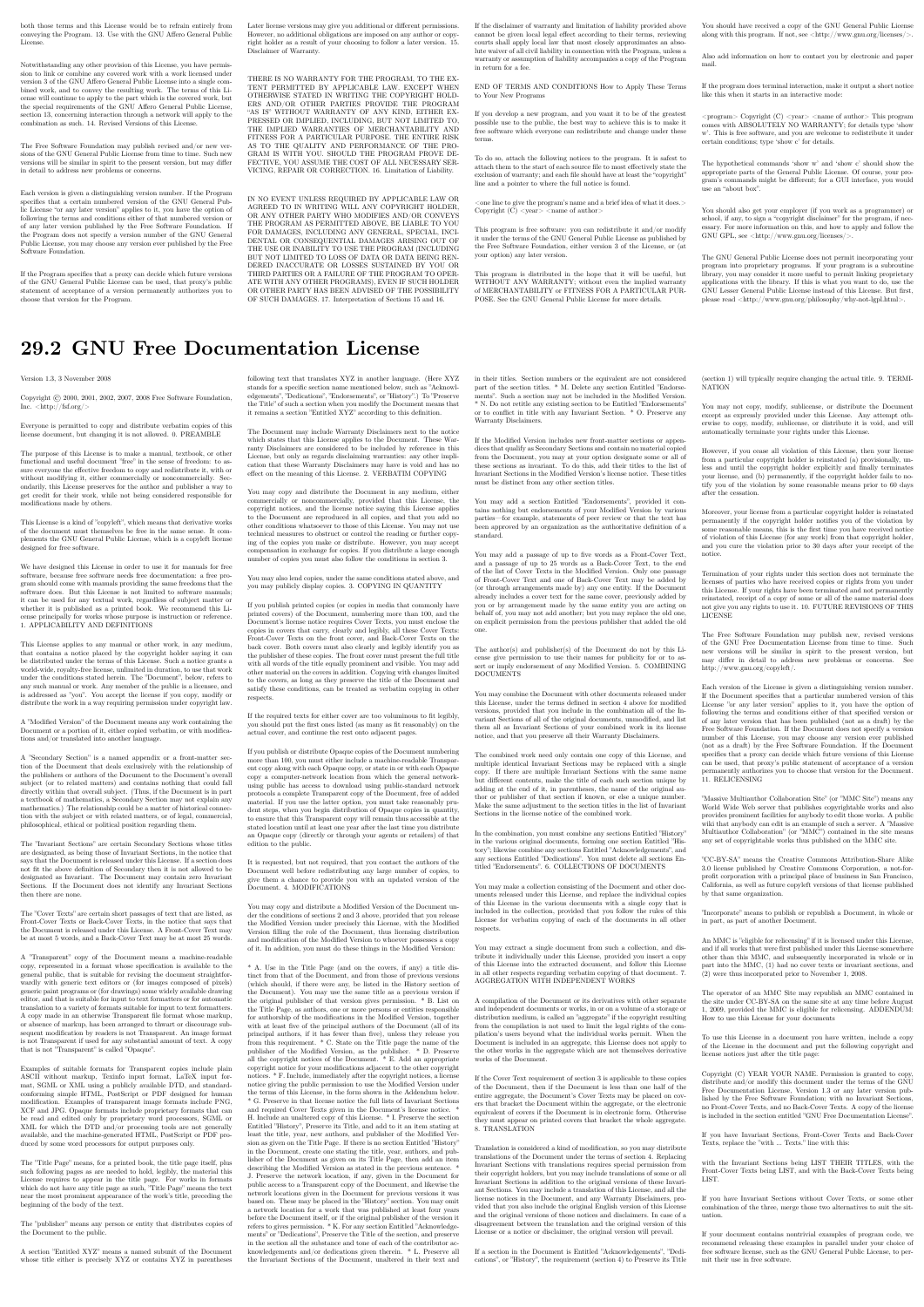both those terms and this License would be to refrain entirely from conveying the Program. 13. Use with the GNU Affero General Public License.

Notwithstanding any other provision of this License, you have permission to link or combine any covered work with a work licensed under version 3 of the GNU Affero General Public License into a single combined work, and t

The Free Software Foundation may publish revised and/or new versions of the GNU General Public License from time to time. Such new versions will be similar in spirit to the present version, but may differ in detail to address new problems or concerns.

Each version is given a distinguishing version number. If the Program<br>Each version is given a distinguishing version of the GNU General Pub-<br>[ic License "or any latter version" applies to it, you have the option of<br>follow

If the Program specifies that a proxy can decide which future versions<br>of the GNU General Public License can be used, that proxy's public<br>statement of acceptance of a version permanently authorizes you to<br>choose that vers

Later license versions may give you additional or different permissions.<br>However, no additional obligations are imposed on any author or copy-right holder as a result of your choosing to follow a later version. 15. Discla

THERE IS NO WARRANTY FOR THE PROGRAM, TO THE EX-<br>TENT PERMITTED BY APPLICABLE LAW. EXCEPT WHEN<br>OTHERWISE STATED IN WRITING THE COPYRIGHT HOLD-<br>ERS AND/OR OTHER PARTIES PROVIDE THE PROGRAM<br>PRESSED OR IMPLIED, INCLUDING, BUT FITNESS FOR A PARTICULAR PURPOSE. THE ENTIRE RISK AS TO THE QUALITY AND PERFORMANCE OF THE PRO-GRAM IS WITH YOU. SHOULD THE PROGRAM PROVE DE-FECTIVE, YOU ASSUME THE COST OF ALL NECESSARY SER-VICING, REPAIR OR CORRECTION. 16. Limitation of Liability.

IN NO EVENT UNLESS REQUIRED BY APPLICABLE LAW OR AGREED TO IN WRITING WILL ANY COPYRIGHT HOLDER, OR ANY OTHER PARTY WHO MODIFIES AND/OR CONVEYS THE PROGRAM AS PERMITTED ABOVE, BE LIABLE TO YOU FOR DAMAGES, INCLUDING ANY GENERAL, SPECIAL, INCL FOR DAMAGES, INCLUDING ANY GENERAL, INCELAL, INC.<br>DENTAL OR CONSEQUENTIAL DAMAGES ARISING OUT OF THE USE OR INABILITY TO USE THE PROGRAM (INCLUDING<br>BUT NOT LIMITED TO LOSS OF DATA OR DATA BEING RENGEL<br>DERED INACCURATE OR L

If the dischainer of warranty and limitation of liability provided above<br>cannot be given local legal effect according to their terms, reviewing<br>counts shall apply local law that most closely approximates an above<br>lute wai

END OF TERMS AND CONDITIONS How to Apply These Terms to Your New Programs

If you develop a new program, and you want it to be of the greatest possible use to the public, the best way to achieve this is to make it free software which everyone can redistribute and change under these terms.

To do so, attach the following notices to the program. It is safest to<br>tatach them to the start of each source file to most effectively state the<br>exclusion of warranty; and each file should have at least the "copyright"<br>l

one line to give the program's name and a brief idea of what it does.  $>$  $Conv = 100$   $C = 100$   $C = 100$   $C = 100$   $C = 100$   $C = 100$   $C = 100$   $C = 100$   $C = 100$   $C = 100$   $C = 100$   $C = 100$ 

This program is free software: you can redistribute it and/or modify<br>it under the terms of the GNU General Public License as published by<br>the Free Software Foundation, either version 3 of the License, or (at<br>your option)

This program is distributed in the hope that it will be useful, but<br>WITHOUT ANY WARRANTY; without even the implied warranty<br>of MERCHANTABILITY or FITNESS FOR A PARTICULAR PUR-<br>POSE. See the GNU General Public License for m

You should have received a copy of the GNU General Public License<br>along with this program. If not, see <http://www.gnu.org/licenses/>

Also add information on how to contact you by electronic and paper mail.

If the program does terminal interaction, make it output a short notice like this when it starts in an interactive mode:

<program> Copyright (C) <year> <name of author> This program comes with ABSOLUTELY NO WARRANTY; for details type 'show w'. This is free software, and you are welcome to redistribute it under certain conditions; type 'show c' for details.

The hypothetical commands 'show w' and 'show c' should show the appropriate parts of the General Public License. Of course, your pro-<br>gram's commands might be different; for a GUI interface, you would use an "about box".

You should also get your employer (if you work as a programmer) or<br>school, if any, to sign a "copyright disclaimer" for the program, if necessary. For more information on this, and how to apply and follow the<br>GNU GPL, see

The GNU General Public License does not permit incorporating you<br>program into proprietary programs. If your program is a subroutine<br>library, you may consider it more useful to permit linking proprietary<br>applications with

# **29.2 GNU Free Documentation License**

Version 1.3, 3 November 2008

Copyright © 2000, 2001, 2002, 2007, 2008 Free Software Foundation, Inc. <http://fsf.org/>

Everyone is permitted to copy and distribute verbatim copies of this license document, but changing it is not allowed. 0. PREAMBLE

The purpose of this License is to make a manual, textbook, or other<br>functional and useful document "free" in the sense of freedom: to as<br>sure everyone the effective freedom to copy and redsitribute it, with or<br>without mod modifications made by others.<br>eations made by others.

This License is a kind of "copyleft", which means that derivative works<br>of the document must themselves be free in the same sense. It com-<br>plements the GNU General Public License, which is a copyleft license<br>designed for f

We have designed this License in order to use it for manuals for free<br>positive descriptions of the software needs free documentation: a free program should come with manuals providing the same free<br>domstrance does. But th

This License applies to any manual or other work, in any medium,<br>that contains a notice placed by the copyright holder saying it can<br>be distributed under the terms of this License. Such a notice grants<br>world-wide, royaltyunder the conditions stated herein. The "Document", below, refers to any such manual or work. Any member of the public is a licensee, and is addressed as "you". You accept the license if you copy, modify or distribute the work in a way requiring permission under copyright law.

A "Modified Version" of the Document means any work containing the Document or a portion of it, either copied verbatim, or with modifica-tions and/or translated into another language.

A "Secondary Section" is a named appendix or a front-matter tion of the Document that deals exclusively with the relationship of<br>the publishers or authors of the Document to the Document's overall<br>subject (or to related matters) and contains nothing that could fall<br>directly within mathematics.) The relationship could be a matter of historical connec-tion with the subject or with related matters, or of legal, commercial, philosophical, ethical or political position regarding them.

The "Invariant Sections" are certain Secondary Sections whose titles<br>are desigrated, as being those of Invariant Sections, in the notice that<br>says that the Document is released under this License. If a section does<br>not fi

The "Cover Texts" are certain short passages of text that are listed, as<br>Front-Cover Texts or Back-Cover Texts, in the notice that says that<br>the Document is released under this License. A Front-Cover Text may<br>be at most 5

A "Transparent" copy of the Document means a machine-readable<br>copy, represented in a format whose specification is available to the<br>general public, that is suitable for revising the document straightfor-<br>wardly with generi generic paint programs or (for drawings) some widely available drawing editor, and that is suitable for input to text formatters or for automatic translation to a variety of formats suitable for input to text formatters, and  $\Delta$  copy made in an otherwise Transpacent file format whose markup, as been compared to the<br>variety of signal constrained in the sequent modi

Examples of suitable formats for Transparent copies include plain<br>ASCII without markup, Texinfo input format, LaTeX input format, SGML or XML using a publicly available DTD, and standard<br>conforming simple HTML, PostScript available, and the machine-generated HTML, Post<br>duced by some word processors for output purpo

The Title Page" means, for a printed book, the title page itself, plus<br>tuch following pages as are needed to hold, legibly, the material this<br>license requires to appear in the title page. For works in formats<br>which do not

The "publisher" means any person or entity that distributes copies of the Document to the public.

A section "Entitled XYZ" means a named subunit of the Doc whose title either is precisely XYZ or contains XYZ in parenthese following text that translates XYZ in another language. (Here XYZ stands for a specific section name mentioned below, such as "Acknowledgements", "Dedications", "Endors<br>emergements", or emergements", or "History".) To "Pr If the section when you moving the *accumum* section "Entitled XYZ" according to this definition.

The Document may include Warranty Disclaimers next to the notice<br>winds states that this License applies to the Document. These Warranty Disclaimers are considered to be included by reference in this<br>License, but only as r

You may copy and distribute the Document in any medium, either commercially or noncommercially, provided that this License, the<br>copyright notices, and the license notice saying this License applies<br>to the Document are rep

You may also lend copies, under the same conditions stated above, and you may publicly display copies. 3. COPYING IN QUANTITY

If you publish printed copies (or copies in media that commonly have<br>printed covers) of the Document, numbering more than 100, and the<br>Document's license notice requires Cover Texts, you must enclose the<br>opies in covers t with all words of the title equally prominent and visible. You may add<br>then material on the covers in addition. Copying with changes limited<br>to the covers, as long as they preserve the title of the Document and<br>satisfy th

If the required texts for either cover are too voluminous to fit legibly, you should put the first ones listed (as many as fit reasonably) on the actual cover, and continue the rest onto adjacent pages.

If you publish or distribute Opaque copies of the Document numbering more than 100, you must either include a machine-readable Transparent entopy along with each Opaque copy, or state in or with each Opaque serge, a computer-network location from which the general networks using public-bas

It is requested, but not required, that you contact the authors of the Document well before redistributing any large number of copies, to give them a chance to provide you with an updated version of the Document. 4. MODIF

You may copy and distribute a Modified Version of the Document unre<br>der the conditions of sections 2 and 3 above, provided that you release<br>the Modified Version under precisely this License, with the Modified<br>Version fill

\* A. Use in the Title Page (and on the covers, if any) a title distinct from that of the Document, and from those of previous versions<br>(which should, if there were any, be listed in the History section of<br>the Document). You may use the same title as a previous version it<br>be the original with at least five of the principal authors of the Document (all of its<br>principal authors, if it has fewer than five), unless they release you<br>from this requirement. \* C. State on the Title page the name of the<br>publisher copyright notice for your modifications adjacent to the other copyright noises, a Fr. Include, immediately after the copyright notices, a license to the stoch and the permission to use the Modific Version under the terms

You may add a passage of up to five words as a Form-Cover Text, to the end and a passage of up to 25 words as a Back-Cover Text, to the end of the list of Cover Texts in the Modified Version. Only one passage of the list

this License, under the terms defined in section 4 above for modified<br>versions, provided that you include in the combination all of the In-<br>variant Sections of all of the original documents, unmodified, and list<br>wariant Se

In the combination, you must combine any sections Entitled "History"<br>in the various original documents, forming one section Entitled "History"; likewise combine any sections Entitled "A<br>chowledgements", and now sections E

You may make a collection consisting of the Document and other does<br>unemts released under this License, and replace the individual copies<br>included in the various documents with a single copy that is checked in<br>checked in

You may extract a single document from such a collection, and distribute it individually under this License, provided you insert a copy of this License into the extracted document, and follow this License in all other respects regarding verbatim copying of that document. 7. AGGREGATION WITH INDEPENDENT WORKS

.<br>A compilation of the Document or its derivatives with other separate at or its derivatives with other s<br>works, in or on a volume of a sto distribution medium, is called an "aggregate" if the copyright resulting from the compilation is not used to limit the legal rights of the compilation's users beyond what the individual works permit. When the<br>Document is included in an aggregate, this License does not apply to<br>the other works in the aggregate which are not themselves derivative<br>works of the Docu

If the Cover Text requirement of section 3 is applicable to these copies<br>of of the Document, then if the Document is less than one half of the<br>entire aggregate, the Document's Cover Texts may be placed on cover<br>sers hat b

Translation is considered a kind of modification, so you may distribute<br>translations of the Document under the terms of section 4. Replacing<br>Invariant Sections with translations requires special permission from<br>their copyr Invariant Sections in addition to the original versions of these Invariant Sections. Vou may include a translation of this License, and all the<br>license notices in the Document, and any Warranty Disclaimers, provided that you also include the original English version of this License<br>and the o

If a section in the Document is Entitled "Acknowledgement",  $\frac{d}{dt}$ cations", or "History", the requirement (section 4) to Preserve its Title (section 1) will typically require changing the actual title. 9. TERMI-NATION

You may not copy, modify, sublicense, or distribute the Document<br>except as expressly provided under this License. Any attempt otherwise to copy, modify, sublicense, or distribute it is void, and wil<br>automatically terminate

However, if you cease all violation of this License, then your license from a particular copyright holder is reinstated (a) provisionally, unless and until the copyright holder explicitly and finally terminates your license, and (b) permanently, if the copyright holder fails to no-<br>tify you the cessation.

Moreover, your license from a particular copyright holder is reinstated permanently if the copyright holder notifies you of the violation by<br>some reasonable means, this is the first time you have received notice<br>of violation of this License (for any work) from that copyright holder<br>and you cur

ation of your rights under this section does not terminate the licenses of parties who have received copies or rights from you under this License. If your rights have been terminated and not permanently reinstated, receipt of a copy of some or all of the same material does not give you any rights to use it. 10. FUTURE REVISIONS OF THIS LICENSE

The Free Software Foundation may publish new, revised versions<br>of the GNU Free Documentation License from time to time. Such<br>new versions will be similar in spirit to the present version, but<br>may differ in detail to addres http://www.gnu.org/copyleft/.

Each version of the License is given a distinguishing version number<br>If the Document specifies that a particular numbered version of this<br>License "or any later version" applies to it, you have the option of<br>License "or an of any later version that has been published (not as a draft) by the Free Software Foundation. If the Document does not specify a version number of this License, you may choose any version ever published<br>(not as a draft) by the Free Software Foundation. If the Document<br>specifies that a proxy can decide which future versions of this License<br>can be used, that

"Massive Multiauthor Collaboration Site" (or "MMC Site") means any<br>World Wide Web server that publishes copyrightable works. and also<br>provides prominent facilities for any<br>body to edit those works. A public with the wivis

"CC-BY-SA" means the Creative Commons Attribution-Share Alike 3.0 license published by Creative Commons Corporation, a not-for-profit corporation with a principal place of business in San Francisco, California, as well as future copyleft versions of that license published by that same organization

"Incorporate" means to publish or republish a Document, in whole or in part, as part of another Document.

An MMC is "digible for relicensing" if it is licensed under this License<br>and if all works that were first published under this License somewhere<br>other than this MMC, and subsequently incorporated in whole or in<br>the the MM

The operator of an MMC Site may republish an MMC contained in the site under CC-BY-SA on the same site at any time before August 1, 2009, provided the MMC is eligible for relicensing. ADDENDUM How to use this License for

To use this License in a document you have written, include a copy of the License in the document and put the following copyright and license notices just after the title page:

Copyright (C) YEAR YOUR NAME. Permission is granted to copyright (Significant distribute and/or modify this document under the terms of the GNU shells likeled by the Free Software Foundation; with no Invariant Sections in

If you have Invariant Sections, Front-Cover Texts and Back-Cover Texts, replace the "with … Texts." line with this:

with the Invariant Sections being LIST THEIR TITLES, with the Front-Cover Texts being LIST, and with the Back-Cover Texts being LIST.

If you have Invariant Sections without Cover Texts, or some other combination of the three, merge those two alternatives to suit the sit-uation.

If your document contains nontrivial examples of program code, we<br>recommend releasing these examples in parallel under your choice of<br>ree software license, such as the GNU General Public License, to per-<br>mit their use in

# in their titles. Section numbers or the equivalent are not considered<br>part of the section titles. \* M. Delete any section Entitled "Endorsements". Such a section may not be included in the Modifed Version.<br>\* N. Do not ret

If the Modified Version includes new front-matter sections or appendice<br>dices that qualify as Secondary Sections and contain no material copied<br>from the Document, you may at your option designate some or all of<br>these sect

The author(s) and publisher(s) of the Document do not by this Li-cense give permission to use their names for publicity for or to as-sert or imply endorsement of any Modified Version. 5. COMBINING DOCUMENTS

You may combine the Document with other documents released under this License, under the terms defined in section 4 above for modified

The combined work need only contain one copy of this License, and multiple identical Invariant Sections may be replaced with a single

multiple identical Invariant Sections may be replaced with a single<br>propy. If there are multiple Invariant Sections with the same name<br>but different contents, make the title of each such section unique by<br>dading at the en

You may add a section Entitled "Endorsements", provided it con-<br>tains nothing but endorsements of your Modified Version by various<br>parties—for example, statements of peer review or that the text has<br>been approved by an or